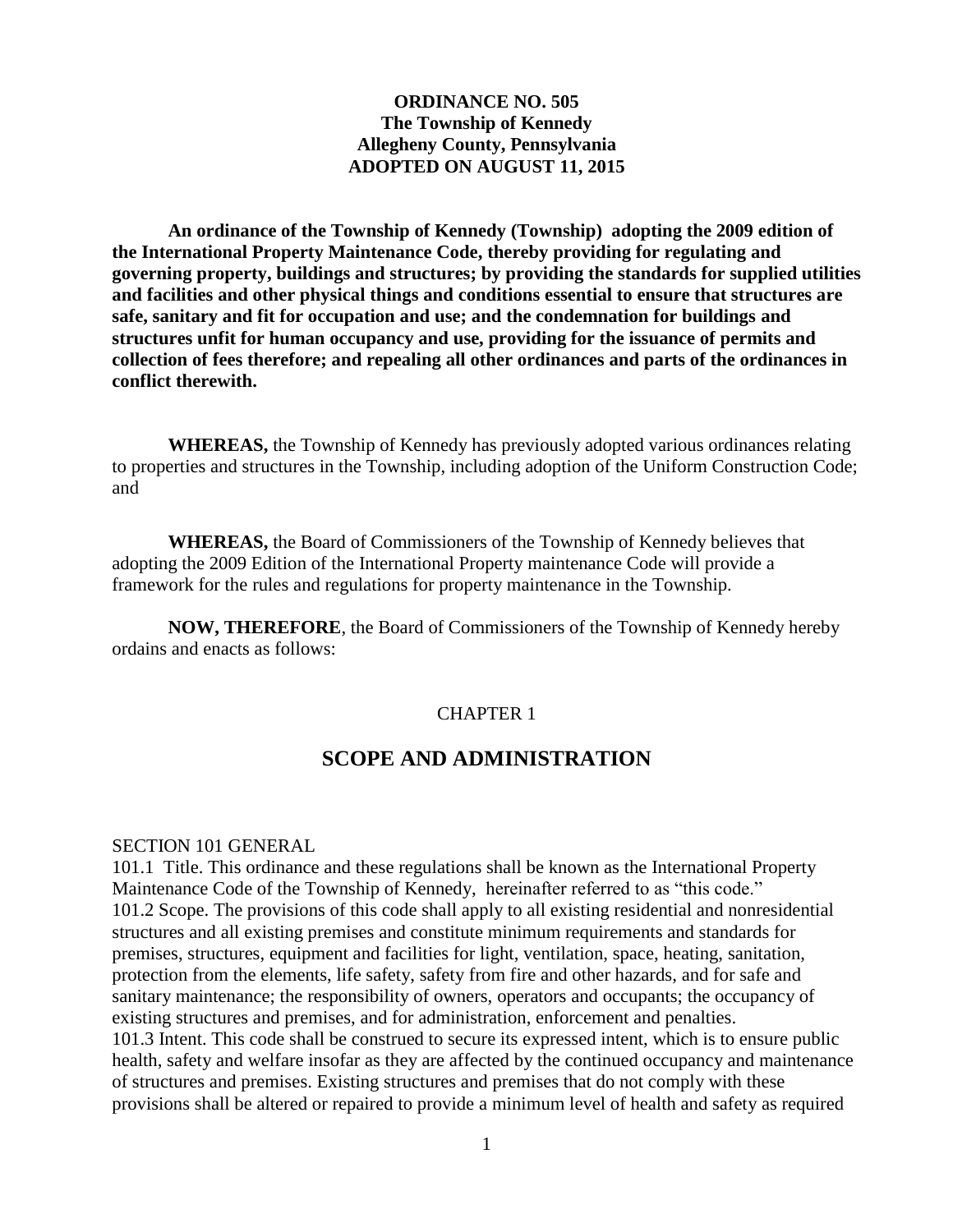#### **ORDINANCE NO. 505 The Township of Kennedy Allegheny County, Pennsylvania ADOPTED ON AUGUST 11, 2015**

**An ordinance of the Township of Kennedy (Township) adopting the 2009 edition of the International Property Maintenance Code, thereby providing for regulating and governing property, buildings and structures; by providing the standards for supplied utilities and facilities and other physical things and conditions essential to ensure that structures are safe, sanitary and fit for occupation and use; and the condemnation for buildings and structures unfit for human occupancy and use, providing for the issuance of permits and collection of fees therefore; and repealing all other ordinances and parts of the ordinances in conflict therewith.**

**WHEREAS,** the Township of Kennedy has previously adopted various ordinances relating to properties and structures in the Township, including adoption of the Uniform Construction Code; and

**WHEREAS,** the Board of Commissioners of the Township of Kennedy believes that adopting the 2009 Edition of the International Property maintenance Code will provide a framework for the rules and regulations for property maintenance in the Township.

**NOW, THEREFORE**, the Board of Commissioners of the Township of Kennedy hereby ordains and enacts as follows:

#### CHAPTER 1

## **SCOPE AND ADMINISTRATION**

#### SECTION 101 GENERAL

101.1 Title. This ordinance and these regulations shall be known as the International Property Maintenance Code of the Township of Kennedy, hereinafter referred to as "this code." 101.2 Scope. The provisions of this code shall apply to all existing residential and nonresidential structures and all existing premises and constitute minimum requirements and standards for premises, structures, equipment and facilities for light, ventilation, space, heating, sanitation, protection from the elements, life safety, safety from fire and other hazards, and for safe and sanitary maintenance; the responsibility of owners, operators and occupants; the occupancy of existing structures and premises, and for administration, enforcement and penalties. 101.3 Intent. This code shall be construed to secure its expressed intent, which is to ensure public health, safety and welfare insofar as they are affected by the continued occupancy and maintenance of structures and premises. Existing structures and premises that do not comply with these provisions shall be altered or repaired to provide a minimum level of health and safety as required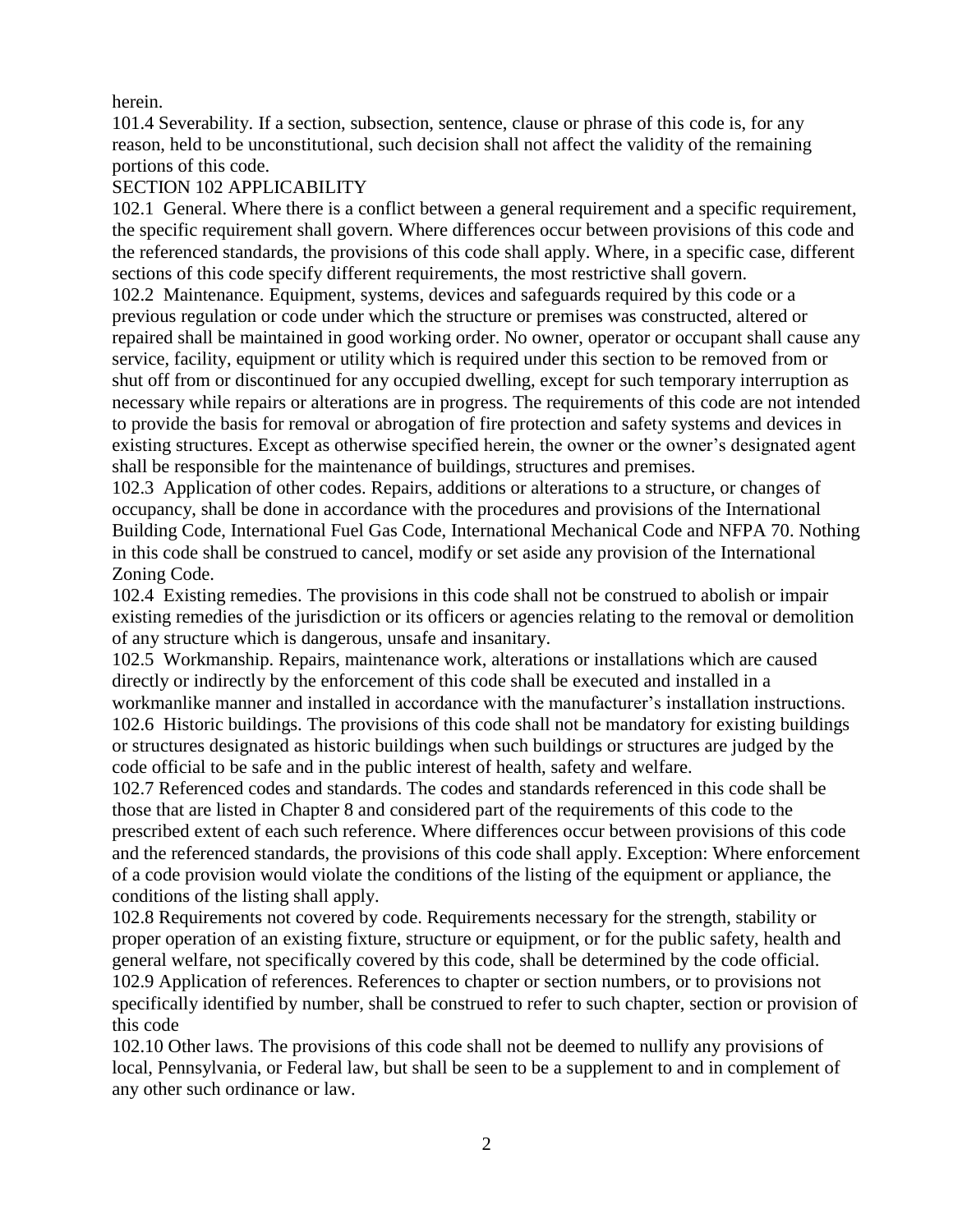## herein.

101.4 Severability. If a section, subsection, sentence, clause or phrase of this code is, for any reason, held to be unconstitutional, such decision shall not affect the validity of the remaining portions of this code.

## SECTION 102 APPLICABILITY

102.1 General. Where there is a conflict between a general requirement and a specific requirement, the specific requirement shall govern. Where differences occur between provisions of this code and the referenced standards, the provisions of this code shall apply. Where, in a specific case, different sections of this code specify different requirements, the most restrictive shall govern.

102.2 Maintenance. Equipment, systems, devices and safeguards required by this code or a previous regulation or code under which the structure or premises was constructed, altered or repaired shall be maintained in good working order. No owner, operator or occupant shall cause any service, facility, equipment or utility which is required under this section to be removed from or shut off from or discontinued for any occupied dwelling, except for such temporary interruption as necessary while repairs or alterations are in progress. The requirements of this code are not intended to provide the basis for removal or abrogation of fire protection and safety systems and devices in existing structures. Except as otherwise specified herein, the owner or the owner's designated agent shall be responsible for the maintenance of buildings, structures and premises.

102.3 Application of other codes. Repairs, additions or alterations to a structure, or changes of occupancy, shall be done in accordance with the procedures and provisions of the International Building Code, International Fuel Gas Code, International Mechanical Code and NFPA 70. Nothing in this code shall be construed to cancel, modify or set aside any provision of the International Zoning Code.

102.4 Existing remedies. The provisions in this code shall not be construed to abolish or impair existing remedies of the jurisdiction or its officers or agencies relating to the removal or demolition of any structure which is dangerous, unsafe and insanitary.

102.5 Workmanship. Repairs, maintenance work, alterations or installations which are caused directly or indirectly by the enforcement of this code shall be executed and installed in a workmanlike manner and installed in accordance with the manufacturer's installation instructions. 102.6 Historic buildings. The provisions of this code shall not be mandatory for existing buildings or structures designated as historic buildings when such buildings or structures are judged by the code official to be safe and in the public interest of health, safety and welfare.

102.7 Referenced codes and standards. The codes and standards referenced in this code shall be those that are listed in Chapter 8 and considered part of the requirements of this code to the prescribed extent of each such reference. Where differences occur between provisions of this code and the referenced standards, the provisions of this code shall apply. Exception: Where enforcement of a code provision would violate the conditions of the listing of the equipment or appliance, the conditions of the listing shall apply.

102.8 Requirements not covered by code. Requirements necessary for the strength, stability or proper operation of an existing fixture, structure or equipment, or for the public safety, health and general welfare, not specifically covered by this code, shall be determined by the code official. 102.9 Application of references. References to chapter or section numbers, or to provisions not specifically identified by number, shall be construed to refer to such chapter, section or provision of this code

102.10 Other laws. The provisions of this code shall not be deemed to nullify any provisions of local, Pennsylvania, or Federal law, but shall be seen to be a supplement to and in complement of any other such ordinance or law.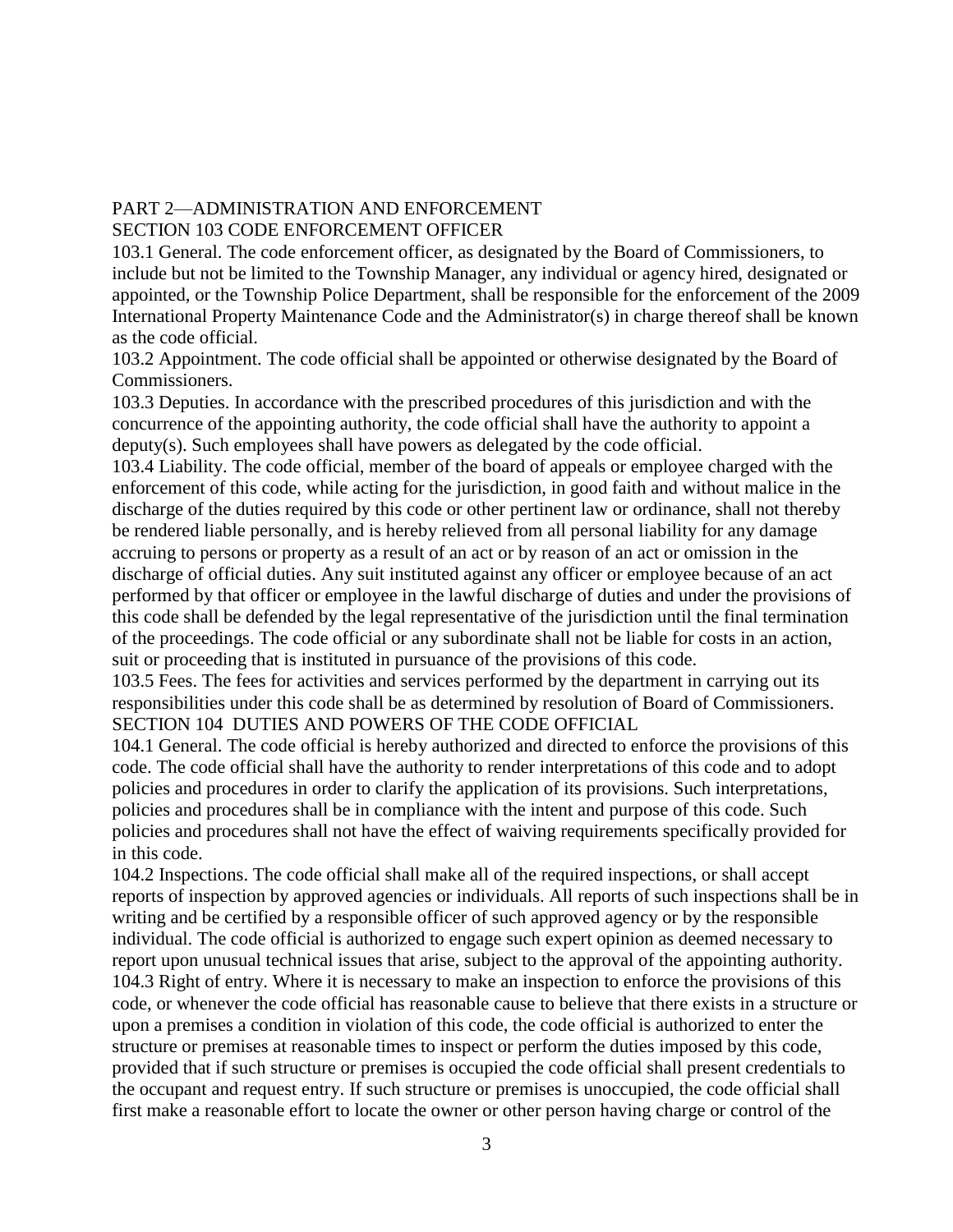# PART 2—ADMINISTRATION AND ENFORCEMENT

SECTION 103 CODE ENFORCEMENT OFFICER

103.1 General. The code enforcement officer, as designated by the Board of Commissioners, to include but not be limited to the Township Manager, any individual or agency hired, designated or appointed, or the Township Police Department, shall be responsible for the enforcement of the 2009 International Property Maintenance Code and the Administrator(s) in charge thereof shall be known as the code official.

103.2 Appointment. The code official shall be appointed or otherwise designated by the Board of Commissioners.

103.3 Deputies. In accordance with the prescribed procedures of this jurisdiction and with the concurrence of the appointing authority, the code official shall have the authority to appoint a deputy(s). Such employees shall have powers as delegated by the code official.

103.4 Liability. The code official, member of the board of appeals or employee charged with the enforcement of this code, while acting for the jurisdiction, in good faith and without malice in the discharge of the duties required by this code or other pertinent law or ordinance, shall not thereby be rendered liable personally, and is hereby relieved from all personal liability for any damage accruing to persons or property as a result of an act or by reason of an act or omission in the discharge of official duties. Any suit instituted against any officer or employee because of an act performed by that officer or employee in the lawful discharge of duties and under the provisions of this code shall be defended by the legal representative of the jurisdiction until the final termination of the proceedings. The code official or any subordinate shall not be liable for costs in an action, suit or proceeding that is instituted in pursuance of the provisions of this code.

103.5 Fees. The fees for activities and services performed by the department in carrying out its responsibilities under this code shall be as determined by resolution of Board of Commissioners. SECTION 104 DUTIES AND POWERS OF THE CODE OFFICIAL

104.1 General. The code official is hereby authorized and directed to enforce the provisions of this code. The code official shall have the authority to render interpretations of this code and to adopt policies and procedures in order to clarify the application of its provisions. Such interpretations, policies and procedures shall be in compliance with the intent and purpose of this code. Such policies and procedures shall not have the effect of waiving requirements specifically provided for in this code.

104.2 Inspections. The code official shall make all of the required inspections, or shall accept reports of inspection by approved agencies or individuals. All reports of such inspections shall be in writing and be certified by a responsible officer of such approved agency or by the responsible individual. The code official is authorized to engage such expert opinion as deemed necessary to report upon unusual technical issues that arise, subject to the approval of the appointing authority. 104.3 Right of entry. Where it is necessary to make an inspection to enforce the provisions of this code, or whenever the code official has reasonable cause to believe that there exists in a structure or upon a premises a condition in violation of this code, the code official is authorized to enter the structure or premises at reasonable times to inspect or perform the duties imposed by this code, provided that if such structure or premises is occupied the code official shall present credentials to the occupant and request entry. If such structure or premises is unoccupied, the code official shall first make a reasonable effort to locate the owner or other person having charge or control of the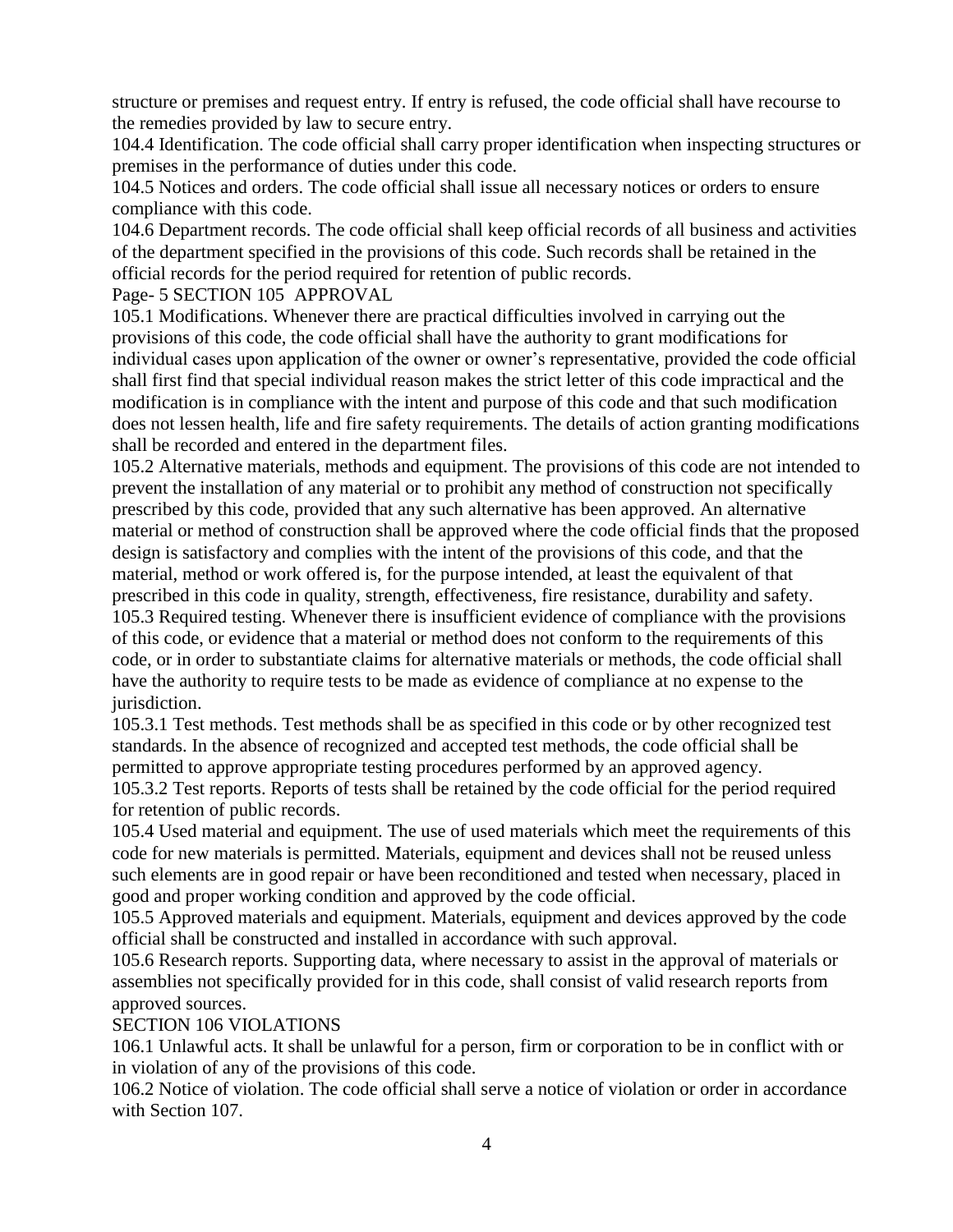structure or premises and request entry. If entry is refused, the code official shall have recourse to the remedies provided by law to secure entry.

104.4 Identification. The code official shall carry proper identification when inspecting structures or premises in the performance of duties under this code.

104.5 Notices and orders. The code official shall issue all necessary notices or orders to ensure compliance with this code.

104.6 Department records. The code official shall keep official records of all business and activities of the department specified in the provisions of this code. Such records shall be retained in the official records for the period required for retention of public records.

Page- 5 SECTION 105 APPROVAL

105.1 Modifications. Whenever there are practical difficulties involved in carrying out the provisions of this code, the code official shall have the authority to grant modifications for individual cases upon application of the owner or owner's representative, provided the code official shall first find that special individual reason makes the strict letter of this code impractical and the modification is in compliance with the intent and purpose of this code and that such modification does not lessen health, life and fire safety requirements. The details of action granting modifications shall be recorded and entered in the department files.

105.2 Alternative materials, methods and equipment. The provisions of this code are not intended to prevent the installation of any material or to prohibit any method of construction not specifically prescribed by this code, provided that any such alternative has been approved. An alternative material or method of construction shall be approved where the code official finds that the proposed design is satisfactory and complies with the intent of the provisions of this code, and that the material, method or work offered is, for the purpose intended, at least the equivalent of that prescribed in this code in quality, strength, effectiveness, fire resistance, durability and safety. 105.3 Required testing. Whenever there is insufficient evidence of compliance with the provisions of this code, or evidence that a material or method does not conform to the requirements of this code, or in order to substantiate claims for alternative materials or methods, the code official shall have the authority to require tests to be made as evidence of compliance at no expense to the jurisdiction.

105.3.1 Test methods. Test methods shall be as specified in this code or by other recognized test standards. In the absence of recognized and accepted test methods, the code official shall be permitted to approve appropriate testing procedures performed by an approved agency.

105.3.2 Test reports. Reports of tests shall be retained by the code official for the period required for retention of public records.

105.4 Used material and equipment. The use of used materials which meet the requirements of this code for new materials is permitted. Materials, equipment and devices shall not be reused unless such elements are in good repair or have been reconditioned and tested when necessary, placed in good and proper working condition and approved by the code official.

105.5 Approved materials and equipment. Materials, equipment and devices approved by the code official shall be constructed and installed in accordance with such approval.

105.6 Research reports. Supporting data, where necessary to assist in the approval of materials or assemblies not specifically provided for in this code, shall consist of valid research reports from approved sources.

#### SECTION 106 VIOLATIONS

106.1 Unlawful acts. It shall be unlawful for a person, firm or corporation to be in conflict with or in violation of any of the provisions of this code.

106.2 Notice of violation. The code official shall serve a notice of violation or order in accordance with Section 107.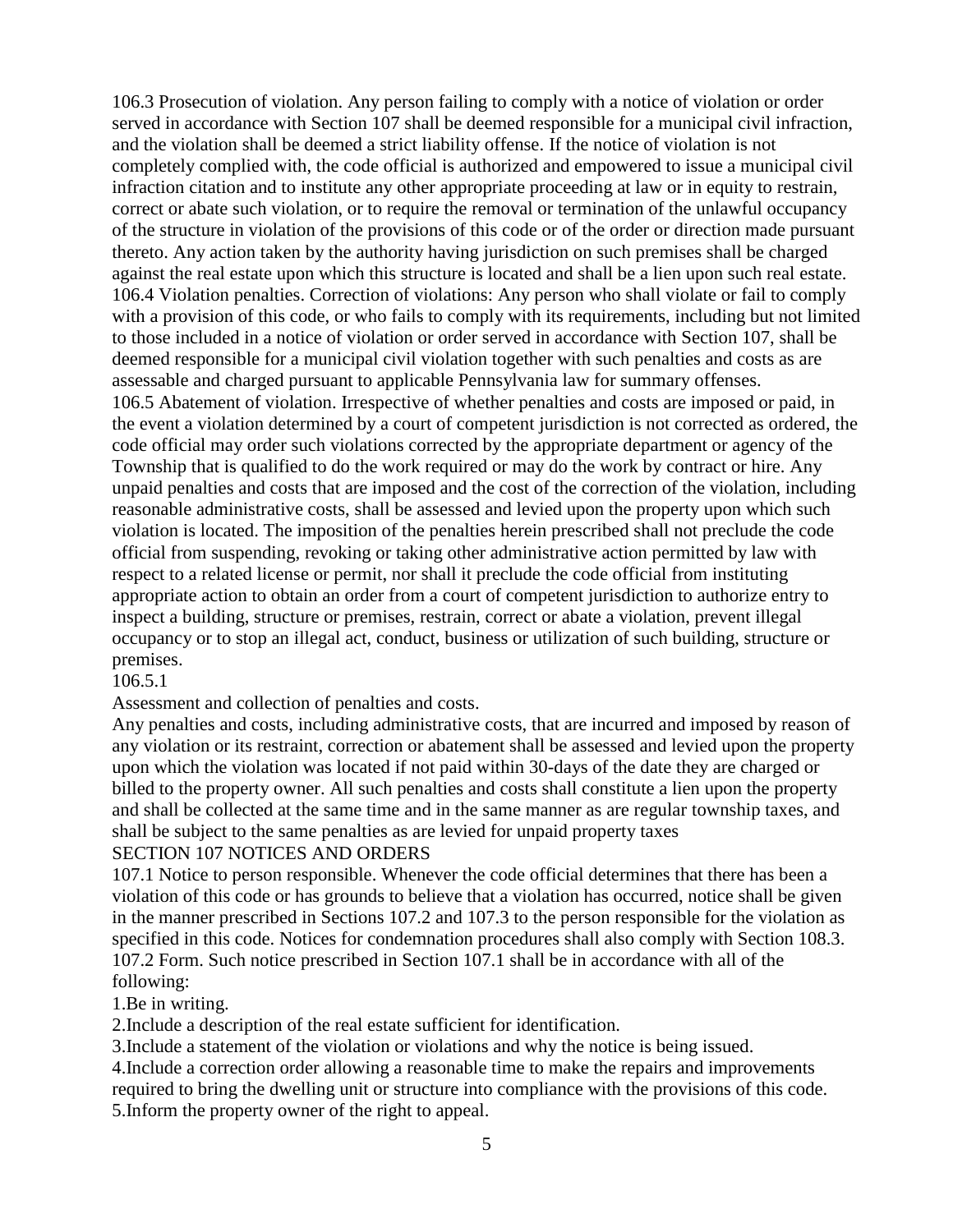106.3 Prosecution of violation. Any person failing to comply with a notice of violation or order served in accordance with Section 107 shall be deemed responsible for a municipal civil infraction, and the violation shall be deemed a strict liability offense. If the notice of violation is not completely complied with, the code official is authorized and empowered to issue a municipal civil infraction citation and to institute any other appropriate proceeding at law or in equity to restrain, correct or abate such violation, or to require the removal or termination of the unlawful occupancy of the structure in violation of the provisions of this code or of the order or direction made pursuant thereto. Any action taken by the authority having jurisdiction on such premises shall be charged against the real estate upon which this structure is located and shall be a lien upon such real estate. 106.4 Violation penalties. Correction of violations: Any person who shall violate or fail to comply with a provision of this code, or who fails to comply with its requirements, including but not limited to those included in a notice of violation or order served in accordance with Section 107, shall be deemed responsible for a municipal civil violation together with such penalties and costs as are assessable and charged pursuant to applicable Pennsylvania law for summary offenses. 106.5 Abatement of violation. Irrespective of whether penalties and costs are imposed or paid, in the event a violation determined by a court of competent jurisdiction is not corrected as ordered, the code official may order such violations corrected by the appropriate department or agency of the Township that is qualified to do the work required or may do the work by contract or hire. Any unpaid penalties and costs that are imposed and the cost of the correction of the violation, including reasonable administrative costs, shall be assessed and levied upon the property upon which such violation is located. The imposition of the penalties herein prescribed shall not preclude the code official from suspending, revoking or taking other administrative action permitted by law with respect to a related license or permit, nor shall it preclude the code official from instituting appropriate action to obtain an order from a court of competent jurisdiction to authorize entry to inspect a building, structure or premises, restrain, correct or abate a violation, prevent illegal occupancy or to stop an illegal act, conduct, business or utilization of such building, structure or premises.

#### 106.5.1

Assessment and collection of penalties and costs.

Any penalties and costs, including administrative costs, that are incurred and imposed by reason of any violation or its restraint, correction or abatement shall be assessed and levied upon the property upon which the violation was located if not paid within 30-days of the date they are charged or billed to the property owner. All such penalties and costs shall constitute a lien upon the property and shall be collected at the same time and in the same manner as are regular township taxes, and shall be subject to the same penalties as are levied for unpaid property taxes

#### SECTION 107 NOTICES AND ORDERS

107.1 Notice to person responsible. Whenever the code official determines that there has been a violation of this code or has grounds to believe that a violation has occurred, notice shall be given in the manner prescribed in Sections 107.2 and 107.3 to the person responsible for the violation as specified in this code. Notices for condemnation procedures shall also comply with Section 108.3. 107.2 Form. Such notice prescribed in Section 107.1 shall be in accordance with all of the following:

#### 1.Be in writing.

2.Include a description of the real estate sufficient for identification.

3.Include a statement of the violation or violations and why the notice is being issued.

4.Include a correction order allowing a reasonable time to make the repairs and improvements required to bring the dwelling unit or structure into compliance with the provisions of this code.

5.Inform the property owner of the right to appeal.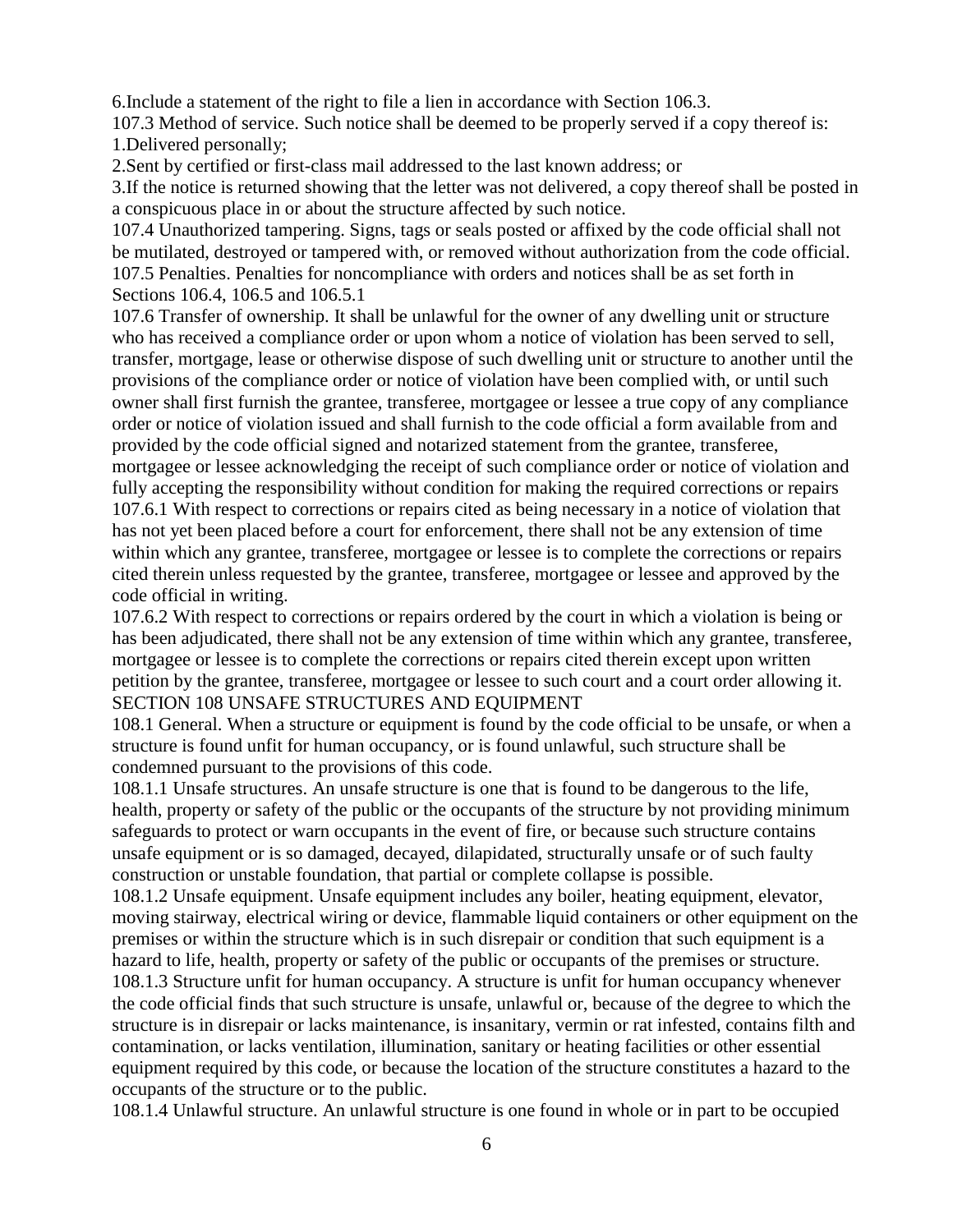6.Include a statement of the right to file a lien in accordance with Section 106.3.

107.3 Method of service. Such notice shall be deemed to be properly served if a copy thereof is: 1.Delivered personally;

2.Sent by certified or first-class mail addressed to the last known address; or

3.If the notice is returned showing that the letter was not delivered, a copy thereof shall be posted in a conspicuous place in or about the structure affected by such notice.

107.4 Unauthorized tampering. Signs, tags or seals posted or affixed by the code official shall not be mutilated, destroyed or tampered with, or removed without authorization from the code official. 107.5 Penalties. Penalties for noncompliance with orders and notices shall be as set forth in Sections 106.4, 106.5 and 106.5.1

107.6 Transfer of ownership. It shall be unlawful for the owner of any dwelling unit or structure who has received a compliance order or upon whom a notice of violation has been served to sell, transfer, mortgage, lease or otherwise dispose of such dwelling unit or structure to another until the provisions of the compliance order or notice of violation have been complied with, or until such owner shall first furnish the grantee, transferee, mortgagee or lessee a true copy of any compliance order or notice of violation issued and shall furnish to the code official a form available from and provided by the code official signed and notarized statement from the grantee, transferee, mortgagee or lessee acknowledging the receipt of such compliance order or notice of violation and fully accepting the responsibility without condition for making the required corrections or repairs 107.6.1 With respect to corrections or repairs cited as being necessary in a notice of violation that has not yet been placed before a court for enforcement, there shall not be any extension of time within which any grantee, transferee, mortgagee or lessee is to complete the corrections or repairs cited therein unless requested by the grantee, transferee, mortgagee or lessee and approved by the code official in writing.

107.6.2 With respect to corrections or repairs ordered by the court in which a violation is being or has been adjudicated, there shall not be any extension of time within which any grantee, transferee, mortgagee or lessee is to complete the corrections or repairs cited therein except upon written petition by the grantee, transferee, mortgagee or lessee to such court and a court order allowing it. SECTION 108 UNSAFE STRUCTURES AND EQUIPMENT

108.1 General. When a structure or equipment is found by the code official to be unsafe, or when a structure is found unfit for human occupancy, or is found unlawful, such structure shall be condemned pursuant to the provisions of this code.

108.1.1 Unsafe structures. An unsafe structure is one that is found to be dangerous to the life, health, property or safety of the public or the occupants of the structure by not providing minimum safeguards to protect or warn occupants in the event of fire, or because such structure contains unsafe equipment or is so damaged, decayed, dilapidated, structurally unsafe or of such faulty construction or unstable foundation, that partial or complete collapse is possible.

108.1.2 Unsafe equipment. Unsafe equipment includes any boiler, heating equipment, elevator, moving stairway, electrical wiring or device, flammable liquid containers or other equipment on the premises or within the structure which is in such disrepair or condition that such equipment is a hazard to life, health, property or safety of the public or occupants of the premises or structure. 108.1.3 Structure unfit for human occupancy. A structure is unfit for human occupancy whenever the code official finds that such structure is unsafe, unlawful or, because of the degree to which the structure is in disrepair or lacks maintenance, is insanitary, vermin or rat infested, contains filth and contamination, or lacks ventilation, illumination, sanitary or heating facilities or other essential equipment required by this code, or because the location of the structure constitutes a hazard to the occupants of the structure or to the public.

108.1.4 Unlawful structure. An unlawful structure is one found in whole or in part to be occupied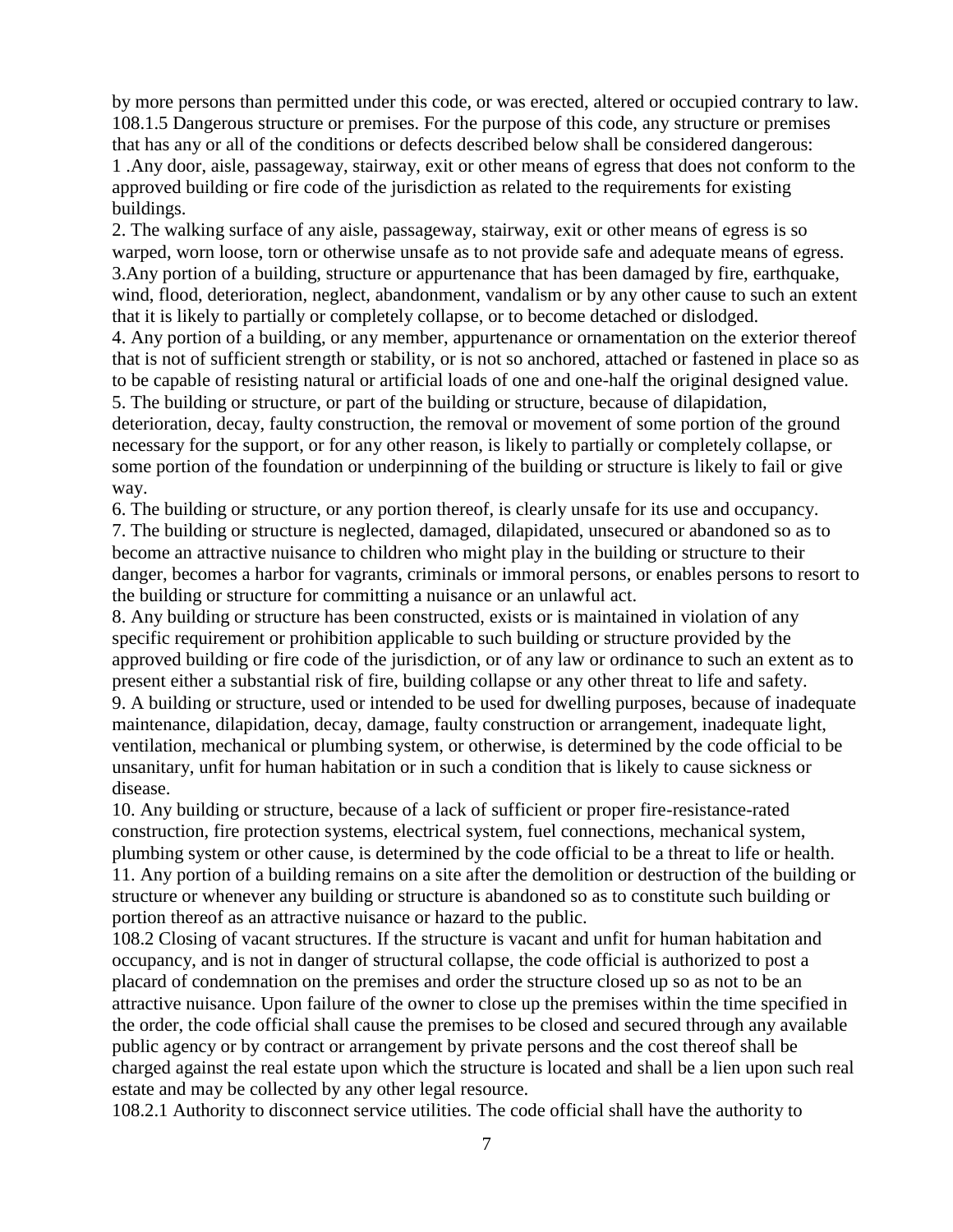by more persons than permitted under this code, or was erected, altered or occupied contrary to law. 108.1.5 Dangerous structure or premises. For the purpose of this code, any structure or premises that has any or all of the conditions or defects described below shall be considered dangerous: 1 .Any door, aisle, passageway, stairway, exit or other means of egress that does not conform to the approved building or fire code of the jurisdiction as related to the requirements for existing buildings.

2. The walking surface of any aisle, passageway, stairway, exit or other means of egress is so warped, worn loose, torn or otherwise unsafe as to not provide safe and adequate means of egress. 3.Any portion of a building, structure or appurtenance that has been damaged by fire, earthquake, wind, flood, deterioration, neglect, abandonment, vandalism or by any other cause to such an extent that it is likely to partially or completely collapse, or to become detached or dislodged. 4. Any portion of a building, or any member, appurtenance or ornamentation on the exterior thereof that is not of sufficient strength or stability, or is not so anchored, attached or fastened in place so as to be capable of resisting natural or artificial loads of one and one-half the original designed value. 5. The building or structure, or part of the building or structure, because of dilapidation, deterioration, decay, faulty construction, the removal or movement of some portion of the ground necessary for the support, or for any other reason, is likely to partially or completely collapse, or some portion of the foundation or underpinning of the building or structure is likely to fail or give way.

6. The building or structure, or any portion thereof, is clearly unsafe for its use and occupancy.

7. The building or structure is neglected, damaged, dilapidated, unsecured or abandoned so as to become an attractive nuisance to children who might play in the building or structure to their danger, becomes a harbor for vagrants, criminals or immoral persons, or enables persons to resort to the building or structure for committing a nuisance or an unlawful act.

8. Any building or structure has been constructed, exists or is maintained in violation of any specific requirement or prohibition applicable to such building or structure provided by the approved building or fire code of the jurisdiction, or of any law or ordinance to such an extent as to present either a substantial risk of fire, building collapse or any other threat to life and safety. 9. A building or structure, used or intended to be used for dwelling purposes, because of inadequate maintenance, dilapidation, decay, damage, faulty construction or arrangement, inadequate light, ventilation, mechanical or plumbing system, or otherwise, is determined by the code official to be unsanitary, unfit for human habitation or in such a condition that is likely to cause sickness or disease.

10. Any building or structure, because of a lack of sufficient or proper fire-resistance-rated construction, fire protection systems, electrical system, fuel connections, mechanical system, plumbing system or other cause, is determined by the code official to be a threat to life or health. 11. Any portion of a building remains on a site after the demolition or destruction of the building or structure or whenever any building or structure is abandoned so as to constitute such building or portion thereof as an attractive nuisance or hazard to the public.

108.2 Closing of vacant structures. If the structure is vacant and unfit for human habitation and occupancy, and is not in danger of structural collapse, the code official is authorized to post a placard of condemnation on the premises and order the structure closed up so as not to be an attractive nuisance. Upon failure of the owner to close up the premises within the time specified in the order, the code official shall cause the premises to be closed and secured through any available public agency or by contract or arrangement by private persons and the cost thereof shall be charged against the real estate upon which the structure is located and shall be a lien upon such real estate and may be collected by any other legal resource.

108.2.1 Authority to disconnect service utilities. The code official shall have the authority to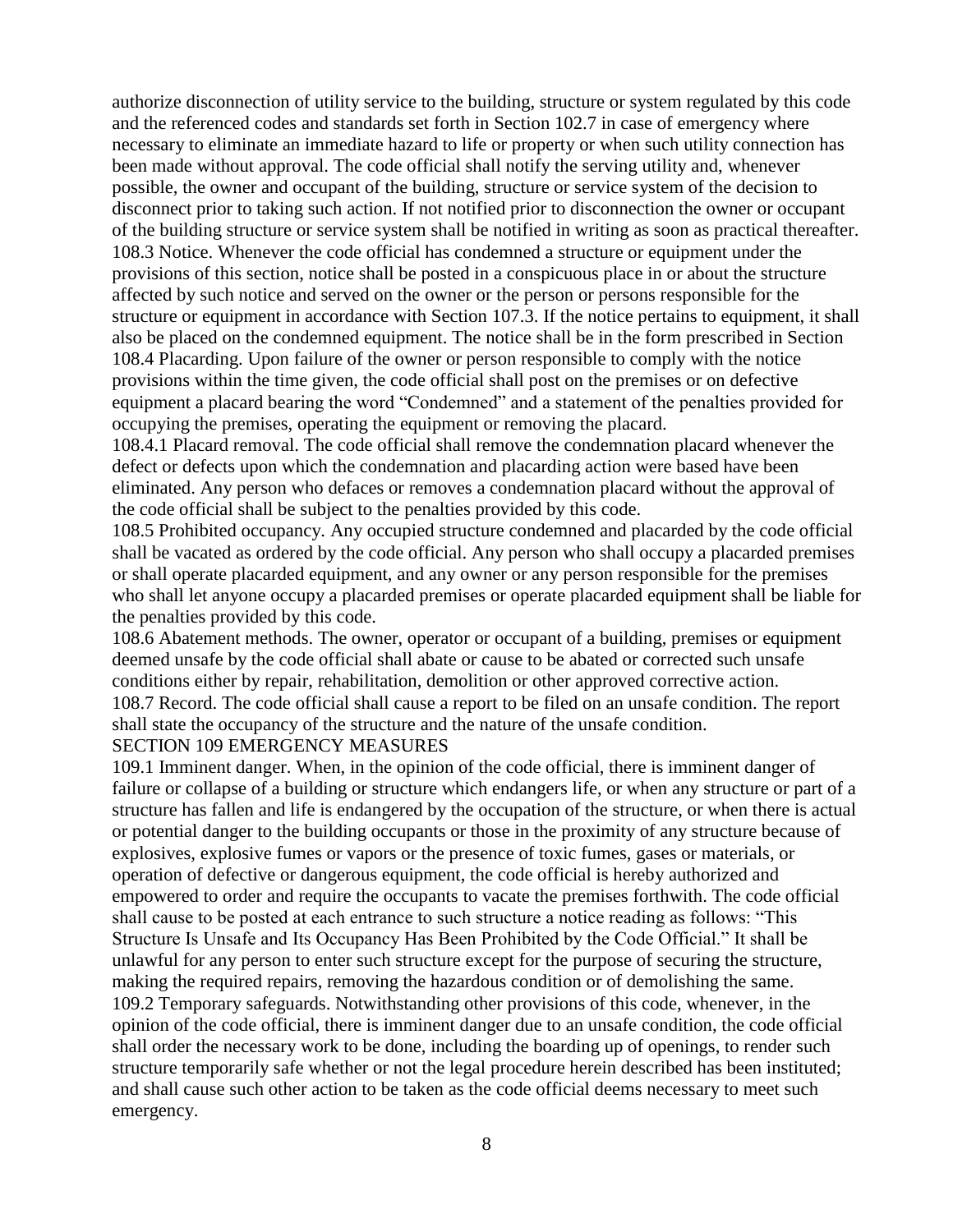authorize disconnection of utility service to the building, structure or system regulated by this code and the referenced codes and standards set forth in Section 102.7 in case of emergency where necessary to eliminate an immediate hazard to life or property or when such utility connection has been made without approval. The code official shall notify the serving utility and, whenever possible, the owner and occupant of the building, structure or service system of the decision to disconnect prior to taking such action. If not notified prior to disconnection the owner or occupant of the building structure or service system shall be notified in writing as soon as practical thereafter. 108.3 Notice. Whenever the code official has condemned a structure or equipment under the provisions of this section, notice shall be posted in a conspicuous place in or about the structure affected by such notice and served on the owner or the person or persons responsible for the structure or equipment in accordance with Section 107.3. If the notice pertains to equipment, it shall also be placed on the condemned equipment. The notice shall be in the form prescribed in Section 108.4 Placarding. Upon failure of the owner or person responsible to comply with the notice provisions within the time given, the code official shall post on the premises or on defective equipment a placard bearing the word "Condemned" and a statement of the penalties provided for occupying the premises, operating the equipment or removing the placard.

108.4.1 Placard removal. The code official shall remove the condemnation placard whenever the defect or defects upon which the condemnation and placarding action were based have been eliminated. Any person who defaces or removes a condemnation placard without the approval of the code official shall be subject to the penalties provided by this code.

108.5 Prohibited occupancy. Any occupied structure condemned and placarded by the code official shall be vacated as ordered by the code official. Any person who shall occupy a placarded premises or shall operate placarded equipment, and any owner or any person responsible for the premises who shall let anyone occupy a placarded premises or operate placarded equipment shall be liable for the penalties provided by this code.

108.6 Abatement methods. The owner, operator or occupant of a building, premises or equipment deemed unsafe by the code official shall abate or cause to be abated or corrected such unsafe conditions either by repair, rehabilitation, demolition or other approved corrective action. 108.7 Record. The code official shall cause a report to be filed on an unsafe condition. The report shall state the occupancy of the structure and the nature of the unsafe condition.

#### SECTION 109 EMERGENCY MEASURES

109.1 Imminent danger. When, in the opinion of the code official, there is imminent danger of failure or collapse of a building or structure which endangers life, or when any structure or part of a structure has fallen and life is endangered by the occupation of the structure, or when there is actual or potential danger to the building occupants or those in the proximity of any structure because of explosives, explosive fumes or vapors or the presence of toxic fumes, gases or materials, or operation of defective or dangerous equipment, the code official is hereby authorized and empowered to order and require the occupants to vacate the premises forthwith. The code official shall cause to be posted at each entrance to such structure a notice reading as follows: "This Structure Is Unsafe and Its Occupancy Has Been Prohibited by the Code Official." It shall be unlawful for any person to enter such structure except for the purpose of securing the structure, making the required repairs, removing the hazardous condition or of demolishing the same. 109.2 Temporary safeguards. Notwithstanding other provisions of this code, whenever, in the opinion of the code official, there is imminent danger due to an unsafe condition, the code official shall order the necessary work to be done, including the boarding up of openings, to render such structure temporarily safe whether or not the legal procedure herein described has been instituted; and shall cause such other action to be taken as the code official deems necessary to meet such emergency.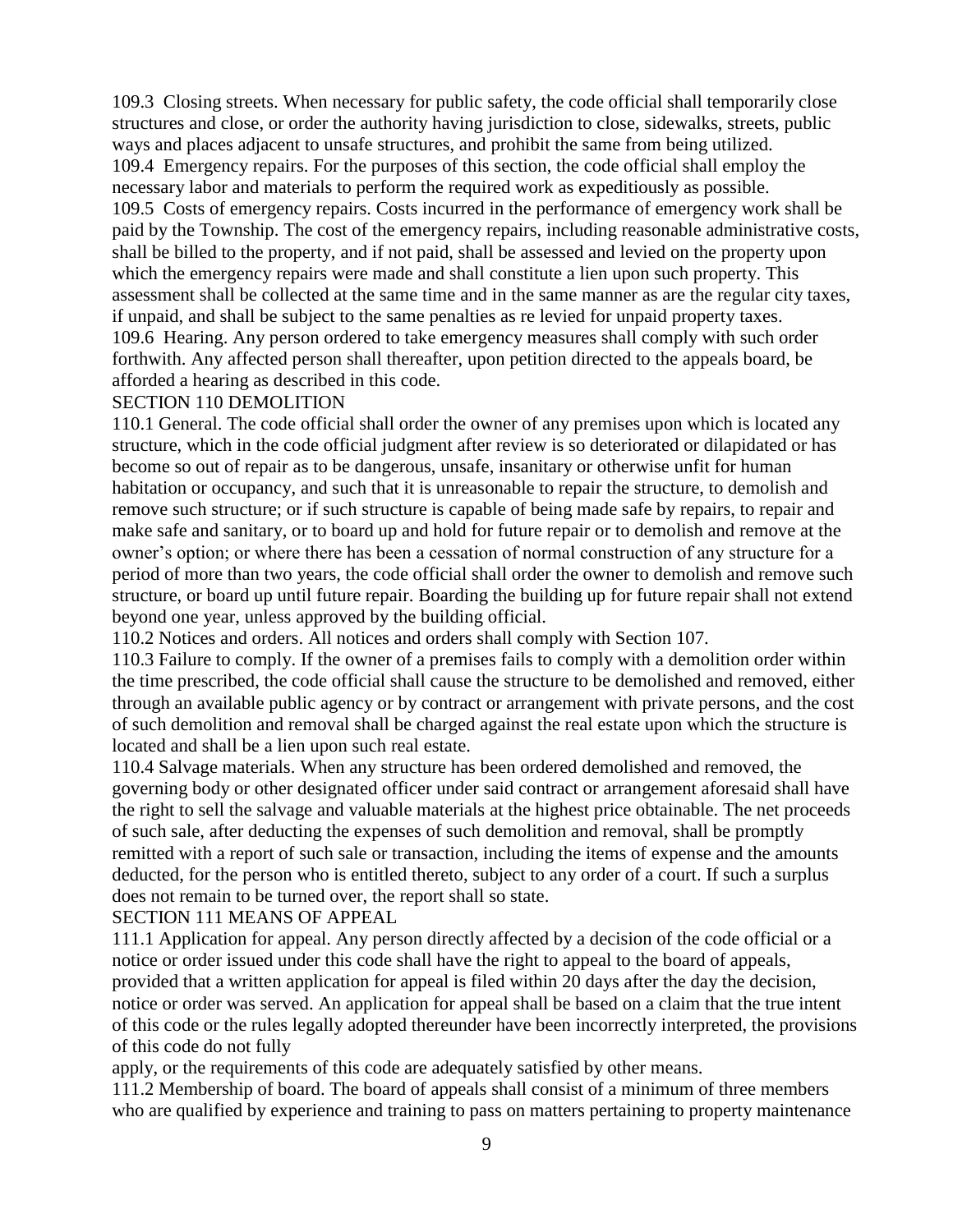109.3 Closing streets. When necessary for public safety, the code official shall temporarily close structures and close, or order the authority having jurisdiction to close, sidewalks, streets, public ways and places adjacent to unsafe structures, and prohibit the same from being utilized. 109.4 Emergency repairs. For the purposes of this section, the code official shall employ the necessary labor and materials to perform the required work as expeditiously as possible. 109.5 Costs of emergency repairs. Costs incurred in the performance of emergency work shall be paid by the Township. The cost of the emergency repairs, including reasonable administrative costs, shall be billed to the property, and if not paid, shall be assessed and levied on the property upon which the emergency repairs were made and shall constitute a lien upon such property. This assessment shall be collected at the same time and in the same manner as are the regular city taxes, if unpaid, and shall be subject to the same penalties as re levied for unpaid property taxes. 109.6 Hearing. Any person ordered to take emergency measures shall comply with such order forthwith. Any affected person shall thereafter, upon petition directed to the appeals board, be afforded a hearing as described in this code.

#### SECTION 110 DEMOLITION

110.1 General. The code official shall order the owner of any premises upon which is located any structure, which in the code official judgment after review is so deteriorated or dilapidated or has become so out of repair as to be dangerous, unsafe, insanitary or otherwise unfit for human habitation or occupancy, and such that it is unreasonable to repair the structure, to demolish and remove such structure; or if such structure is capable of being made safe by repairs, to repair and make safe and sanitary, or to board up and hold for future repair or to demolish and remove at the owner's option; or where there has been a cessation of normal construction of any structure for a period of more than two years, the code official shall order the owner to demolish and remove such structure, or board up until future repair. Boarding the building up for future repair shall not extend beyond one year, unless approved by the building official.

110.2 Notices and orders. All notices and orders shall comply with Section 107.

110.3 Failure to comply. If the owner of a premises fails to comply with a demolition order within the time prescribed, the code official shall cause the structure to be demolished and removed, either through an available public agency or by contract or arrangement with private persons, and the cost of such demolition and removal shall be charged against the real estate upon which the structure is located and shall be a lien upon such real estate.

110.4 Salvage materials. When any structure has been ordered demolished and removed, the governing body or other designated officer under said contract or arrangement aforesaid shall have the right to sell the salvage and valuable materials at the highest price obtainable. The net proceeds of such sale, after deducting the expenses of such demolition and removal, shall be promptly remitted with a report of such sale or transaction, including the items of expense and the amounts deducted, for the person who is entitled thereto, subject to any order of a court. If such a surplus does not remain to be turned over, the report shall so state.

#### SECTION 111 MEANS OF APPEAL

111.1 Application for appeal. Any person directly affected by a decision of the code official or a notice or order issued under this code shall have the right to appeal to the board of appeals, provided that a written application for appeal is filed within 20 days after the day the decision, notice or order was served. An application for appeal shall be based on a claim that the true intent of this code or the rules legally adopted thereunder have been incorrectly interpreted, the provisions of this code do not fully

apply, or the requirements of this code are adequately satisfied by other means.

111.2 Membership of board. The board of appeals shall consist of a minimum of three members who are qualified by experience and training to pass on matters pertaining to property maintenance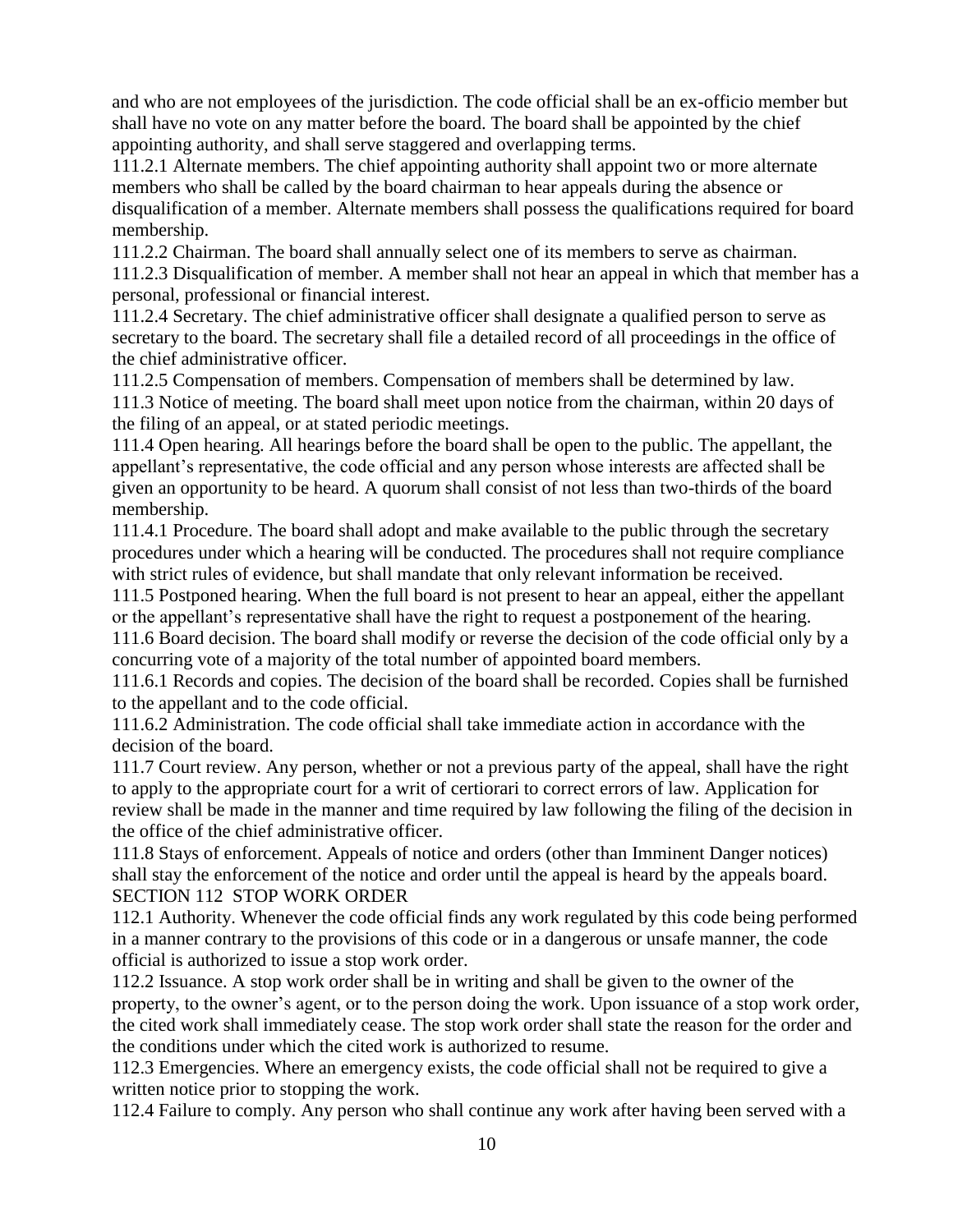and who are not employees of the jurisdiction. The code official shall be an ex-officio member but shall have no vote on any matter before the board. The board shall be appointed by the chief appointing authority, and shall serve staggered and overlapping terms.

111.2.1 Alternate members. The chief appointing authority shall appoint two or more alternate members who shall be called by the board chairman to hear appeals during the absence or disqualification of a member. Alternate members shall possess the qualifications required for board membership.

111.2.2 Chairman. The board shall annually select one of its members to serve as chairman. 111.2.3 Disqualification of member. A member shall not hear an appeal in which that member has a personal, professional or financial interest.

111.2.4 Secretary. The chief administrative officer shall designate a qualified person to serve as secretary to the board. The secretary shall file a detailed record of all proceedings in the office of the chief administrative officer.

111.2.5 Compensation of members. Compensation of members shall be determined by law. 111.3 Notice of meeting. The board shall meet upon notice from the chairman, within 20 days of the filing of an appeal, or at stated periodic meetings.

111.4 Open hearing. All hearings before the board shall be open to the public. The appellant, the appellant's representative, the code official and any person whose interests are affected shall be given an opportunity to be heard. A quorum shall consist of not less than two-thirds of the board membership.

111.4.1 Procedure. The board shall adopt and make available to the public through the secretary procedures under which a hearing will be conducted. The procedures shall not require compliance with strict rules of evidence, but shall mandate that only relevant information be received.

111.5 Postponed hearing. When the full board is not present to hear an appeal, either the appellant or the appellant's representative shall have the right to request a postponement of the hearing.

111.6 Board decision. The board shall modify or reverse the decision of the code official only by a concurring vote of a majority of the total number of appointed board members.

111.6.1 Records and copies. The decision of the board shall be recorded. Copies shall be furnished to the appellant and to the code official.

111.6.2 Administration. The code official shall take immediate action in accordance with the decision of the board.

111.7 Court review. Any person, whether or not a previous party of the appeal, shall have the right to apply to the appropriate court for a writ of certiorari to correct errors of law. Application for review shall be made in the manner and time required by law following the filing of the decision in the office of the chief administrative officer.

111.8 Stays of enforcement. Appeals of notice and orders (other than Imminent Danger notices) shall stay the enforcement of the notice and order until the appeal is heard by the appeals board. SECTION 112 STOP WORK ORDER

112.1 Authority. Whenever the code official finds any work regulated by this code being performed in a manner contrary to the provisions of this code or in a dangerous or unsafe manner, the code official is authorized to issue a stop work order.

112.2 Issuance. A stop work order shall be in writing and shall be given to the owner of the property, to the owner's agent, or to the person doing the work. Upon issuance of a stop work order, the cited work shall immediately cease. The stop work order shall state the reason for the order and the conditions under which the cited work is authorized to resume.

112.3 Emergencies. Where an emergency exists, the code official shall not be required to give a written notice prior to stopping the work.

112.4 Failure to comply. Any person who shall continue any work after having been served with a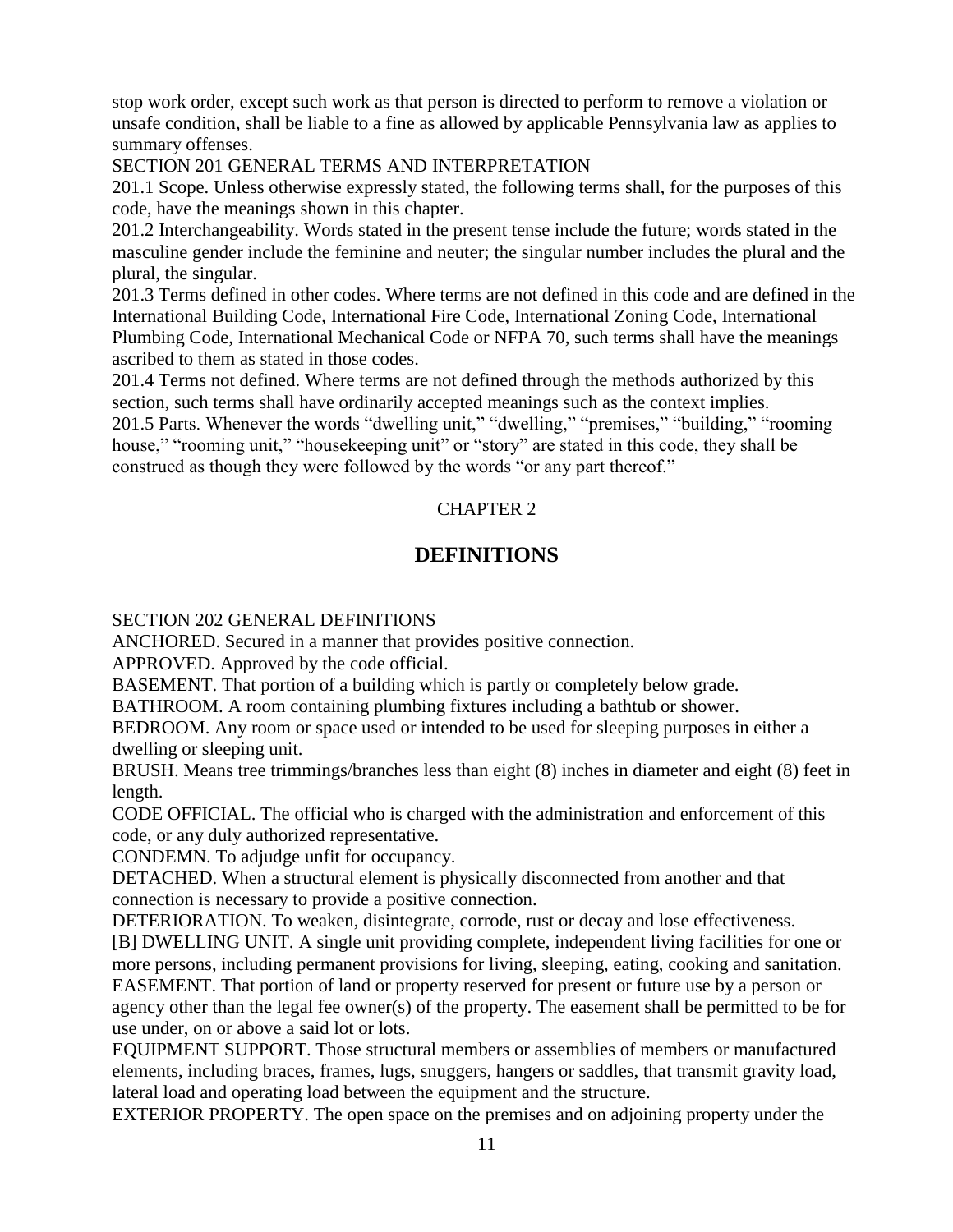stop work order, except such work as that person is directed to perform to remove a violation or unsafe condition, shall be liable to a fine as allowed by applicable Pennsylvania law as applies to summary offenses.

## SECTION 201 GENERAL TERMS AND INTERPRETATION

201.1 Scope. Unless otherwise expressly stated, the following terms shall, for the purposes of this code, have the meanings shown in this chapter.

201.2 Interchangeability. Words stated in the present tense include the future; words stated in the masculine gender include the feminine and neuter; the singular number includes the plural and the plural, the singular.

201.3 Terms defined in other codes. Where terms are not defined in this code and are defined in the International Building Code, International Fire Code, International Zoning Code, International Plumbing Code, International Mechanical Code or NFPA 70, such terms shall have the meanings ascribed to them as stated in those codes.

201.4 Terms not defined. Where terms are not defined through the methods authorized by this section, such terms shall have ordinarily accepted meanings such as the context implies. 201.5 Parts. Whenever the words "dwelling unit," "dwelling," "premises," "building," "rooming

house," "rooming unit," "housekeeping unit" or "story" are stated in this code, they shall be construed as though they were followed by the words "or any part thereof."

## CHAPTER 2

## **DEFINITIONS**

## SECTION 202 GENERAL DEFINITIONS

ANCHORED. Secured in a manner that provides positive connection.

APPROVED. Approved by the code official.

BASEMENT. That portion of a building which is partly or completely below grade.

BATHROOM. A room containing plumbing fixtures including a bathtub or shower.

BEDROOM. Any room or space used or intended to be used for sleeping purposes in either a dwelling or sleeping unit.

BRUSH. Means tree trimmings/branches less than eight (8) inches in diameter and eight (8) feet in length.

CODE OFFICIAL. The official who is charged with the administration and enforcement of this code, or any duly authorized representative.

CONDEMN. To adjudge unfit for occupancy.

DETACHED. When a structural element is physically disconnected from another and that connection is necessary to provide a positive connection.

DETERIORATION. To weaken, disintegrate, corrode, rust or decay and lose effectiveness. [B] DWELLING UNIT. A single unit providing complete, independent living facilities for one or more persons, including permanent provisions for living, sleeping, eating, cooking and sanitation. EASEMENT. That portion of land or property reserved for present or future use by a person or agency other than the legal fee owner(s) of the property. The easement shall be permitted to be for use under, on or above a said lot or lots.

EQUIPMENT SUPPORT. Those structural members or assemblies of members or manufactured elements, including braces, frames, lugs, snuggers, hangers or saddles, that transmit gravity load, lateral load and operating load between the equipment and the structure.

EXTERIOR PROPERTY. The open space on the premises and on adjoining property under the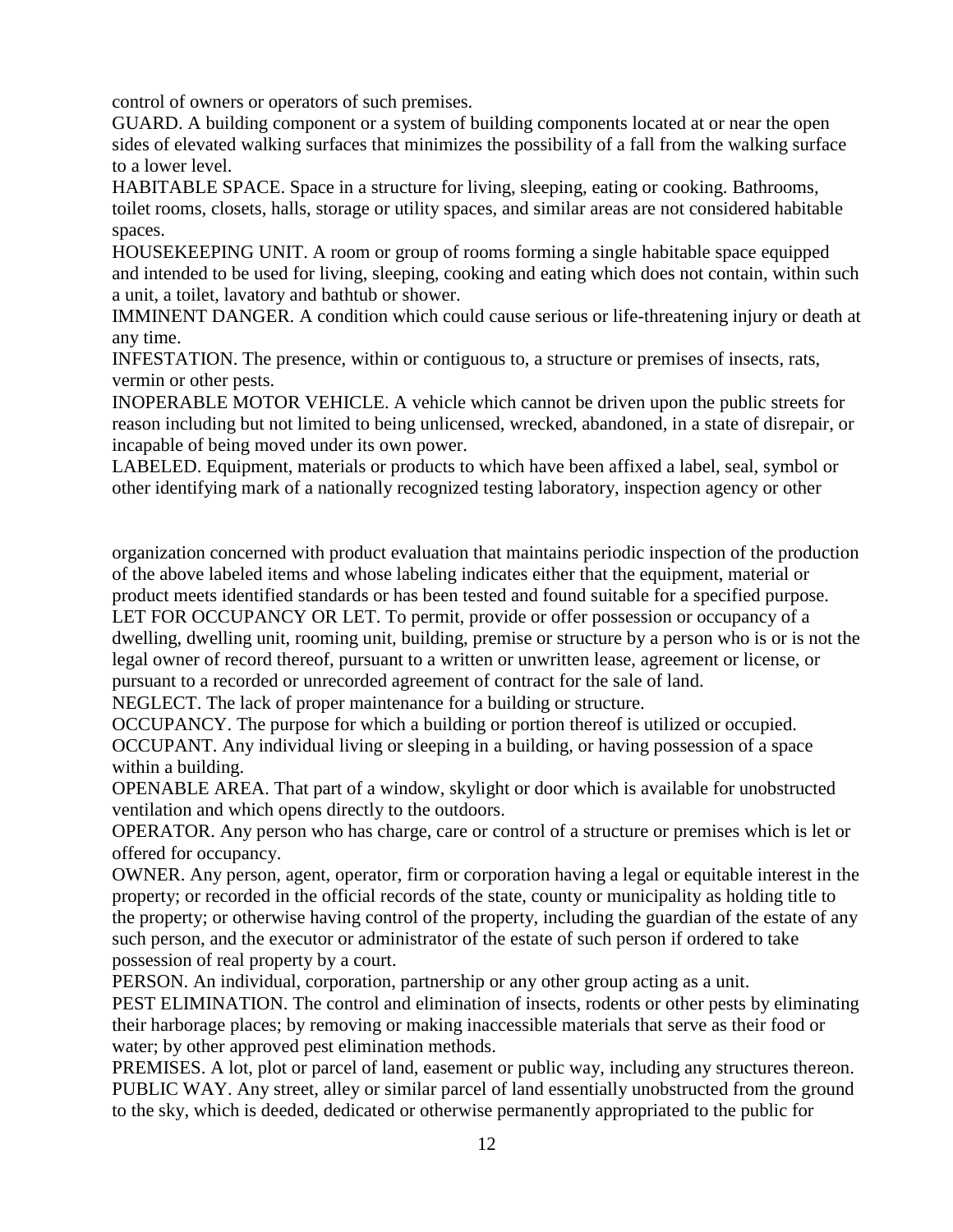control of owners or operators of such premises.

GUARD. A building component or a system of building components located at or near the open sides of elevated walking surfaces that minimizes the possibility of a fall from the walking surface to a lower level.

HABITABLE SPACE. Space in a structure for living, sleeping, eating or cooking. Bathrooms, toilet rooms, closets, halls, storage or utility spaces, and similar areas are not considered habitable spaces.

HOUSEKEEPING UNIT. A room or group of rooms forming a single habitable space equipped and intended to be used for living, sleeping, cooking and eating which does not contain, within such a unit, a toilet, lavatory and bathtub or shower.

IMMINENT DANGER. A condition which could cause serious or life-threatening injury or death at any time.

INFESTATION. The presence, within or contiguous to, a structure or premises of insects, rats, vermin or other pests.

INOPERABLE MOTOR VEHICLE. A vehicle which cannot be driven upon the public streets for reason including but not limited to being unlicensed, wrecked, abandoned, in a state of disrepair, or incapable of being moved under its own power.

LABELED. Equipment, materials or products to which have been affixed a label, seal, symbol or other identifying mark of a nationally recognized testing laboratory, inspection agency or other

organization concerned with product evaluation that maintains periodic inspection of the production of the above labeled items and whose labeling indicates either that the equipment, material or product meets identified standards or has been tested and found suitable for a specified purpose. LET FOR OCCUPANCY OR LET. To permit, provide or offer possession or occupancy of a dwelling, dwelling unit, rooming unit, building, premise or structure by a person who is or is not the legal owner of record thereof, pursuant to a written or unwritten lease, agreement or license, or pursuant to a recorded or unrecorded agreement of contract for the sale of land.

NEGLECT. The lack of proper maintenance for a building or structure.

OCCUPANCY. The purpose for which a building or portion thereof is utilized or occupied. OCCUPANT. Any individual living or sleeping in a building, or having possession of a space within a building.

OPENABLE AREA. That part of a window, skylight or door which is available for unobstructed ventilation and which opens directly to the outdoors.

OPERATOR. Any person who has charge, care or control of a structure or premises which is let or offered for occupancy.

OWNER. Any person, agent, operator, firm or corporation having a legal or equitable interest in the property; or recorded in the official records of the state, county or municipality as holding title to the property; or otherwise having control of the property, including the guardian of the estate of any such person, and the executor or administrator of the estate of such person if ordered to take possession of real property by a court.

PERSON. An individual, corporation, partnership or any other group acting as a unit.

PEST ELIMINATION. The control and elimination of insects, rodents or other pests by eliminating their harborage places; by removing or making inaccessible materials that serve as their food or water; by other approved pest elimination methods.

PREMISES. A lot, plot or parcel of land, easement or public way, including any structures thereon. PUBLIC WAY. Any street, alley or similar parcel of land essentially unobstructed from the ground to the sky, which is deeded, dedicated or otherwise permanently appropriated to the public for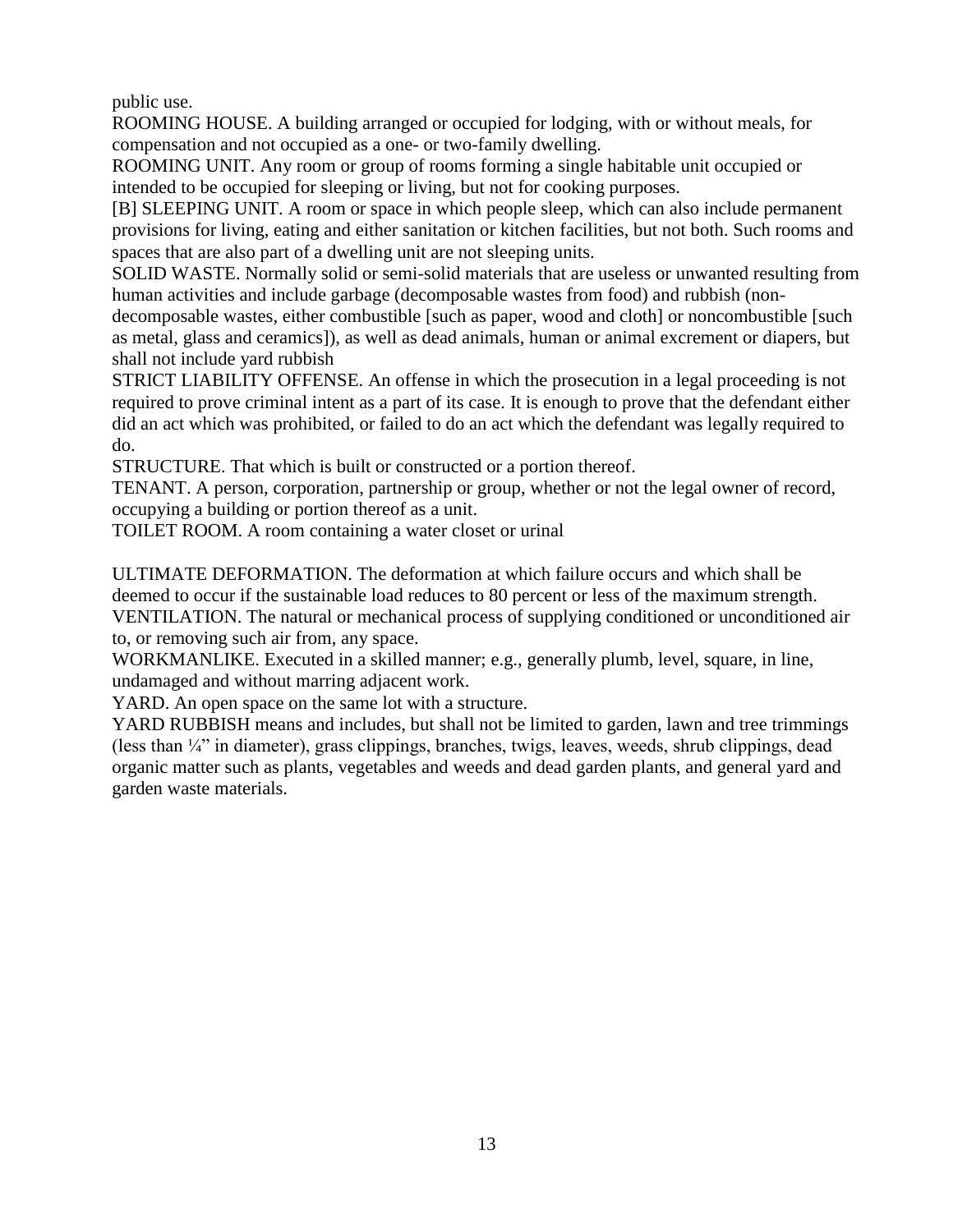public use.

ROOMING HOUSE. A building arranged or occupied for lodging, with or without meals, for compensation and not occupied as a one- or two-family dwelling.

ROOMING UNIT. Any room or group of rooms forming a single habitable unit occupied or intended to be occupied for sleeping or living, but not for cooking purposes.

[B] SLEEPING UNIT. A room or space in which people sleep, which can also include permanent provisions for living, eating and either sanitation or kitchen facilities, but not both. Such rooms and spaces that are also part of a dwelling unit are not sleeping units.

SOLID WASTE. Normally solid or semi-solid materials that are useless or unwanted resulting from human activities and include garbage (decomposable wastes from food) and rubbish (non-

decomposable wastes, either combustible [such as paper, wood and cloth] or noncombustible [such as metal, glass and ceramics]), as well as dead animals, human or animal excrement or diapers, but shall not include yard rubbish

STRICT LIABILITY OFFENSE. An offense in which the prosecution in a legal proceeding is not required to prove criminal intent as a part of its case. It is enough to prove that the defendant either did an act which was prohibited, or failed to do an act which the defendant was legally required to do.

STRUCTURE. That which is built or constructed or a portion thereof.

TENANT. A person, corporation, partnership or group, whether or not the legal owner of record, occupying a building or portion thereof as a unit.

TOILET ROOM. A room containing a water closet or urinal

ULTIMATE DEFORMATION. The deformation at which failure occurs and which shall be deemed to occur if the sustainable load reduces to 80 percent or less of the maximum strength. VENTILATION. The natural or mechanical process of supplying conditioned or unconditioned air to, or removing such air from, any space.

WORKMANLIKE. Executed in a skilled manner; e.g., generally plumb, level, square, in line, undamaged and without marring adjacent work.

YARD. An open space on the same lot with a structure.

YARD RUBBISH means and includes, but shall not be limited to garden, lawn and tree trimmings (less than ¼" in diameter), grass clippings, branches, twigs, leaves, weeds, shrub clippings, dead organic matter such as plants, vegetables and weeds and dead garden plants, and general yard and garden waste materials.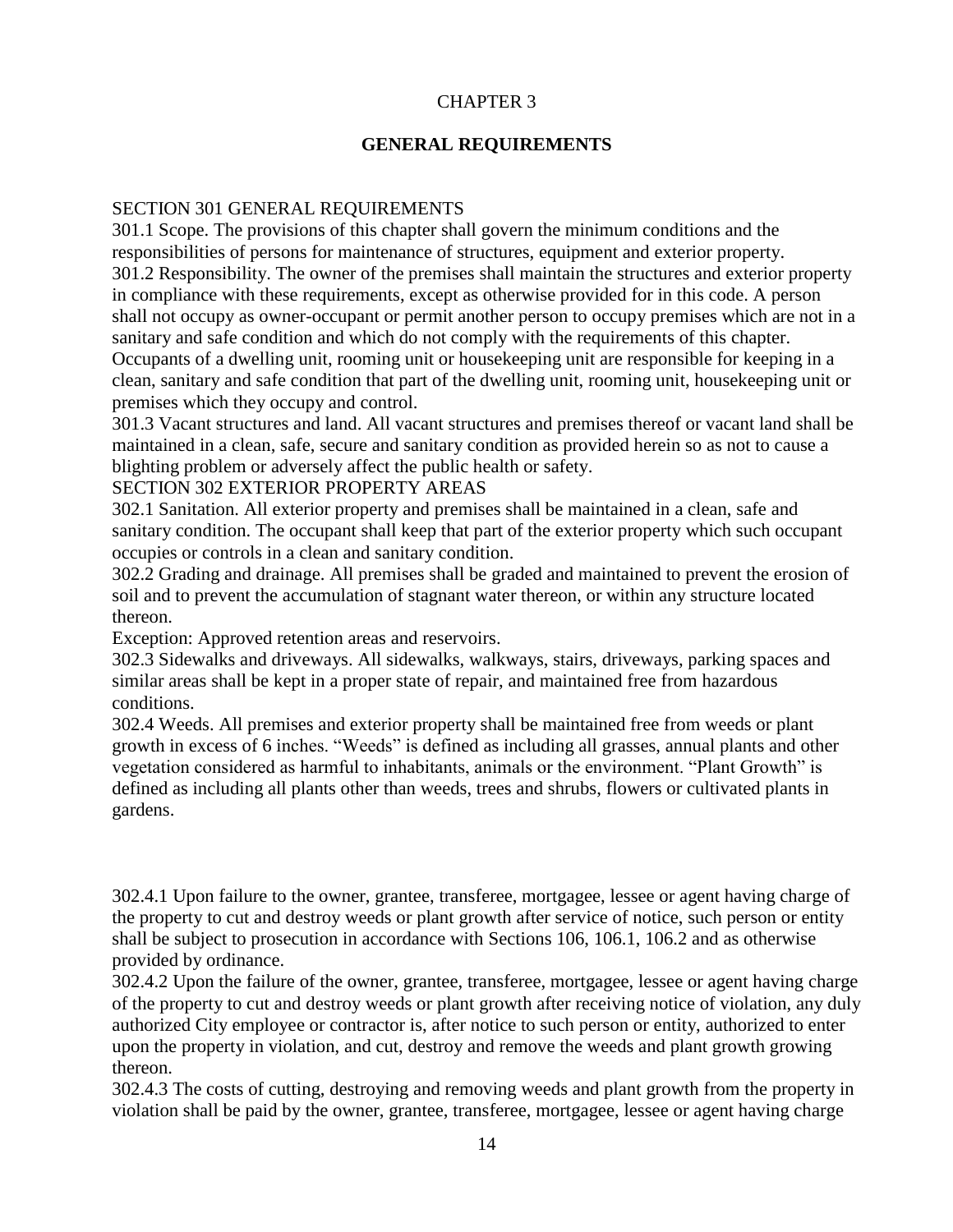#### CHAPTER 3

## **GENERAL REQUIREMENTS**

#### SECTION 301 GENERAL REQUIREMENTS

301.1 Scope. The provisions of this chapter shall govern the minimum conditions and the responsibilities of persons for maintenance of structures, equipment and exterior property. 301.2 Responsibility. The owner of the premises shall maintain the structures and exterior property in compliance with these requirements, except as otherwise provided for in this code. A person shall not occupy as owner-occupant or permit another person to occupy premises which are not in a sanitary and safe condition and which do not comply with the requirements of this chapter. Occupants of a dwelling unit, rooming unit or housekeeping unit are responsible for keeping in a clean, sanitary and safe condition that part of the dwelling unit, rooming unit, housekeeping unit or premises which they occupy and control.

301.3 Vacant structures and land. All vacant structures and premises thereof or vacant land shall be maintained in a clean, safe, secure and sanitary condition as provided herein so as not to cause a blighting problem or adversely affect the public health or safety.

#### SECTION 302 EXTERIOR PROPERTY AREAS

302.1 Sanitation. All exterior property and premises shall be maintained in a clean, safe and sanitary condition. The occupant shall keep that part of the exterior property which such occupant occupies or controls in a clean and sanitary condition.

302.2 Grading and drainage. All premises shall be graded and maintained to prevent the erosion of soil and to prevent the accumulation of stagnant water thereon, or within any structure located thereon.

Exception: Approved retention areas and reservoirs.

302.3 Sidewalks and driveways. All sidewalks, walkways, stairs, driveways, parking spaces and similar areas shall be kept in a proper state of repair, and maintained free from hazardous conditions.

302.4 Weeds. All premises and exterior property shall be maintained free from weeds or plant growth in excess of 6 inches. "Weeds" is defined as including all grasses, annual plants and other vegetation considered as harmful to inhabitants, animals or the environment. "Plant Growth" is defined as including all plants other than weeds, trees and shrubs, flowers or cultivated plants in gardens.

302.4.1 Upon failure to the owner, grantee, transferee, mortgagee, lessee or agent having charge of the property to cut and destroy weeds or plant growth after service of notice, such person or entity shall be subject to prosecution in accordance with Sections 106, 106.1, 106.2 and as otherwise provided by ordinance.

302.4.2 Upon the failure of the owner, grantee, transferee, mortgagee, lessee or agent having charge of the property to cut and destroy weeds or plant growth after receiving notice of violation, any duly authorized City employee or contractor is, after notice to such person or entity, authorized to enter upon the property in violation, and cut, destroy and remove the weeds and plant growth growing thereon.

302.4.3 The costs of cutting, destroying and removing weeds and plant growth from the property in violation shall be paid by the owner, grantee, transferee, mortgagee, lessee or agent having charge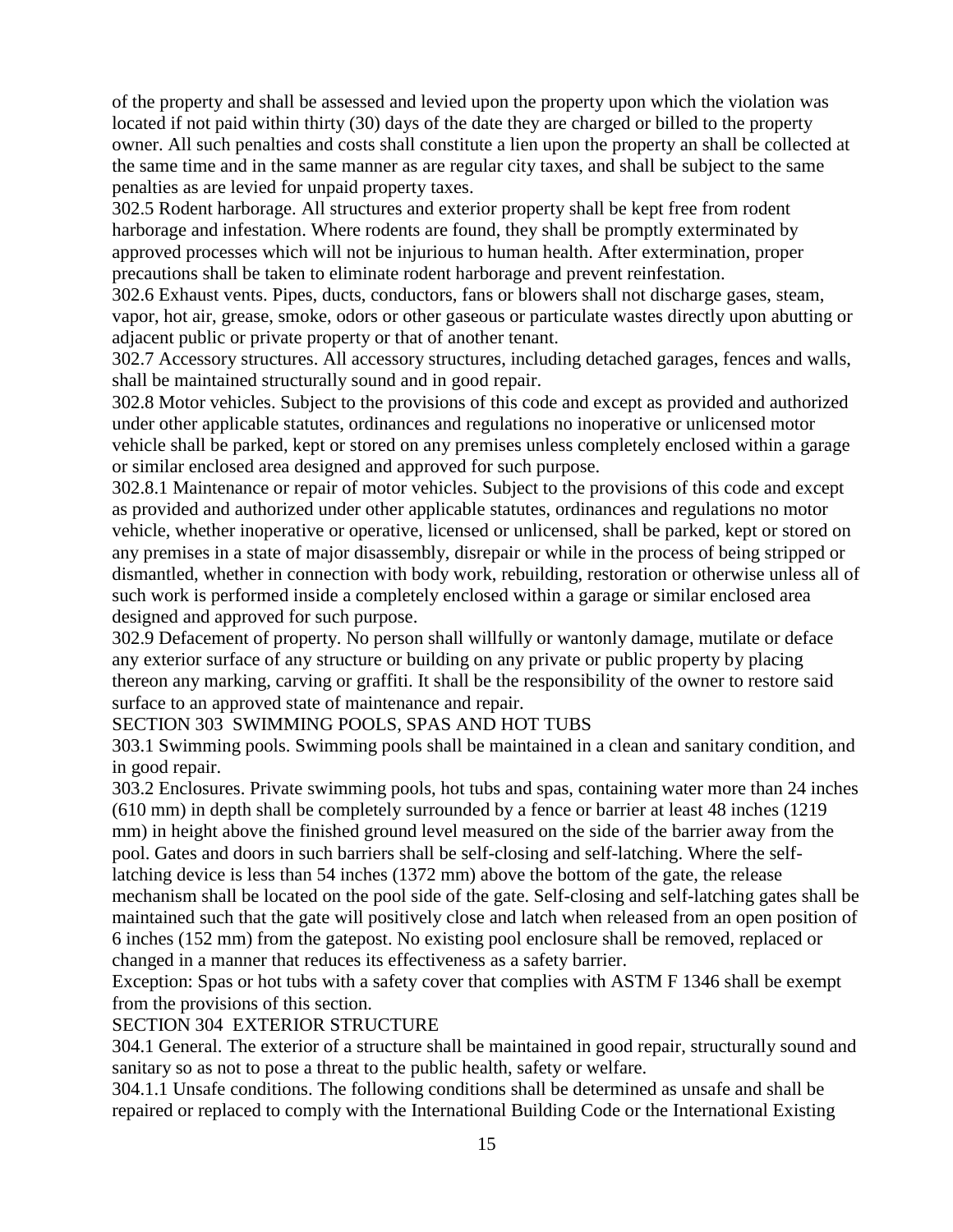of the property and shall be assessed and levied upon the property upon which the violation was located if not paid within thirty (30) days of the date they are charged or billed to the property owner. All such penalties and costs shall constitute a lien upon the property an shall be collected at the same time and in the same manner as are regular city taxes, and shall be subject to the same penalties as are levied for unpaid property taxes.

302.5 Rodent harborage. All structures and exterior property shall be kept free from rodent harborage and infestation. Where rodents are found, they shall be promptly exterminated by approved processes which will not be injurious to human health. After extermination, proper precautions shall be taken to eliminate rodent harborage and prevent reinfestation.

302.6 Exhaust vents. Pipes, ducts, conductors, fans or blowers shall not discharge gases, steam, vapor, hot air, grease, smoke, odors or other gaseous or particulate wastes directly upon abutting or adjacent public or private property or that of another tenant.

302.7 Accessory structures. All accessory structures, including detached garages, fences and walls, shall be maintained structurally sound and in good repair.

302.8 Motor vehicles. Subject to the provisions of this code and except as provided and authorized under other applicable statutes, ordinances and regulations no inoperative or unlicensed motor vehicle shall be parked, kept or stored on any premises unless completely enclosed within a garage or similar enclosed area designed and approved for such purpose.

302.8.1 Maintenance or repair of motor vehicles. Subject to the provisions of this code and except as provided and authorized under other applicable statutes, ordinances and regulations no motor vehicle, whether inoperative or operative, licensed or unlicensed, shall be parked, kept or stored on any premises in a state of major disassembly, disrepair or while in the process of being stripped or dismantled, whether in connection with body work, rebuilding, restoration or otherwise unless all of such work is performed inside a completely enclosed within a garage or similar enclosed area designed and approved for such purpose.

302.9 Defacement of property. No person shall willfully or wantonly damage, mutilate or deface any exterior surface of any structure or building on any private or public property by placing thereon any marking, carving or graffiti. It shall be the responsibility of the owner to restore said surface to an approved state of maintenance and repair.

## SECTION 303 SWIMMING POOLS, SPAS AND HOT TUBS

303.1 Swimming pools. Swimming pools shall be maintained in a clean and sanitary condition, and in good repair.

303.2 Enclosures. Private swimming pools, hot tubs and spas, containing water more than 24 inches (610 mm) in depth shall be completely surrounded by a fence or barrier at least 48 inches (1219 mm) in height above the finished ground level measured on the side of the barrier away from the pool. Gates and doors in such barriers shall be self-closing and self-latching. Where the selflatching device is less than 54 inches (1372 mm) above the bottom of the gate, the release mechanism shall be located on the pool side of the gate. Self-closing and self-latching gates shall be maintained such that the gate will positively close and latch when released from an open position of 6 inches (152 mm) from the gatepost. No existing pool enclosure shall be removed, replaced or changed in a manner that reduces its effectiveness as a safety barrier.

Exception: Spas or hot tubs with a safety cover that complies with ASTM F 1346 shall be exempt from the provisions of this section.

#### SECTION 304 EXTERIOR STRUCTURE

304.1 General. The exterior of a structure shall be maintained in good repair, structurally sound and sanitary so as not to pose a threat to the public health, safety or welfare.

304.1.1 Unsafe conditions. The following conditions shall be determined as unsafe and shall be repaired or replaced to comply with the International Building Code or the International Existing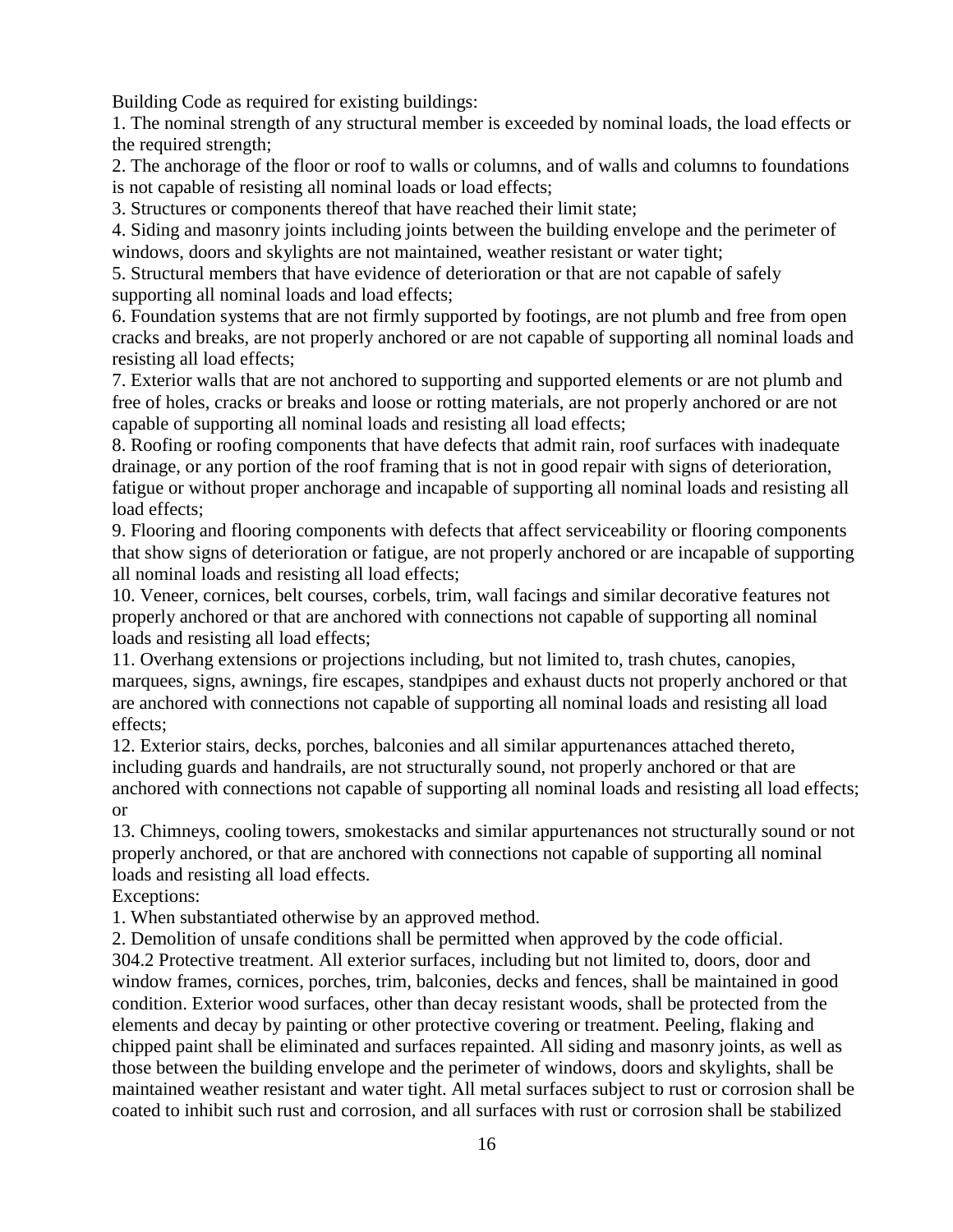Building Code as required for existing buildings:

1. The nominal strength of any structural member is exceeded by nominal loads, the load effects or the required strength;

2. The anchorage of the floor or roof to walls or columns, and of walls and columns to foundations is not capable of resisting all nominal loads or load effects;

3. Structures or components thereof that have reached their limit state;

4. Siding and masonry joints including joints between the building envelope and the perimeter of windows, doors and skylights are not maintained, weather resistant or water tight;

5. Structural members that have evidence of deterioration or that are not capable of safely supporting all nominal loads and load effects;

6. Foundation systems that are not firmly supported by footings, are not plumb and free from open cracks and breaks, are not properly anchored or are not capable of supporting all nominal loads and resisting all load effects;

7. Exterior walls that are not anchored to supporting and supported elements or are not plumb and free of holes, cracks or breaks and loose or rotting materials, are not properly anchored or are not capable of supporting all nominal loads and resisting all load effects;

8. Roofing or roofing components that have defects that admit rain, roof surfaces with inadequate drainage, or any portion of the roof framing that is not in good repair with signs of deterioration, fatigue or without proper anchorage and incapable of supporting all nominal loads and resisting all load effects;

9. Flooring and flooring components with defects that affect serviceability or flooring components that show signs of deterioration or fatigue, are not properly anchored or are incapable of supporting all nominal loads and resisting all load effects;

10. Veneer, cornices, belt courses, corbels, trim, wall facings and similar decorative features not properly anchored or that are anchored with connections not capable of supporting all nominal loads and resisting all load effects;

11. Overhang extensions or projections including, but not limited to, trash chutes, canopies, marquees, signs, awnings, fire escapes, standpipes and exhaust ducts not properly anchored or that are anchored with connections not capable of supporting all nominal loads and resisting all load effects;

12. Exterior stairs, decks, porches, balconies and all similar appurtenances attached thereto, including guards and handrails, are not structurally sound, not properly anchored or that are anchored with connections not capable of supporting all nominal loads and resisting all load effects; or

13. Chimneys, cooling towers, smokestacks and similar appurtenances not structurally sound or not properly anchored, or that are anchored with connections not capable of supporting all nominal loads and resisting all load effects.

Exceptions:

1. When substantiated otherwise by an approved method.

2. Demolition of unsafe conditions shall be permitted when approved by the code official.

304.2 Protective treatment. All exterior surfaces, including but not limited to, doors, door and window frames, cornices, porches, trim, balconies, decks and fences, shall be maintained in good condition. Exterior wood surfaces, other than decay resistant woods, shall be protected from the elements and decay by painting or other protective covering or treatment. Peeling, flaking and chipped paint shall be eliminated and surfaces repainted. All siding and masonry joints, as well as those between the building envelope and the perimeter of windows, doors and skylights, shall be maintained weather resistant and water tight. All metal surfaces subject to rust or corrosion shall be coated to inhibit such rust and corrosion, and all surfaces with rust or corrosion shall be stabilized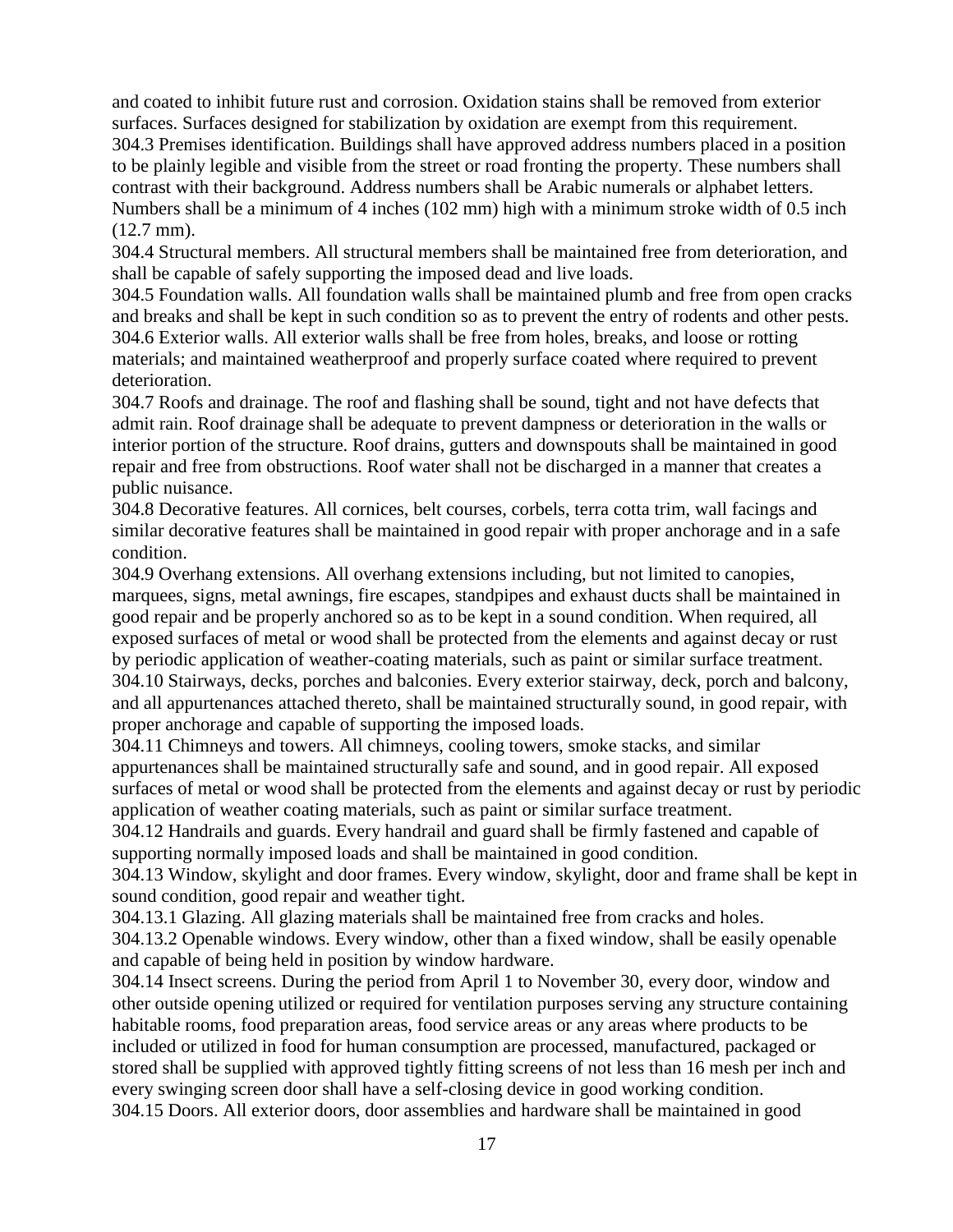and coated to inhibit future rust and corrosion. Oxidation stains shall be removed from exterior surfaces. Surfaces designed for stabilization by oxidation are exempt from this requirement. 304.3 Premises identification. Buildings shall have approved address numbers placed in a position to be plainly legible and visible from the street or road fronting the property. These numbers shall contrast with their background. Address numbers shall be Arabic numerals or alphabet letters. Numbers shall be a minimum of 4 inches (102 mm) high with a minimum stroke width of 0.5 inch (12.7 mm).

304.4 Structural members. All structural members shall be maintained free from deterioration, and shall be capable of safely supporting the imposed dead and live loads.

304.5 Foundation walls. All foundation walls shall be maintained plumb and free from open cracks and breaks and shall be kept in such condition so as to prevent the entry of rodents and other pests. 304.6 Exterior walls. All exterior walls shall be free from holes, breaks, and loose or rotting materials; and maintained weatherproof and properly surface coated where required to prevent deterioration.

304.7 Roofs and drainage. The roof and flashing shall be sound, tight and not have defects that admit rain. Roof drainage shall be adequate to prevent dampness or deterioration in the walls or interior portion of the structure. Roof drains, gutters and downspouts shall be maintained in good repair and free from obstructions. Roof water shall not be discharged in a manner that creates a public nuisance.

304.8 Decorative features. All cornices, belt courses, corbels, terra cotta trim, wall facings and similar decorative features shall be maintained in good repair with proper anchorage and in a safe condition.

304.9 Overhang extensions. All overhang extensions including, but not limited to canopies, marquees, signs, metal awnings, fire escapes, standpipes and exhaust ducts shall be maintained in good repair and be properly anchored so as to be kept in a sound condition. When required, all exposed surfaces of metal or wood shall be protected from the elements and against decay or rust by periodic application of weather-coating materials, such as paint or similar surface treatment. 304.10 Stairways, decks, porches and balconies. Every exterior stairway, deck, porch and balcony, and all appurtenances attached thereto, shall be maintained structurally sound, in good repair, with proper anchorage and capable of supporting the imposed loads.

304.11 Chimneys and towers. All chimneys, cooling towers, smoke stacks, and similar appurtenances shall be maintained structurally safe and sound, and in good repair. All exposed surfaces of metal or wood shall be protected from the elements and against decay or rust by periodic application of weather coating materials, such as paint or similar surface treatment.

304.12 Handrails and guards. Every handrail and guard shall be firmly fastened and capable of supporting normally imposed loads and shall be maintained in good condition.

304.13 Window, skylight and door frames. Every window, skylight, door and frame shall be kept in sound condition, good repair and weather tight.

304.13.1 Glazing. All glazing materials shall be maintained free from cracks and holes.

304.13.2 Openable windows. Every window, other than a fixed window, shall be easily openable and capable of being held in position by window hardware.

304.14 Insect screens. During the period from April 1 to November 30, every door, window and other outside opening utilized or required for ventilation purposes serving any structure containing habitable rooms, food preparation areas, food service areas or any areas where products to be included or utilized in food for human consumption are processed, manufactured, packaged or stored shall be supplied with approved tightly fitting screens of not less than 16 mesh per inch and every swinging screen door shall have a self-closing device in good working condition. 304.15 Doors. All exterior doors, door assemblies and hardware shall be maintained in good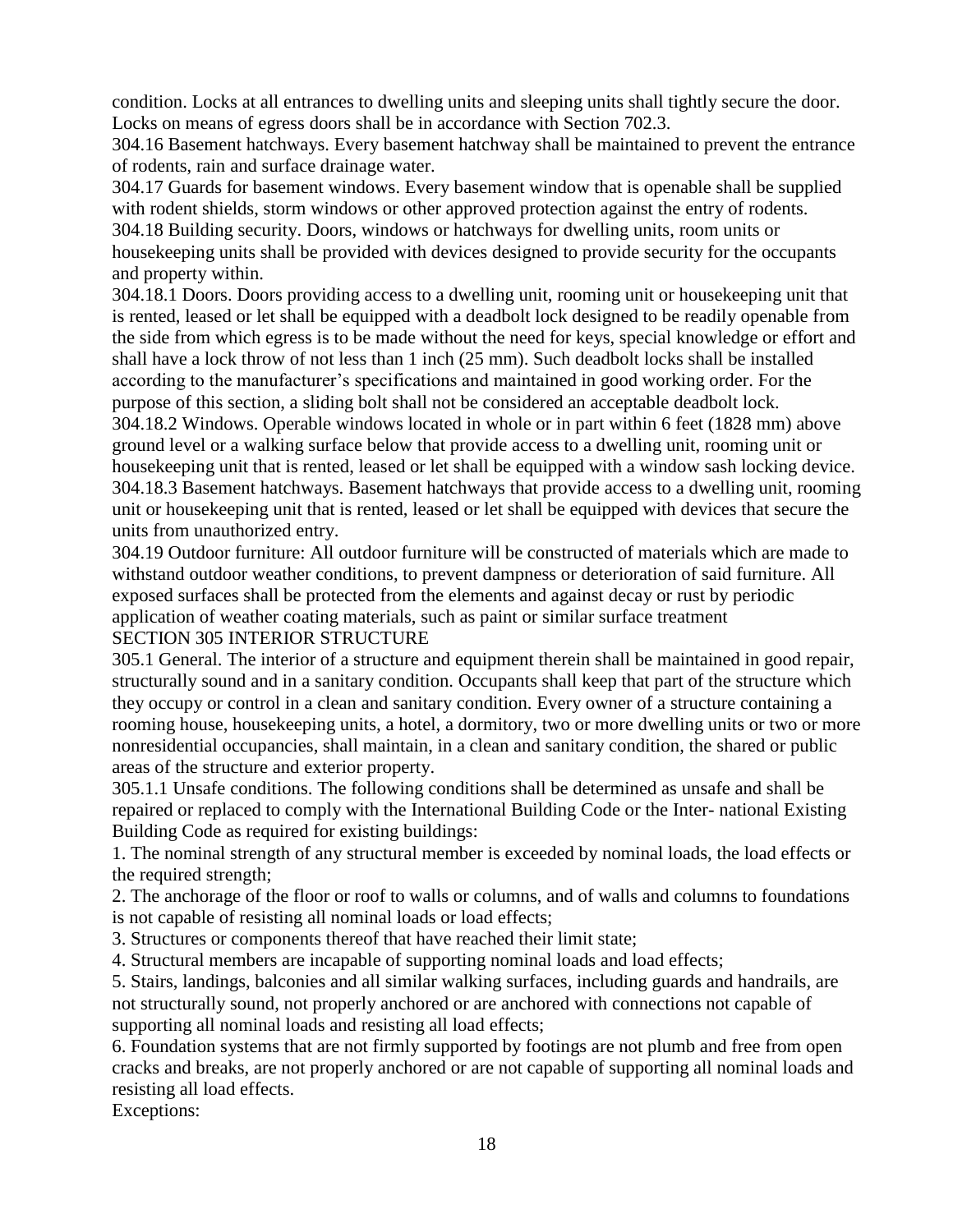condition. Locks at all entrances to dwelling units and sleeping units shall tightly secure the door. Locks on means of egress doors shall be in accordance with Section 702.3.

304.16 Basement hatchways. Every basement hatchway shall be maintained to prevent the entrance of rodents, rain and surface drainage water.

304.17 Guards for basement windows. Every basement window that is openable shall be supplied with rodent shields, storm windows or other approved protection against the entry of rodents. 304.18 Building security. Doors, windows or hatchways for dwelling units, room units or housekeeping units shall be provided with devices designed to provide security for the occupants and property within.

304.18.1 Doors. Doors providing access to a dwelling unit, rooming unit or housekeeping unit that is rented, leased or let shall be equipped with a deadbolt lock designed to be readily openable from the side from which egress is to be made without the need for keys, special knowledge or effort and shall have a lock throw of not less than 1 inch (25 mm). Such deadbolt locks shall be installed according to the manufacturer's specifications and maintained in good working order. For the purpose of this section, a sliding bolt shall not be considered an acceptable deadbolt lock.

304.18.2 Windows. Operable windows located in whole or in part within 6 feet (1828 mm) above ground level or a walking surface below that provide access to a dwelling unit, rooming unit or housekeeping unit that is rented, leased or let shall be equipped with a window sash locking device. 304.18.3 Basement hatchways. Basement hatchways that provide access to a dwelling unit, rooming unit or housekeeping unit that is rented, leased or let shall be equipped with devices that secure the units from unauthorized entry.

304.19 Outdoor furniture: All outdoor furniture will be constructed of materials which are made to withstand outdoor weather conditions, to prevent dampness or deterioration of said furniture. All exposed surfaces shall be protected from the elements and against decay or rust by periodic application of weather coating materials, such as paint or similar surface treatment SECTION 305 INTERIOR STRUCTURE

305.1 General. The interior of a structure and equipment therein shall be maintained in good repair, structurally sound and in a sanitary condition. Occupants shall keep that part of the structure which they occupy or control in a clean and sanitary condition. Every owner of a structure containing a rooming house, housekeeping units, a hotel, a dormitory, two or more dwelling units or two or more nonresidential occupancies, shall maintain, in a clean and sanitary condition, the shared or public areas of the structure and exterior property.

305.1.1 Unsafe conditions. The following conditions shall be determined as unsafe and shall be repaired or replaced to comply with the International Building Code or the Inter- national Existing Building Code as required for existing buildings:

1. The nominal strength of any structural member is exceeded by nominal loads, the load effects or the required strength;

2. The anchorage of the floor or roof to walls or columns, and of walls and columns to foundations is not capable of resisting all nominal loads or load effects;

3. Structures or components thereof that have reached their limit state;

4. Structural members are incapable of supporting nominal loads and load effects;

5. Stairs, landings, balconies and all similar walking surfaces, including guards and handrails, are not structurally sound, not properly anchored or are anchored with connections not capable of supporting all nominal loads and resisting all load effects;

6. Foundation systems that are not firmly supported by footings are not plumb and free from open cracks and breaks, are not properly anchored or are not capable of supporting all nominal loads and resisting all load effects.

Exceptions: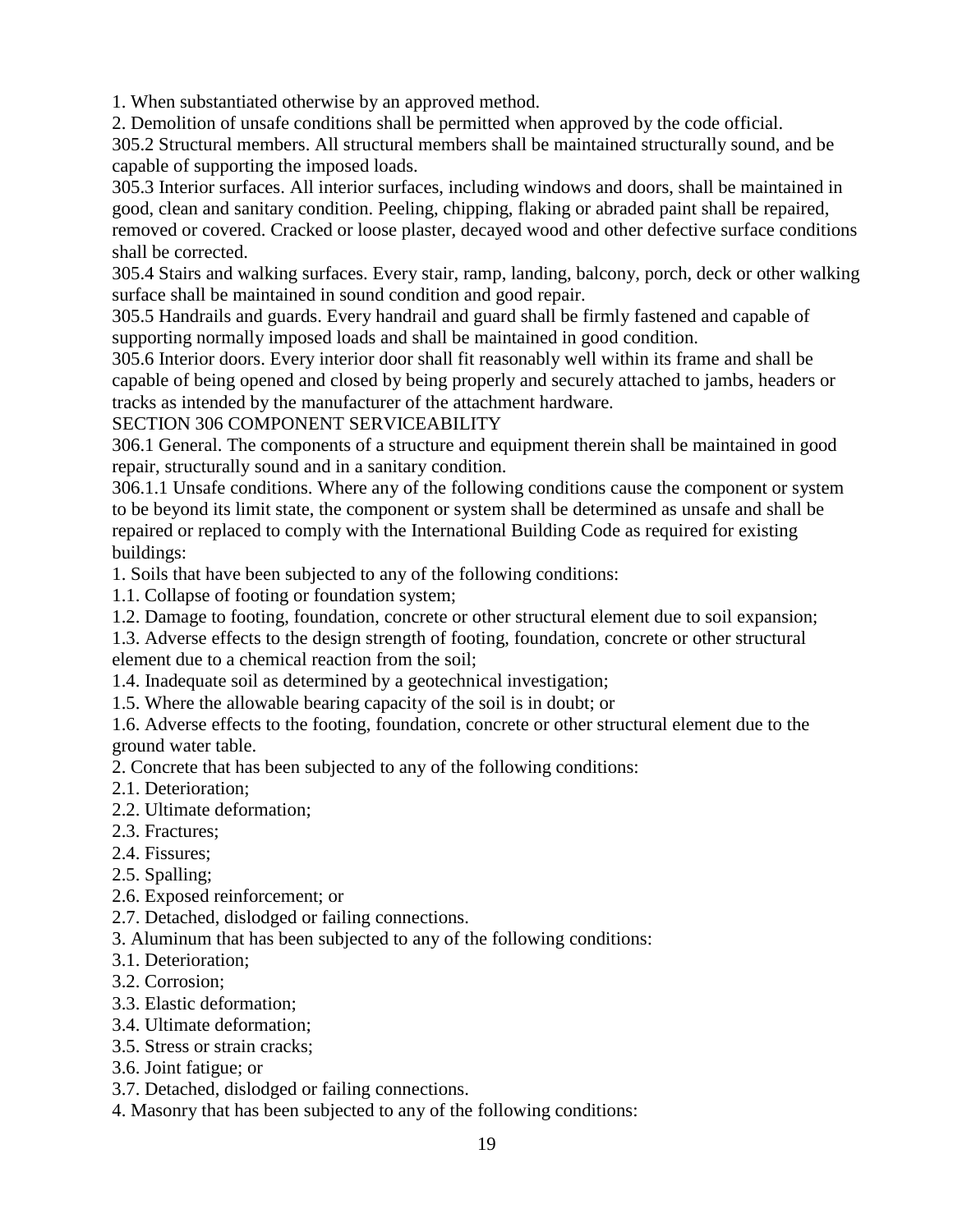1. When substantiated otherwise by an approved method.

2. Demolition of unsafe conditions shall be permitted when approved by the code official.

305.2 Structural members. All structural members shall be maintained structurally sound, and be capable of supporting the imposed loads.

305.3 Interior surfaces. All interior surfaces, including windows and doors, shall be maintained in good, clean and sanitary condition. Peeling, chipping, flaking or abraded paint shall be repaired, removed or covered. Cracked or loose plaster, decayed wood and other defective surface conditions shall be corrected.

305.4 Stairs and walking surfaces. Every stair, ramp, landing, balcony, porch, deck or other walking surface shall be maintained in sound condition and good repair.

305.5 Handrails and guards. Every handrail and guard shall be firmly fastened and capable of supporting normally imposed loads and shall be maintained in good condition.

305.6 Interior doors. Every interior door shall fit reasonably well within its frame and shall be capable of being opened and closed by being properly and securely attached to jambs, headers or tracks as intended by the manufacturer of the attachment hardware.

## SECTION 306 COMPONENT SERVICEABILITY

306.1 General. The components of a structure and equipment therein shall be maintained in good repair, structurally sound and in a sanitary condition.

306.1.1 Unsafe conditions. Where any of the following conditions cause the component or system to be beyond its limit state, the component or system shall be determined as unsafe and shall be repaired or replaced to comply with the International Building Code as required for existing buildings:

1. Soils that have been subjected to any of the following conditions:

- 1.1. Collapse of footing or foundation system;
- 1.2. Damage to footing, foundation, concrete or other structural element due to soil expansion;

1.3. Adverse effects to the design strength of footing, foundation, concrete or other structural element due to a chemical reaction from the soil;

1.4. Inadequate soil as determined by a geotechnical investigation;

1.5. Where the allowable bearing capacity of the soil is in doubt; or

1.6. Adverse effects to the footing, foundation, concrete or other structural element due to the ground water table.

2. Concrete that has been subjected to any of the following conditions:

- 2.1. Deterioration;
- 2.2. Ultimate deformation;
- 2.3. Fractures;
- 2.4. Fissures;
- 2.5. Spalling;
- 2.6. Exposed reinforcement; or
- 2.7. Detached, dislodged or failing connections.
- 3. Aluminum that has been subjected to any of the following conditions:
- 3.1. Deterioration;
- 3.2. Corrosion;
- 3.3. Elastic deformation;
- 3.4. Ultimate deformation;
- 3.5. Stress or strain cracks;
- 3.6. Joint fatigue; or
- 3.7. Detached, dislodged or failing connections.
- 4. Masonry that has been subjected to any of the following conditions: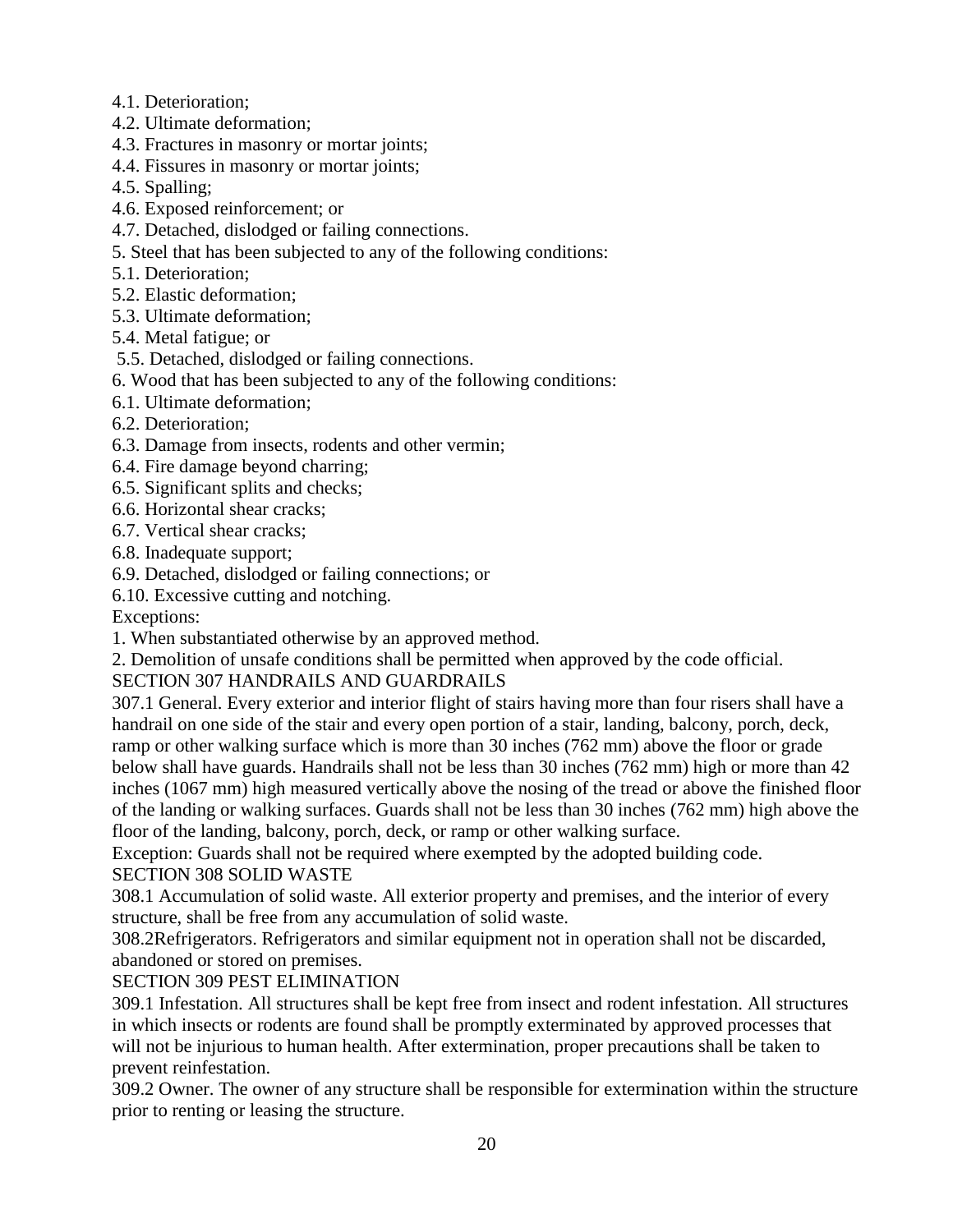- 4.1. Deterioration;
- 4.2. Ultimate deformation;
- 4.3. Fractures in masonry or mortar joints;
- 4.4. Fissures in masonry or mortar joints;
- 4.5. Spalling;
- 4.6. Exposed reinforcement; or
- 4.7. Detached, dislodged or failing connections.
- 5. Steel that has been subjected to any of the following conditions:
- 5.1. Deterioration;
- 5.2. Elastic deformation;
- 5.3. Ultimate deformation;
- 5.4. Metal fatigue; or
- 5.5. Detached, dislodged or failing connections.
- 6. Wood that has been subjected to any of the following conditions:
- 6.1. Ultimate deformation;
- 6.2. Deterioration;
- 6.3. Damage from insects, rodents and other vermin;
- 6.4. Fire damage beyond charring;
- 6.5. Significant splits and checks;
- 6.6. Horizontal shear cracks;
- 6.7. Vertical shear cracks;
- 6.8. Inadequate support;
- 6.9. Detached, dislodged or failing connections; or
- 6.10. Excessive cutting and notching.
- Exceptions:
- 1. When substantiated otherwise by an approved method.
- 2. Demolition of unsafe conditions shall be permitted when approved by the code official.

SECTION 307 HANDRAILS AND GUARDRAILS

307.1 General. Every exterior and interior flight of stairs having more than four risers shall have a handrail on one side of the stair and every open portion of a stair, landing, balcony, porch, deck, ramp or other walking surface which is more than 30 inches (762 mm) above the floor or grade below shall have guards. Handrails shall not be less than 30 inches (762 mm) high or more than 42 inches (1067 mm) high measured vertically above the nosing of the tread or above the finished floor of the landing or walking surfaces. Guards shall not be less than 30 inches (762 mm) high above the floor of the landing, balcony, porch, deck, or ramp or other walking surface.

Exception: Guards shall not be required where exempted by the adopted building code. SECTION 308 SOLID WASTE

308.1 Accumulation of solid waste. All exterior property and premises, and the interior of every structure, shall be free from any accumulation of solid waste.

308.2Refrigerators. Refrigerators and similar equipment not in operation shall not be discarded, abandoned or stored on premises.

## SECTION 309 PEST ELIMINATION

309.1 Infestation. All structures shall be kept free from insect and rodent infestation. All structures in which insects or rodents are found shall be promptly exterminated by approved processes that will not be injurious to human health. After extermination, proper precautions shall be taken to prevent reinfestation.

309.2 Owner. The owner of any structure shall be responsible for extermination within the structure prior to renting or leasing the structure.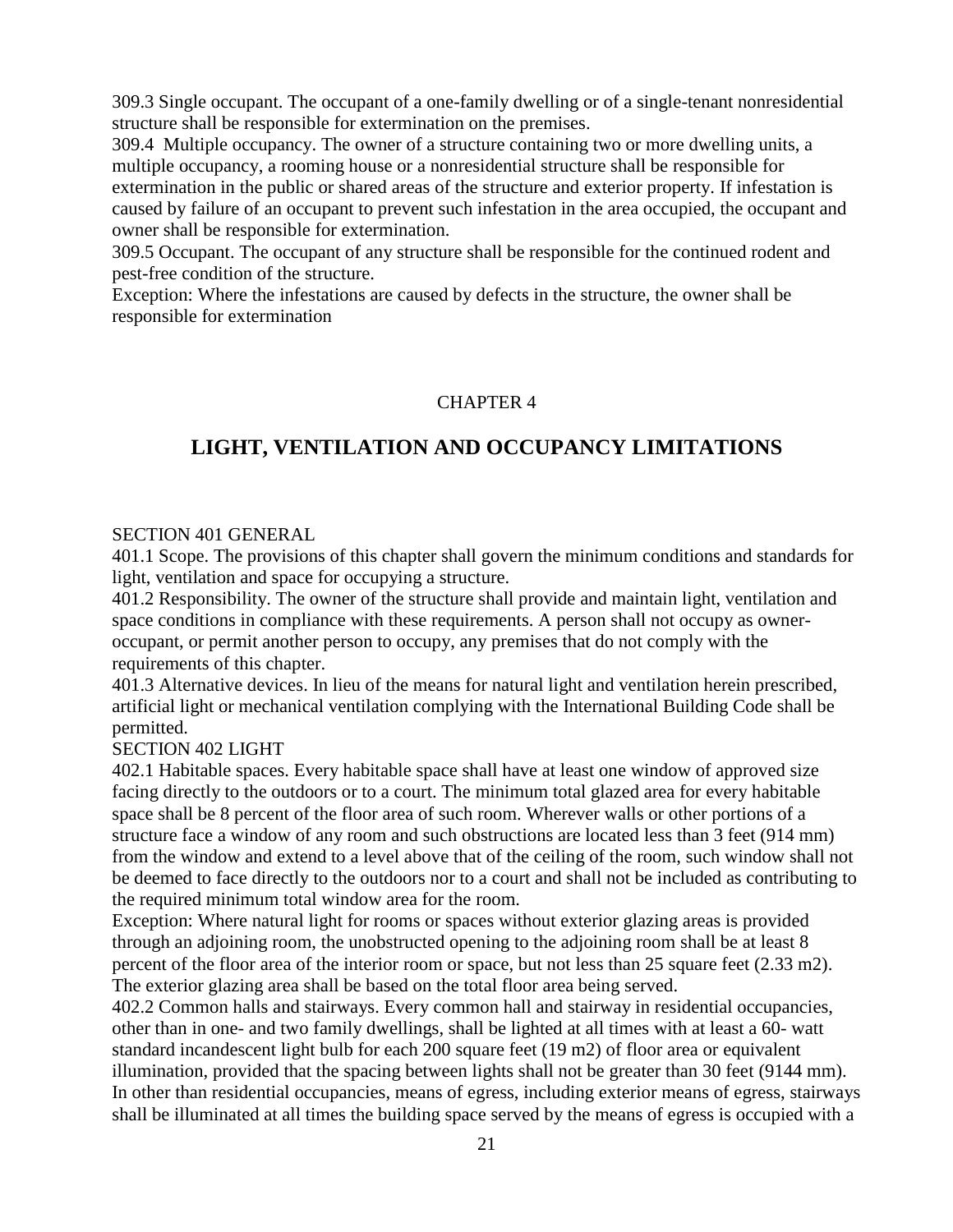309.3 Single occupant. The occupant of a one-family dwelling or of a single-tenant nonresidential structure shall be responsible for extermination on the premises.

309.4 Multiple occupancy. The owner of a structure containing two or more dwelling units, a multiple occupancy, a rooming house or a nonresidential structure shall be responsible for extermination in the public or shared areas of the structure and exterior property. If infestation is caused by failure of an occupant to prevent such infestation in the area occupied, the occupant and owner shall be responsible for extermination.

309.5 Occupant. The occupant of any structure shall be responsible for the continued rodent and pest-free condition of the structure.

Exception: Where the infestations are caused by defects in the structure, the owner shall be responsible for extermination

## CHAPTER 4

## **LIGHT, VENTILATION AND OCCUPANCY LIMITATIONS**

#### SECTION 401 GENERAL

401.1 Scope. The provisions of this chapter shall govern the minimum conditions and standards for light, ventilation and space for occupying a structure.

401.2 Responsibility. The owner of the structure shall provide and maintain light, ventilation and space conditions in compliance with these requirements. A person shall not occupy as owneroccupant, or permit another person to occupy, any premises that do not comply with the requirements of this chapter.

401.3 Alternative devices. In lieu of the means for natural light and ventilation herein prescribed, artificial light or mechanical ventilation complying with the International Building Code shall be permitted.

#### SECTION 402 LIGHT

402.1 Habitable spaces. Every habitable space shall have at least one window of approved size facing directly to the outdoors or to a court. The minimum total glazed area for every habitable space shall be 8 percent of the floor area of such room. Wherever walls or other portions of a structure face a window of any room and such obstructions are located less than 3 feet (914 mm) from the window and extend to a level above that of the ceiling of the room, such window shall not be deemed to face directly to the outdoors nor to a court and shall not be included as contributing to the required minimum total window area for the room.

Exception: Where natural light for rooms or spaces without exterior glazing areas is provided through an adjoining room, the unobstructed opening to the adjoining room shall be at least 8 percent of the floor area of the interior room or space, but not less than 25 square feet (2.33 m2). The exterior glazing area shall be based on the total floor area being served.

402.2 Common halls and stairways. Every common hall and stairway in residential occupancies, other than in one- and two family dwellings, shall be lighted at all times with at least a 60- watt standard incandescent light bulb for each 200 square feet (19 m2) of floor area or equivalent illumination, provided that the spacing between lights shall not be greater than 30 feet (9144 mm). In other than residential occupancies, means of egress, including exterior means of egress, stairways shall be illuminated at all times the building space served by the means of egress is occupied with a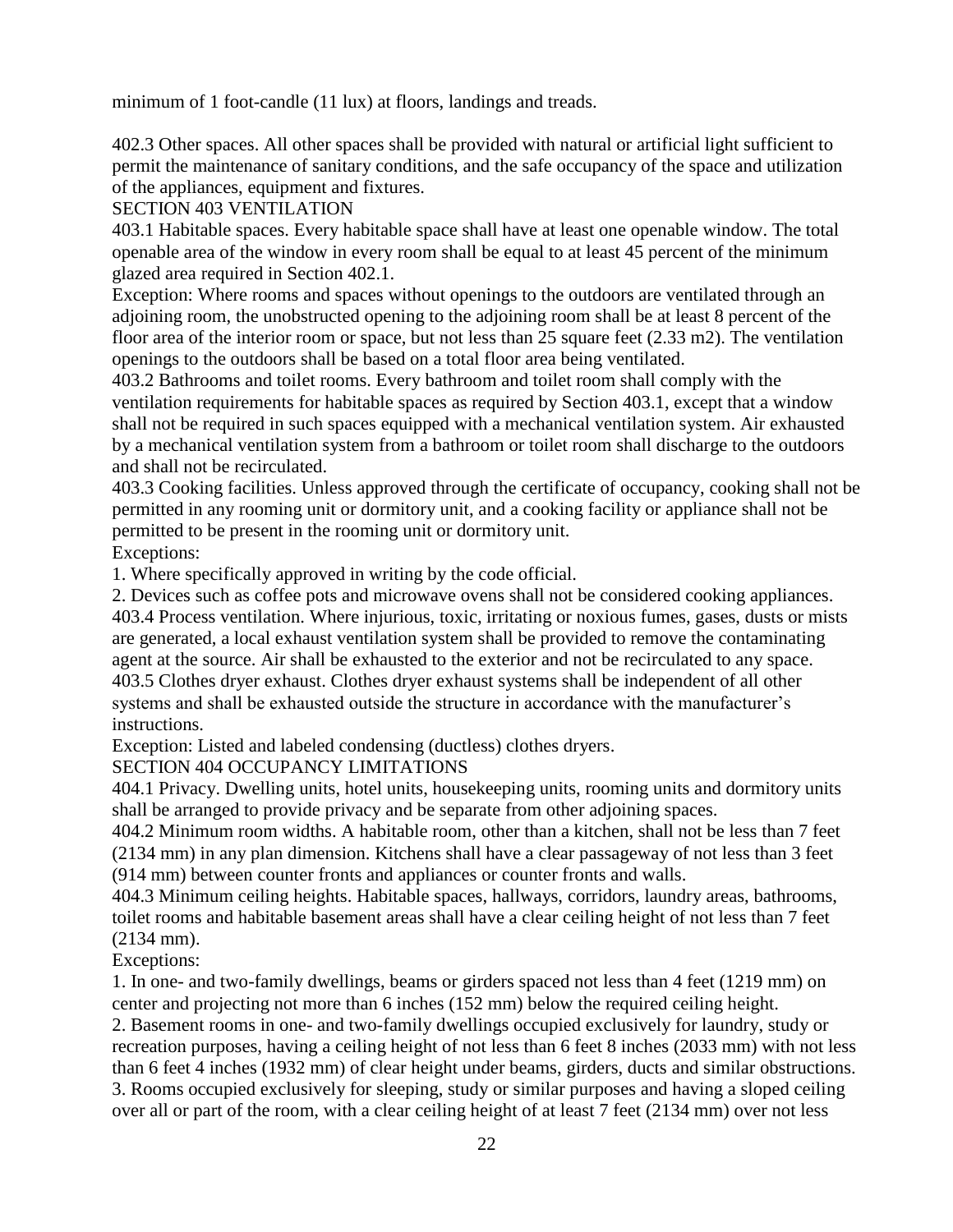minimum of 1 foot-candle (11 lux) at floors, landings and treads.

402.3 Other spaces. All other spaces shall be provided with natural or artificial light sufficient to permit the maintenance of sanitary conditions, and the safe occupancy of the space and utilization of the appliances, equipment and fixtures.

#### SECTION 403 VENTILATION

403.1 Habitable spaces. Every habitable space shall have at least one openable window. The total openable area of the window in every room shall be equal to at least 45 percent of the minimum glazed area required in Section 402.1.

Exception: Where rooms and spaces without openings to the outdoors are ventilated through an adjoining room, the unobstructed opening to the adjoining room shall be at least 8 percent of the floor area of the interior room or space, but not less than 25 square feet (2.33 m2). The ventilation openings to the outdoors shall be based on a total floor area being ventilated.

403.2 Bathrooms and toilet rooms. Every bathroom and toilet room shall comply with the ventilation requirements for habitable spaces as required by Section 403.1, except that a window shall not be required in such spaces equipped with a mechanical ventilation system. Air exhausted by a mechanical ventilation system from a bathroom or toilet room shall discharge to the outdoors and shall not be recirculated.

403.3 Cooking facilities. Unless approved through the certificate of occupancy, cooking shall not be permitted in any rooming unit or dormitory unit, and a cooking facility or appliance shall not be permitted to be present in the rooming unit or dormitory unit.

Exceptions:

1. Where specifically approved in writing by the code official.

2. Devices such as coffee pots and microwave ovens shall not be considered cooking appliances. 403.4 Process ventilation. Where injurious, toxic, irritating or noxious fumes, gases, dusts or mists are generated, a local exhaust ventilation system shall be provided to remove the contaminating agent at the source. Air shall be exhausted to the exterior and not be recirculated to any space. 403.5 Clothes dryer exhaust. Clothes dryer exhaust systems shall be independent of all other systems and shall be exhausted outside the structure in accordance with the manufacturer's instructions.

Exception: Listed and labeled condensing (ductless) clothes dryers.

## SECTION 404 OCCUPANCY LIMITATIONS

404.1 Privacy. Dwelling units, hotel units, housekeeping units, rooming units and dormitory units shall be arranged to provide privacy and be separate from other adjoining spaces.

404.2 Minimum room widths. A habitable room, other than a kitchen, shall not be less than 7 feet (2134 mm) in any plan dimension. Kitchens shall have a clear passageway of not less than 3 feet (914 mm) between counter fronts and appliances or counter fronts and walls.

404.3 Minimum ceiling heights. Habitable spaces, hallways, corridors, laundry areas, bathrooms, toilet rooms and habitable basement areas shall have a clear ceiling height of not less than 7 feet (2134 mm).

Exceptions:

1. In one- and two-family dwellings, beams or girders spaced not less than 4 feet (1219 mm) on center and projecting not more than 6 inches (152 mm) below the required ceiling height.

2. Basement rooms in one- and two-family dwellings occupied exclusively for laundry, study or recreation purposes, having a ceiling height of not less than 6 feet 8 inches (2033 mm) with not less than 6 feet 4 inches (1932 mm) of clear height under beams, girders, ducts and similar obstructions. 3. Rooms occupied exclusively for sleeping, study or similar purposes and having a sloped ceiling over all or part of the room, with a clear ceiling height of at least 7 feet (2134 mm) over not less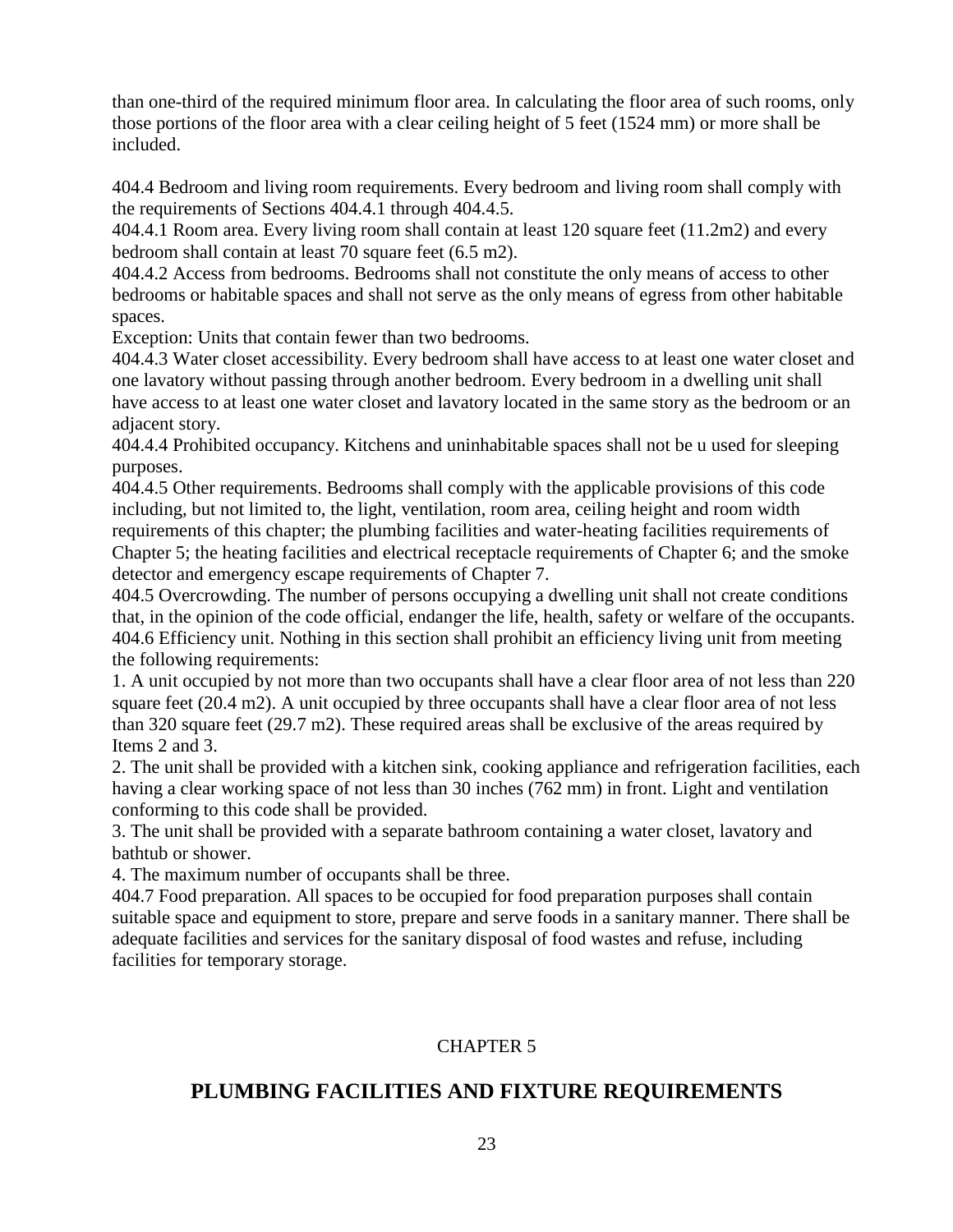than one-third of the required minimum floor area. In calculating the floor area of such rooms, only those portions of the floor area with a clear ceiling height of 5 feet (1524 mm) or more shall be included.

404.4 Bedroom and living room requirements. Every bedroom and living room shall comply with the requirements of Sections 404.4.1 through 404.4.5.

404.4.1 Room area. Every living room shall contain at least 120 square feet (11.2m2) and every bedroom shall contain at least 70 square feet (6.5 m2).

404.4.2 Access from bedrooms. Bedrooms shall not constitute the only means of access to other bedrooms or habitable spaces and shall not serve as the only means of egress from other habitable spaces.

Exception: Units that contain fewer than two bedrooms.

404.4.3 Water closet accessibility. Every bedroom shall have access to at least one water closet and one lavatory without passing through another bedroom. Every bedroom in a dwelling unit shall have access to at least one water closet and lavatory located in the same story as the bedroom or an adjacent story.

404.4.4 Prohibited occupancy. Kitchens and uninhabitable spaces shall not be u used for sleeping purposes.

404.4.5 Other requirements. Bedrooms shall comply with the applicable provisions of this code including, but not limited to, the light, ventilation, room area, ceiling height and room width requirements of this chapter; the plumbing facilities and water-heating facilities requirements of Chapter 5; the heating facilities and electrical receptacle requirements of Chapter 6; and the smoke detector and emergency escape requirements of Chapter 7.

404.5 Overcrowding. The number of persons occupying a dwelling unit shall not create conditions that, in the opinion of the code official, endanger the life, health, safety or welfare of the occupants. 404.6 Efficiency unit. Nothing in this section shall prohibit an efficiency living unit from meeting the following requirements:

1. A unit occupied by not more than two occupants shall have a clear floor area of not less than 220 square feet (20.4 m2). A unit occupied by three occupants shall have a clear floor area of not less than 320 square feet (29.7 m2). These required areas shall be exclusive of the areas required by Items 2 and 3.

2. The unit shall be provided with a kitchen sink, cooking appliance and refrigeration facilities, each having a clear working space of not less than 30 inches (762 mm) in front. Light and ventilation conforming to this code shall be provided.

3. The unit shall be provided with a separate bathroom containing a water closet, lavatory and bathtub or shower.

4. The maximum number of occupants shall be three.

404.7 Food preparation. All spaces to be occupied for food preparation purposes shall contain suitable space and equipment to store, prepare and serve foods in a sanitary manner. There shall be adequate facilities and services for the sanitary disposal of food wastes and refuse, including facilities for temporary storage.

## CHAPTER 5

## **PLUMBING FACILITIES AND FIXTURE REQUIREMENTS**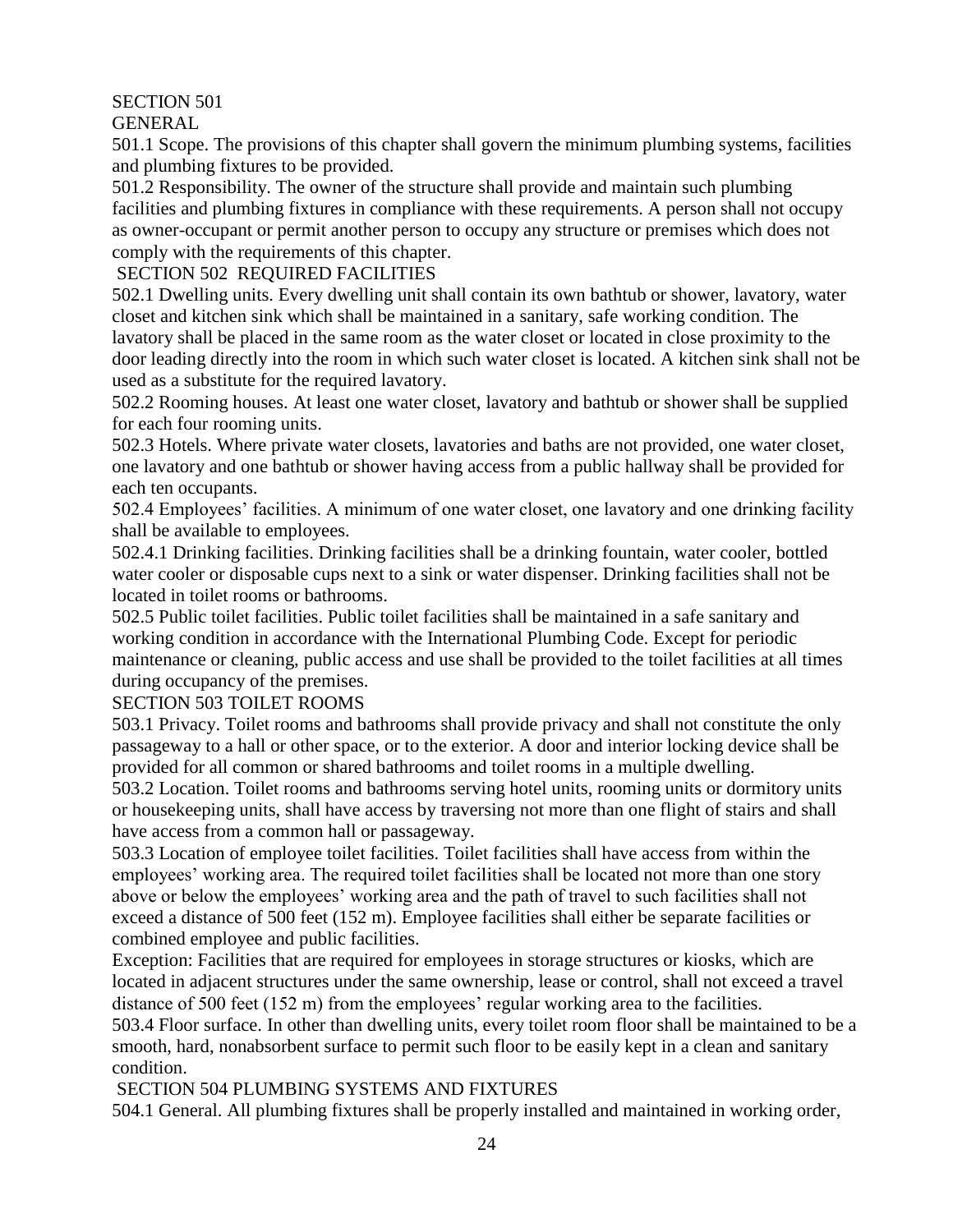## SECTION 501

GENERAL

501.1 Scope. The provisions of this chapter shall govern the minimum plumbing systems, facilities and plumbing fixtures to be provided.

501.2 Responsibility. The owner of the structure shall provide and maintain such plumbing facilities and plumbing fixtures in compliance with these requirements. A person shall not occupy as owner-occupant or permit another person to occupy any structure or premises which does not comply with the requirements of this chapter.

#### SECTION 502 REQUIRED FACILITIES

502.1 Dwelling units. Every dwelling unit shall contain its own bathtub or shower, lavatory, water closet and kitchen sink which shall be maintained in a sanitary, safe working condition. The lavatory shall be placed in the same room as the water closet or located in close proximity to the door leading directly into the room in which such water closet is located. A kitchen sink shall not be used as a substitute for the required lavatory.

502.2 Rooming houses. At least one water closet, lavatory and bathtub or shower shall be supplied for each four rooming units.

502.3 Hotels. Where private water closets, lavatories and baths are not provided, one water closet, one lavatory and one bathtub or shower having access from a public hallway shall be provided for each ten occupants.

502.4 Employees' facilities. A minimum of one water closet, one lavatory and one drinking facility shall be available to employees.

502.4.1 Drinking facilities. Drinking facilities shall be a drinking fountain, water cooler, bottled water cooler or disposable cups next to a sink or water dispenser. Drinking facilities shall not be located in toilet rooms or bathrooms.

502.5 Public toilet facilities. Public toilet facilities shall be maintained in a safe sanitary and working condition in accordance with the International Plumbing Code. Except for periodic maintenance or cleaning, public access and use shall be provided to the toilet facilities at all times during occupancy of the premises.

## SECTION 503 TOILET ROOMS

503.1 Privacy. Toilet rooms and bathrooms shall provide privacy and shall not constitute the only passageway to a hall or other space, or to the exterior. A door and interior locking device shall be provided for all common or shared bathrooms and toilet rooms in a multiple dwelling.

503.2 Location. Toilet rooms and bathrooms serving hotel units, rooming units or dormitory units or housekeeping units, shall have access by traversing not more than one flight of stairs and shall have access from a common hall or passageway.

503.3 Location of employee toilet facilities. Toilet facilities shall have access from within the employees' working area. The required toilet facilities shall be located not more than one story above or below the employees' working area and the path of travel to such facilities shall not exceed a distance of 500 feet (152 m). Employee facilities shall either be separate facilities or combined employee and public facilities.

Exception: Facilities that are required for employees in storage structures or kiosks, which are located in adjacent structures under the same ownership, lease or control, shall not exceed a travel distance of 500 feet (152 m) from the employees' regular working area to the facilities.

503.4 Floor surface. In other than dwelling units, every toilet room floor shall be maintained to be a smooth, hard, nonabsorbent surface to permit such floor to be easily kept in a clean and sanitary condition.

## SECTION 504 PLUMBING SYSTEMS AND FIXTURES

504.1 General. All plumbing fixtures shall be properly installed and maintained in working order,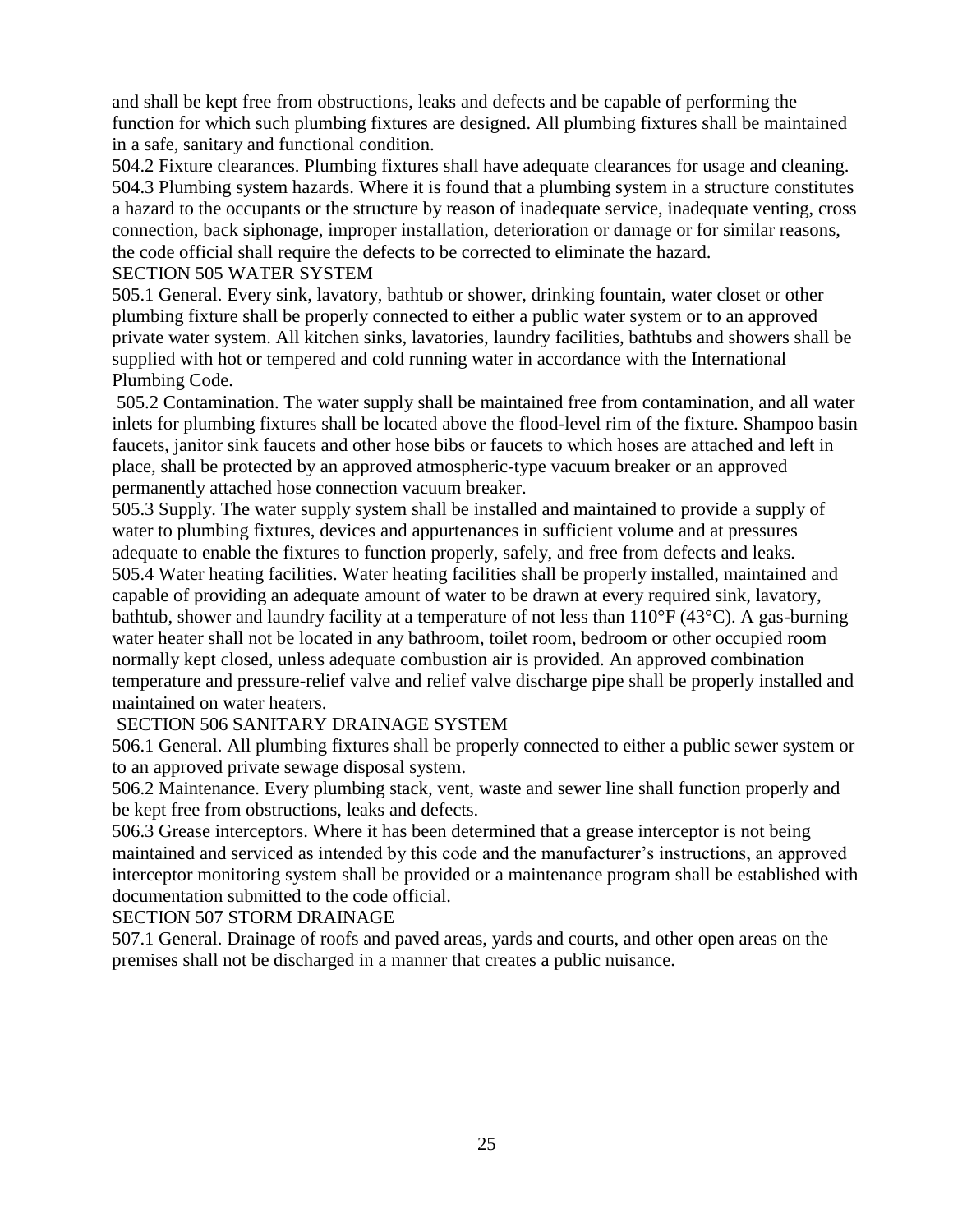and shall be kept free from obstructions, leaks and defects and be capable of performing the function for which such plumbing fixtures are designed. All plumbing fixtures shall be maintained in a safe, sanitary and functional condition.

504.2 Fixture clearances. Plumbing fixtures shall have adequate clearances for usage and cleaning. 504.3 Plumbing system hazards. Where it is found that a plumbing system in a structure constitutes a hazard to the occupants or the structure by reason of inadequate service, inadequate venting, cross connection, back siphonage, improper installation, deterioration or damage or for similar reasons, the code official shall require the defects to be corrected to eliminate the hazard.

#### SECTION 505 WATER SYSTEM

505.1 General. Every sink, lavatory, bathtub or shower, drinking fountain, water closet or other plumbing fixture shall be properly connected to either a public water system or to an approved private water system. All kitchen sinks, lavatories, laundry facilities, bathtubs and showers shall be supplied with hot or tempered and cold running water in accordance with the International Plumbing Code.

505.2 Contamination. The water supply shall be maintained free from contamination, and all water inlets for plumbing fixtures shall be located above the flood-level rim of the fixture. Shampoo basin faucets, janitor sink faucets and other hose bibs or faucets to which hoses are attached and left in place, shall be protected by an approved atmospheric-type vacuum breaker or an approved permanently attached hose connection vacuum breaker.

505.3 Supply. The water supply system shall be installed and maintained to provide a supply of water to plumbing fixtures, devices and appurtenances in sufficient volume and at pressures adequate to enable the fixtures to function properly, safely, and free from defects and leaks. 505.4 Water heating facilities. Water heating facilities shall be properly installed, maintained and capable of providing an adequate amount of water to be drawn at every required sink, lavatory, bathtub, shower and laundry facility at a temperature of not less than 110°F (43°C). A gas-burning water heater shall not be located in any bathroom, toilet room, bedroom or other occupied room normally kept closed, unless adequate combustion air is provided. An approved combination temperature and pressure-relief valve and relief valve discharge pipe shall be properly installed and maintained on water heaters.

#### SECTION 506 SANITARY DRAINAGE SYSTEM

506.1 General. All plumbing fixtures shall be properly connected to either a public sewer system or to an approved private sewage disposal system.

506.2 Maintenance. Every plumbing stack, vent, waste and sewer line shall function properly and be kept free from obstructions, leaks and defects.

506.3 Grease interceptors. Where it has been determined that a grease interceptor is not being maintained and serviced as intended by this code and the manufacturer's instructions, an approved interceptor monitoring system shall be provided or a maintenance program shall be established with documentation submitted to the code official.

#### SECTION 507 STORM DRAINAGE

507.1 General. Drainage of roofs and paved areas, yards and courts, and other open areas on the premises shall not be discharged in a manner that creates a public nuisance.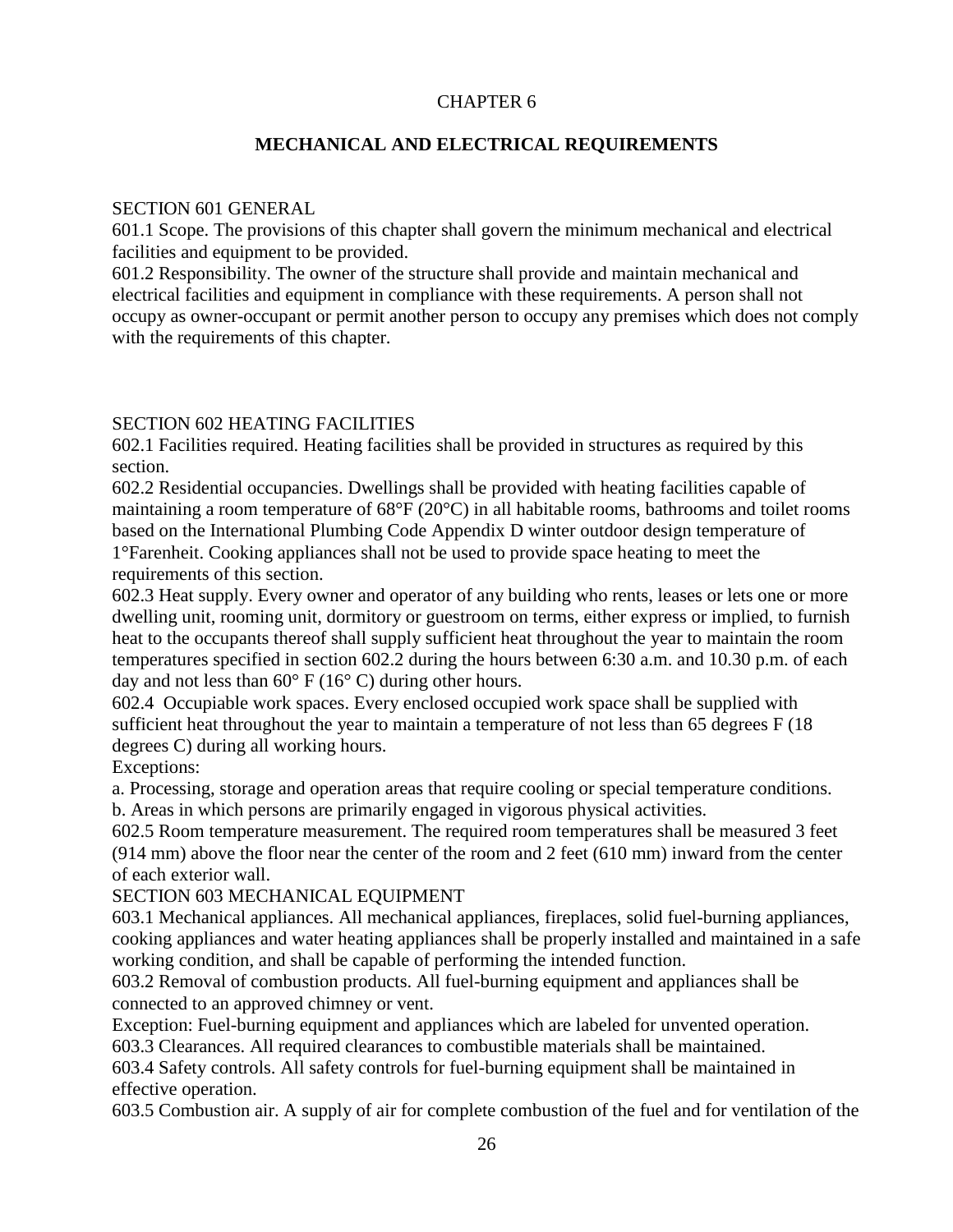#### CHAPTER 6

## **MECHANICAL AND ELECTRICAL REQUIREMENTS**

#### SECTION 601 GENERAL

601.1 Scope. The provisions of this chapter shall govern the minimum mechanical and electrical facilities and equipment to be provided.

601.2 Responsibility. The owner of the structure shall provide and maintain mechanical and electrical facilities and equipment in compliance with these requirements. A person shall not occupy as owner-occupant or permit another person to occupy any premises which does not comply with the requirements of this chapter.

#### SECTION 602 HEATING FACILITIES

602.1 Facilities required. Heating facilities shall be provided in structures as required by this section.

602.2 Residential occupancies. Dwellings shall be provided with heating facilities capable of maintaining a room temperature of 68°F (20°C) in all habitable rooms, bathrooms and toilet rooms based on the International Plumbing Code Appendix D winter outdoor design temperature of 1°Farenheit. Cooking appliances shall not be used to provide space heating to meet the

requirements of this section.

602.3 Heat supply. Every owner and operator of any building who rents, leases or lets one or more dwelling unit, rooming unit, dormitory or guestroom on terms, either express or implied, to furnish heat to the occupants thereof shall supply sufficient heat throughout the year to maintain the room temperatures specified in section 602.2 during the hours between 6:30 a.m. and 10.30 p.m. of each day and not less than  $60^{\circ}$  F (16 $^{\circ}$  C) during other hours.

602.4 Occupiable work spaces. Every enclosed occupied work space shall be supplied with sufficient heat throughout the year to maintain a temperature of not less than 65 degrees F (18 degrees C) during all working hours.

Exceptions:

a. Processing, storage and operation areas that require cooling or special temperature conditions.

b. Areas in which persons are primarily engaged in vigorous physical activities.

602.5 Room temperature measurement. The required room temperatures shall be measured 3 feet (914 mm) above the floor near the center of the room and 2 feet (610 mm) inward from the center of each exterior wall.

#### SECTION 603 MECHANICAL EQUIPMENT

603.1 Mechanical appliances. All mechanical appliances, fireplaces, solid fuel-burning appliances, cooking appliances and water heating appliances shall be properly installed and maintained in a safe working condition, and shall be capable of performing the intended function.

603.2 Removal of combustion products. All fuel-burning equipment and appliances shall be connected to an approved chimney or vent.

Exception: Fuel-burning equipment and appliances which are labeled for unvented operation. 603.3 Clearances. All required clearances to combustible materials shall be maintained.

603.4 Safety controls. All safety controls for fuel-burning equipment shall be maintained in effective operation.

603.5 Combustion air. A supply of air for complete combustion of the fuel and for ventilation of the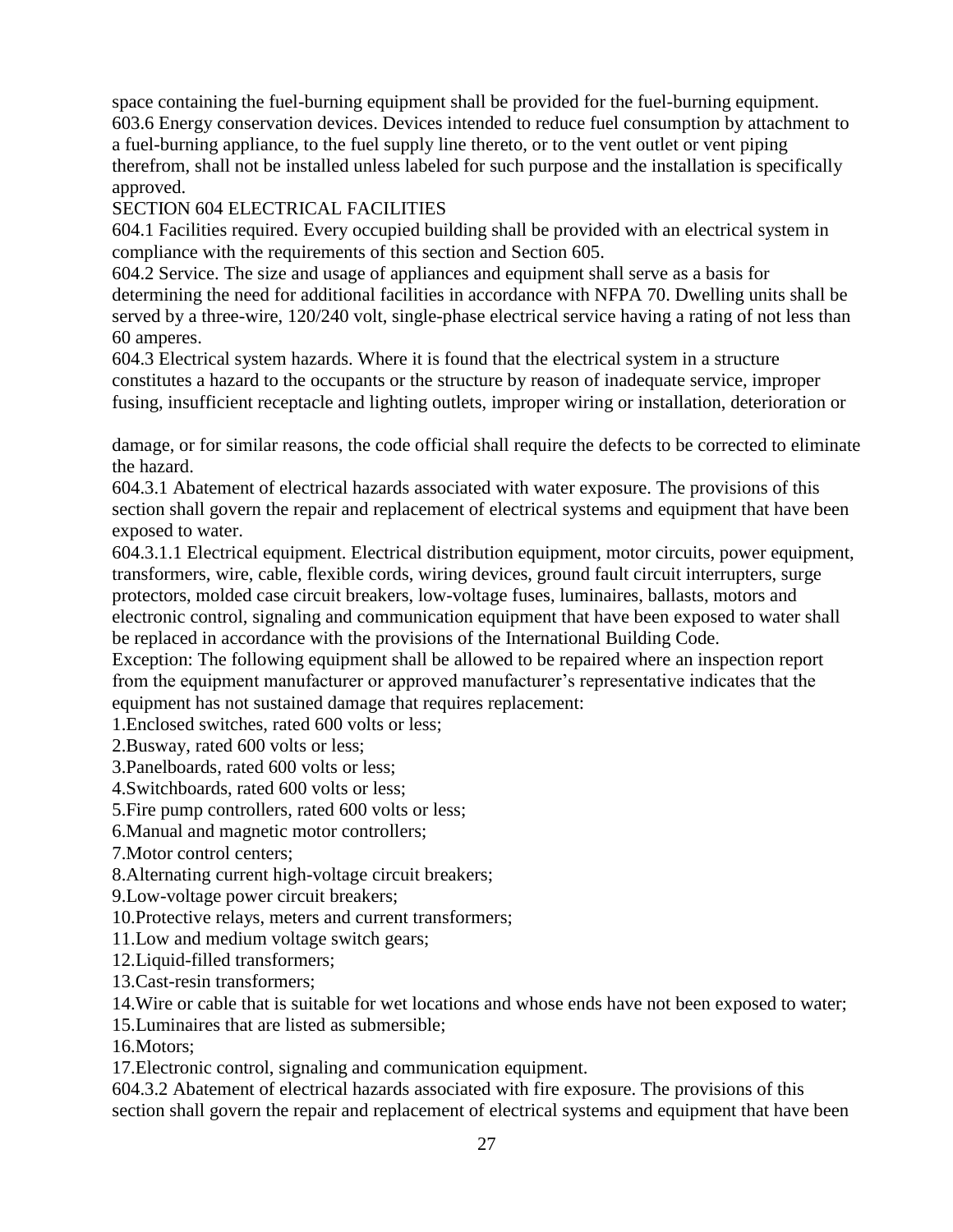space containing the fuel-burning equipment shall be provided for the fuel-burning equipment. 603.6 Energy conservation devices. Devices intended to reduce fuel consumption by attachment to a fuel-burning appliance, to the fuel supply line thereto, or to the vent outlet or vent piping therefrom, shall not be installed unless labeled for such purpose and the installation is specifically approved.

## SECTION 604 ELECTRICAL FACILITIES

604.1 Facilities required. Every occupied building shall be provided with an electrical system in compliance with the requirements of this section and Section 605.

604.2 Service. The size and usage of appliances and equipment shall serve as a basis for determining the need for additional facilities in accordance with NFPA 70. Dwelling units shall be served by a three-wire, 120/240 volt, single-phase electrical service having a rating of not less than 60 amperes.

604.3 Electrical system hazards. Where it is found that the electrical system in a structure constitutes a hazard to the occupants or the structure by reason of inadequate service, improper fusing, insufficient receptacle and lighting outlets, improper wiring or installation, deterioration or

damage, or for similar reasons, the code official shall require the defects to be corrected to eliminate the hazard.

604.3.1 Abatement of electrical hazards associated with water exposure. The provisions of this section shall govern the repair and replacement of electrical systems and equipment that have been exposed to water.

604.3.1.1 Electrical equipment. Electrical distribution equipment, motor circuits, power equipment, transformers, wire, cable, flexible cords, wiring devices, ground fault circuit interrupters, surge protectors, molded case circuit breakers, low-voltage fuses, luminaires, ballasts, motors and electronic control, signaling and communication equipment that have been exposed to water shall be replaced in accordance with the provisions of the International Building Code.

Exception: The following equipment shall be allowed to be repaired where an inspection report from the equipment manufacturer or approved manufacturer's representative indicates that the equipment has not sustained damage that requires replacement:

1.Enclosed switches, rated 600 volts or less;

2.Busway, rated 600 volts or less;

3.Panelboards, rated 600 volts or less;

4.Switchboards, rated 600 volts or less;

5.Fire pump controllers, rated 600 volts or less;

6.Manual and magnetic motor controllers;

7.Motor control centers;

8.Alternating current high-voltage circuit breakers;

9.Low-voltage power circuit breakers;

10.Protective relays, meters and current transformers;

11.Low and medium voltage switch gears;

12.Liquid-filled transformers;

13.Cast-resin transformers;

14.Wire or cable that is suitable for wet locations and whose ends have not been exposed to water;

15.Luminaires that are listed as submersible;

16.Motors;

17.Electronic control, signaling and communication equipment.

604.3.2 Abatement of electrical hazards associated with fire exposure. The provisions of this section shall govern the repair and replacement of electrical systems and equipment that have been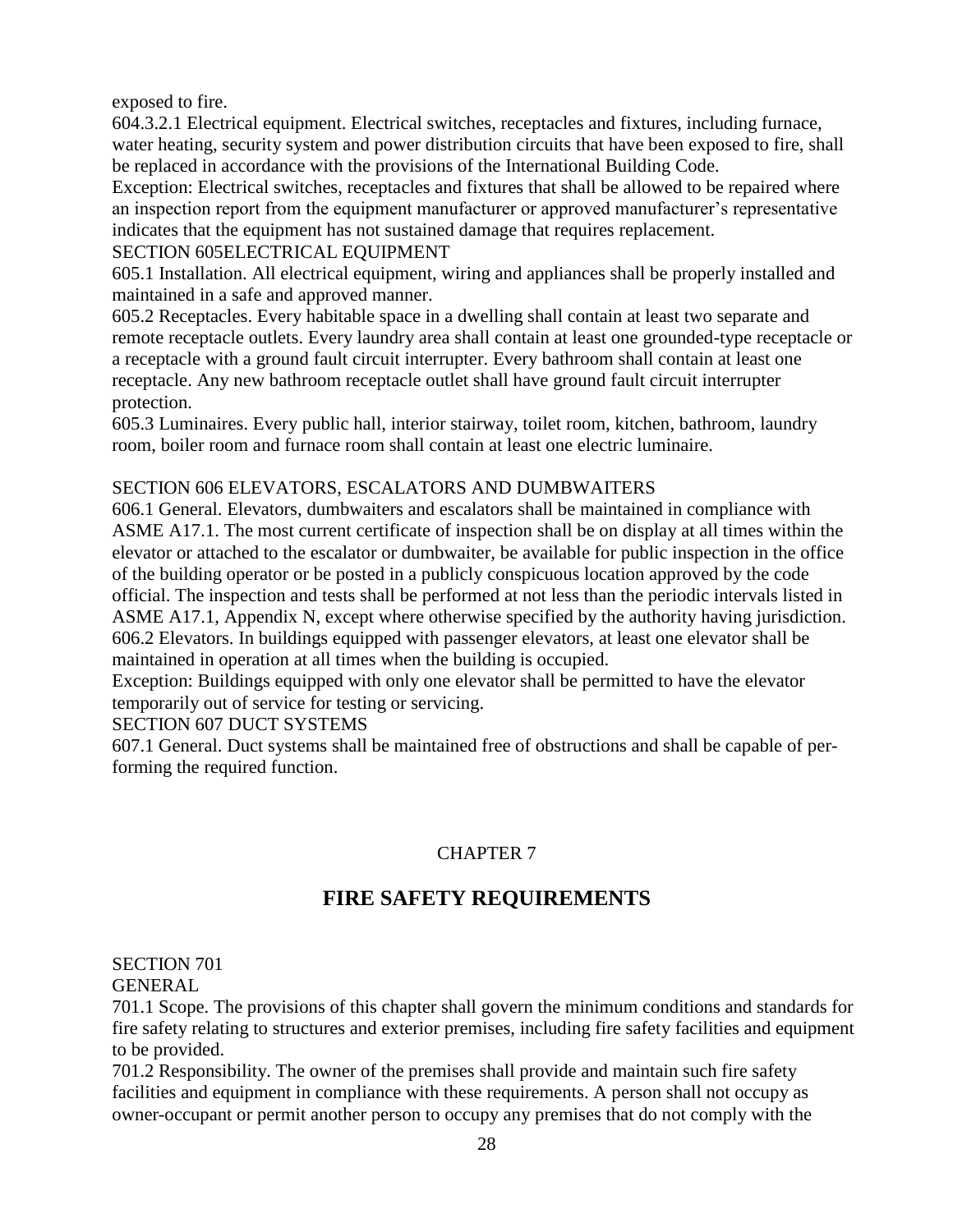exposed to fire.

604.3.2.1 Electrical equipment. Electrical switches, receptacles and fixtures, including furnace, water heating, security system and power distribution circuits that have been exposed to fire, shall be replaced in accordance with the provisions of the International Building Code.

Exception: Electrical switches, receptacles and fixtures that shall be allowed to be repaired where an inspection report from the equipment manufacturer or approved manufacturer's representative indicates that the equipment has not sustained damage that requires replacement.

SECTION 605ELECTRICAL EQUIPMENT

605.1 Installation. All electrical equipment, wiring and appliances shall be properly installed and maintained in a safe and approved manner.

605.2 Receptacles. Every habitable space in a dwelling shall contain at least two separate and remote receptacle outlets. Every laundry area shall contain at least one grounded-type receptacle or a receptacle with a ground fault circuit interrupter. Every bathroom shall contain at least one receptacle. Any new bathroom receptacle outlet shall have ground fault circuit interrupter protection.

605.3 Luminaires. Every public hall, interior stairway, toilet room, kitchen, bathroom, laundry room, boiler room and furnace room shall contain at least one electric luminaire.

## SECTION 606 ELEVATORS, ESCALATORS AND DUMBWAITERS

606.1 General. Elevators, dumbwaiters and escalators shall be maintained in compliance with ASME A17.1. The most current certificate of inspection shall be on display at all times within the elevator or attached to the escalator or dumbwaiter, be available for public inspection in the office of the building operator or be posted in a publicly conspicuous location approved by the code official. The inspection and tests shall be performed at not less than the periodic intervals listed in ASME A17.1, Appendix N, except where otherwise specified by the authority having jurisdiction. 606.2 Elevators. In buildings equipped with passenger elevators, at least one elevator shall be maintained in operation at all times when the building is occupied.

Exception: Buildings equipped with only one elevator shall be permitted to have the elevator temporarily out of service for testing or servicing.

SECTION 607 DUCT SYSTEMS

607.1 General. Duct systems shall be maintained free of obstructions and shall be capable of performing the required function.

## CHAPTER 7

## **FIRE SAFETY REQUIREMENTS**

SECTION 701 GENERAL

701.1 Scope. The provisions of this chapter shall govern the minimum conditions and standards for fire safety relating to structures and exterior premises, including fire safety facilities and equipment to be provided.

701.2 Responsibility. The owner of the premises shall provide and maintain such fire safety facilities and equipment in compliance with these requirements. A person shall not occupy as owner-occupant or permit another person to occupy any premises that do not comply with the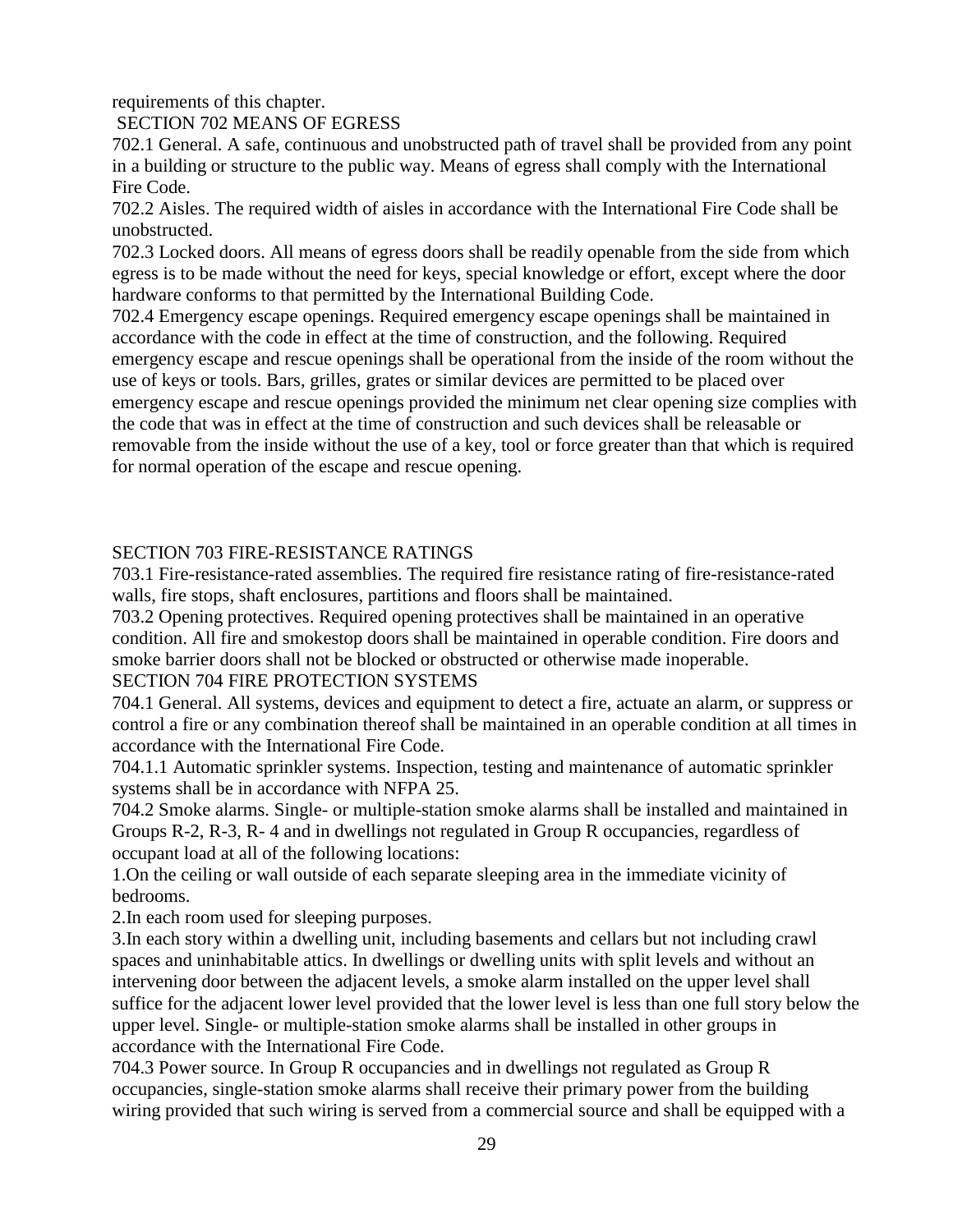requirements of this chapter.

SECTION 702 MEANS OF EGRESS

702.1 General. A safe, continuous and unobstructed path of travel shall be provided from any point in a building or structure to the public way. Means of egress shall comply with the International Fire Code.

702.2 Aisles. The required width of aisles in accordance with the International Fire Code shall be unobstructed.

702.3 Locked doors. All means of egress doors shall be readily openable from the side from which egress is to be made without the need for keys, special knowledge or effort, except where the door hardware conforms to that permitted by the International Building Code.

702.4 Emergency escape openings. Required emergency escape openings shall be maintained in accordance with the code in effect at the time of construction, and the following. Required emergency escape and rescue openings shall be operational from the inside of the room without the use of keys or tools. Bars, grilles, grates or similar devices are permitted to be placed over emergency escape and rescue openings provided the minimum net clear opening size complies with the code that was in effect at the time of construction and such devices shall be releasable or removable from the inside without the use of a key, tool or force greater than that which is required for normal operation of the escape and rescue opening.

#### SECTION 703 FIRE-RESISTANCE RATINGS

703.1 Fire-resistance-rated assemblies. The required fire resistance rating of fire-resistance-rated walls, fire stops, shaft enclosures, partitions and floors shall be maintained.

703.2 Opening protectives. Required opening protectives shall be maintained in an operative condition. All fire and smokestop doors shall be maintained in operable condition. Fire doors and smoke barrier doors shall not be blocked or obstructed or otherwise made inoperable.

## SECTION 704 FIRE PROTECTION SYSTEMS

704.1 General. All systems, devices and equipment to detect a fire, actuate an alarm, or suppress or control a fire or any combination thereof shall be maintained in an operable condition at all times in accordance with the International Fire Code.

704.1.1 Automatic sprinkler systems. Inspection, testing and maintenance of automatic sprinkler systems shall be in accordance with NFPA 25.

704.2 Smoke alarms. Single- or multiple-station smoke alarms shall be installed and maintained in Groups R-2, R-3, R- 4 and in dwellings not regulated in Group R occupancies, regardless of occupant load at all of the following locations:

1.On the ceiling or wall outside of each separate sleeping area in the immediate vicinity of bedrooms.

2.In each room used for sleeping purposes.

3.In each story within a dwelling unit, including basements and cellars but not including crawl spaces and uninhabitable attics. In dwellings or dwelling units with split levels and without an intervening door between the adjacent levels, a smoke alarm installed on the upper level shall suffice for the adjacent lower level provided that the lower level is less than one full story below the upper level. Single- or multiple-station smoke alarms shall be installed in other groups in accordance with the International Fire Code.

704.3 Power source. In Group R occupancies and in dwellings not regulated as Group R occupancies, single-station smoke alarms shall receive their primary power from the building wiring provided that such wiring is served from a commercial source and shall be equipped with a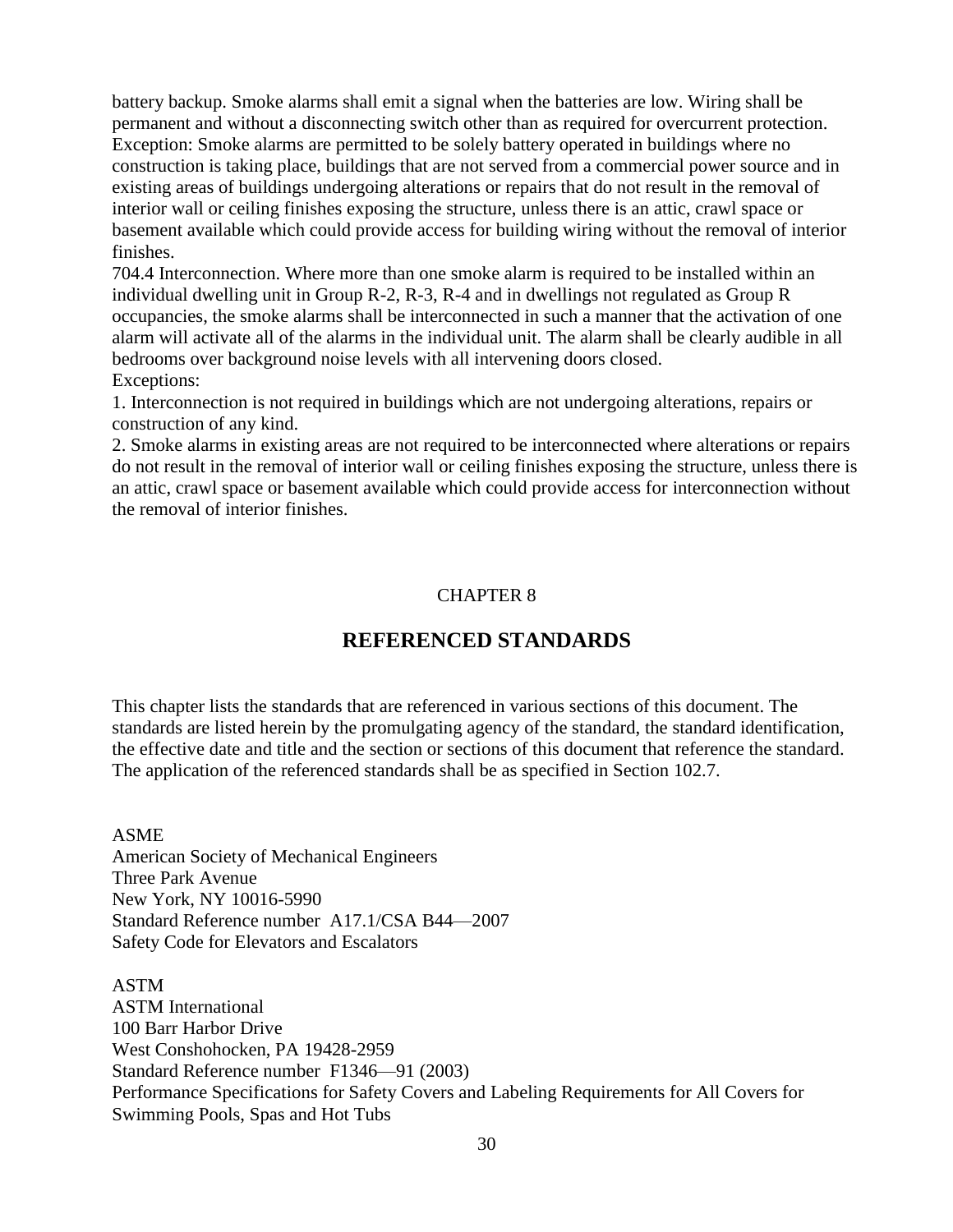battery backup. Smoke alarms shall emit a signal when the batteries are low. Wiring shall be permanent and without a disconnecting switch other than as required for overcurrent protection. Exception: Smoke alarms are permitted to be solely battery operated in buildings where no construction is taking place, buildings that are not served from a commercial power source and in existing areas of buildings undergoing alterations or repairs that do not result in the removal of interior wall or ceiling finishes exposing the structure, unless there is an attic, crawl space or basement available which could provide access for building wiring without the removal of interior finishes.

704.4 Interconnection. Where more than one smoke alarm is required to be installed within an individual dwelling unit in Group R-2, R-3, R-4 and in dwellings not regulated as Group R occupancies, the smoke alarms shall be interconnected in such a manner that the activation of one alarm will activate all of the alarms in the individual unit. The alarm shall be clearly audible in all bedrooms over background noise levels with all intervening doors closed. Exceptions:

1. Interconnection is not required in buildings which are not undergoing alterations, repairs or construction of any kind.

2. Smoke alarms in existing areas are not required to be interconnected where alterations or repairs do not result in the removal of interior wall or ceiling finishes exposing the structure, unless there is an attic, crawl space or basement available which could provide access for interconnection without the removal of interior finishes.

## CHAPTER 8

## **REFERENCED STANDARDS**

This chapter lists the standards that are referenced in various sections of this document. The standards are listed herein by the promulgating agency of the standard, the standard identification, the effective date and title and the section or sections of this document that reference the standard. The application of the referenced standards shall be as specified in Section 102.7.

ASME American Society of Mechanical Engineers Three Park Avenue New York, NY 10016-5990 Standard Reference number A17.1/CSA B44—2007 Safety Code for Elevators and Escalators

ASTM ASTM International 100 Barr Harbor Drive West Conshohocken, PA 19428-2959 Standard Reference number F1346—91 (2003) Performance Specifications for Safety Covers and Labeling Requirements for All Covers for Swimming Pools, Spas and Hot Tubs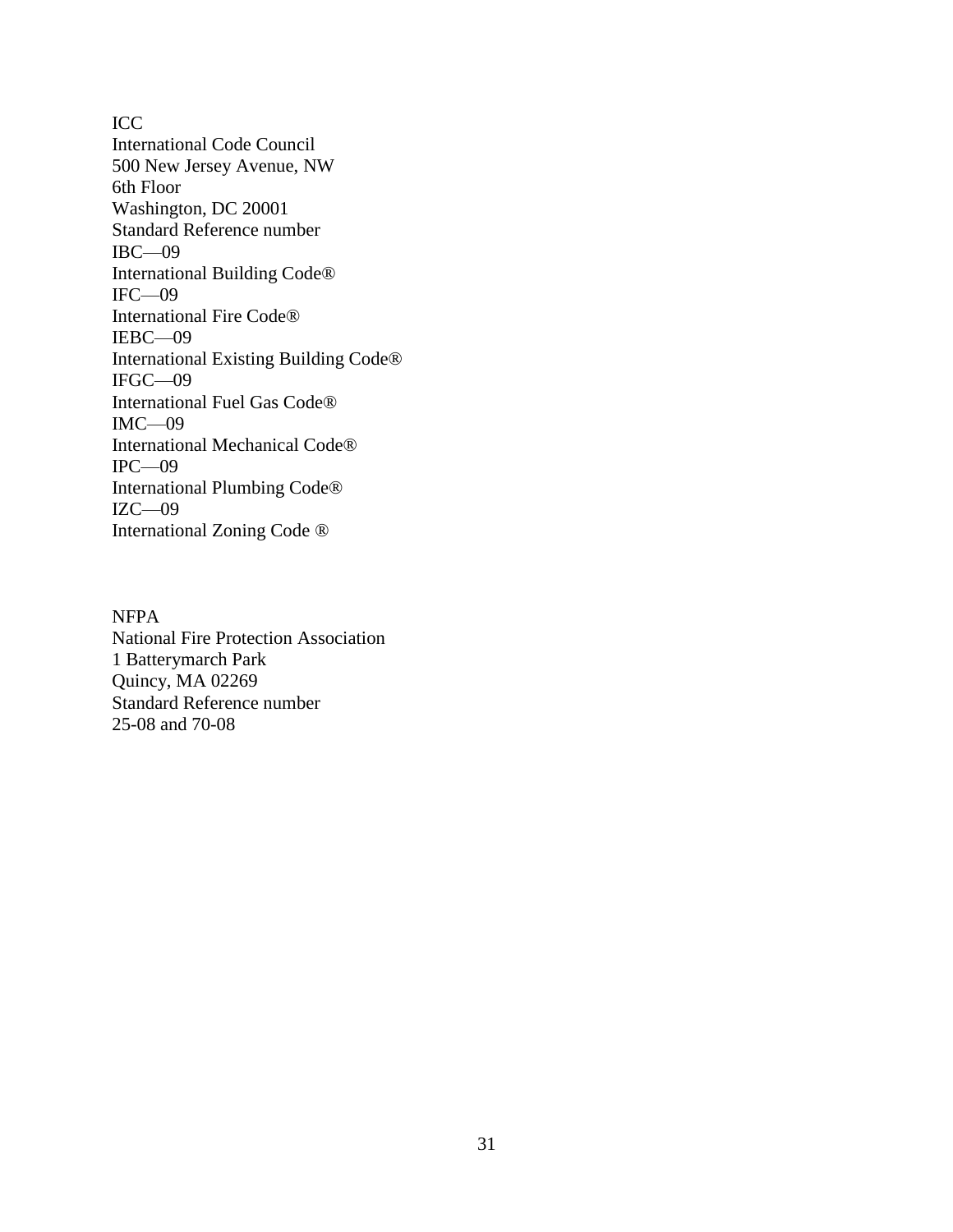ICC International Code Council 500 New Jersey Avenue, NW 6th Floor Washington, DC 20001 Standard Reference number IBC—09 International Building Code® IFC—09 International Fire Code® IEBC—09 International Existing Building Code® IFGC—09 International Fuel Gas Code® IMC—09 International Mechanical Code® IPC—09 International Plumbing Code® IZC—09 International Zoning Code ®

NFPA National Fire Protection Association 1 Batterymarch Park Quincy, MA 02269 Standard Reference number 25-08 and 70-08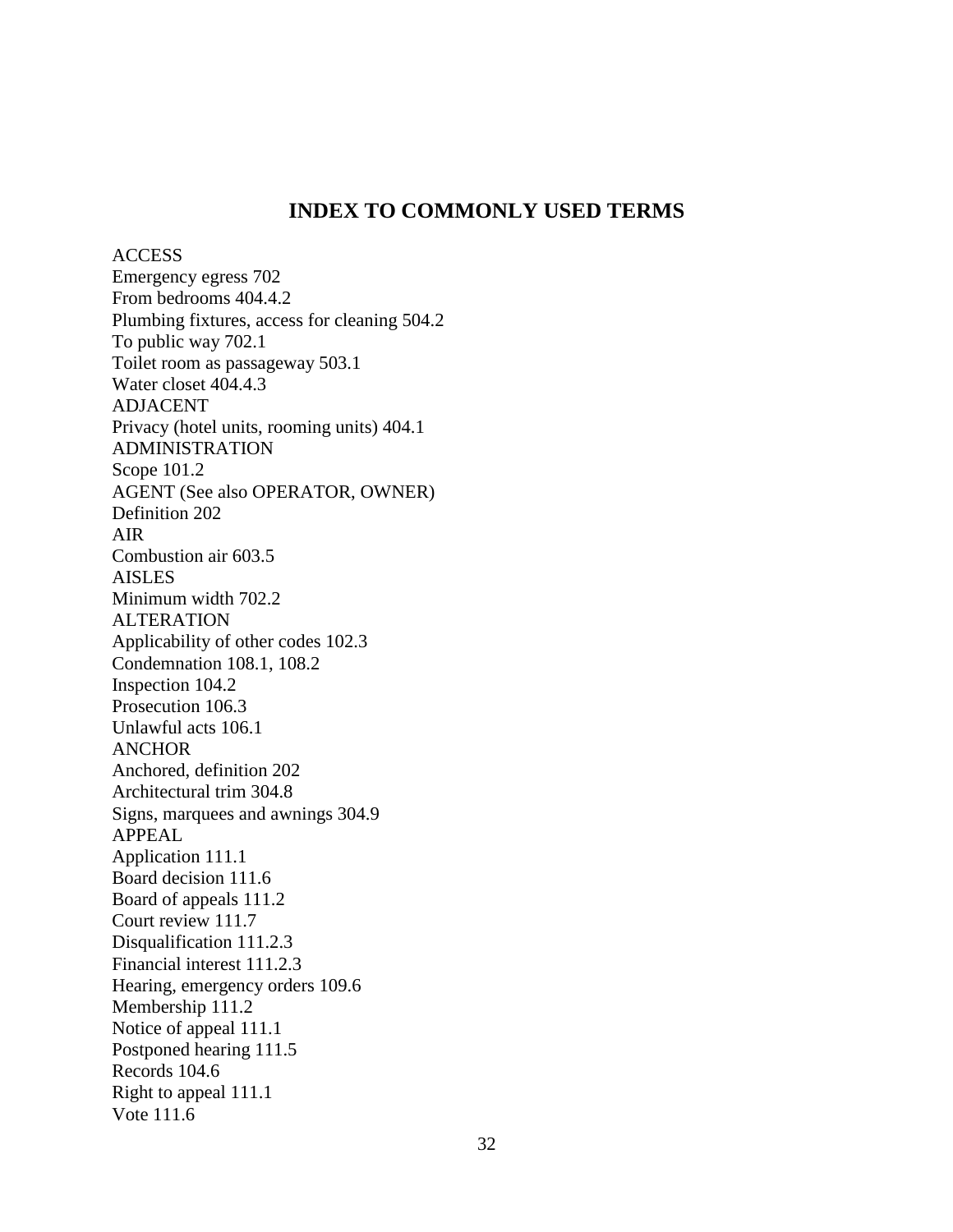#### **INDEX TO COMMONLY USED TERMS**

ACCESS Emergency egress 702 From bedrooms 404.4.2 Plumbing fixtures, access for cleaning 504.2 To public way 702.1 Toilet room as passageway 503.1 Water closet 404.4.3 ADJACENT Privacy (hotel units, rooming units) 404.1 ADMINISTRATION Scope 101.2 AGENT (See also OPERATOR, OWNER) Definition 202 AIR Combustion air 603.5 AISLES Minimum width 702.2 ALTERATION Applicability of other codes 102.3 Condemnation 108.1, 108.2 Inspection 104.2 Prosecution 106.3 Unlawful acts 106.1 **ANCHOR** Anchored, definition 202 Architectural trim 304.8 Signs, marquees and awnings 304.9 APPEAL Application 111.1 Board decision 111.6 Board of appeals 111.2 Court review 111.7 Disqualification 111.2.3 Financial interest 111.2.3 Hearing, emergency orders 109.6 Membership 111.2 Notice of appeal 111.1 Postponed hearing 111.5 Records 104.6 Right to appeal 111.1 Vote 111.6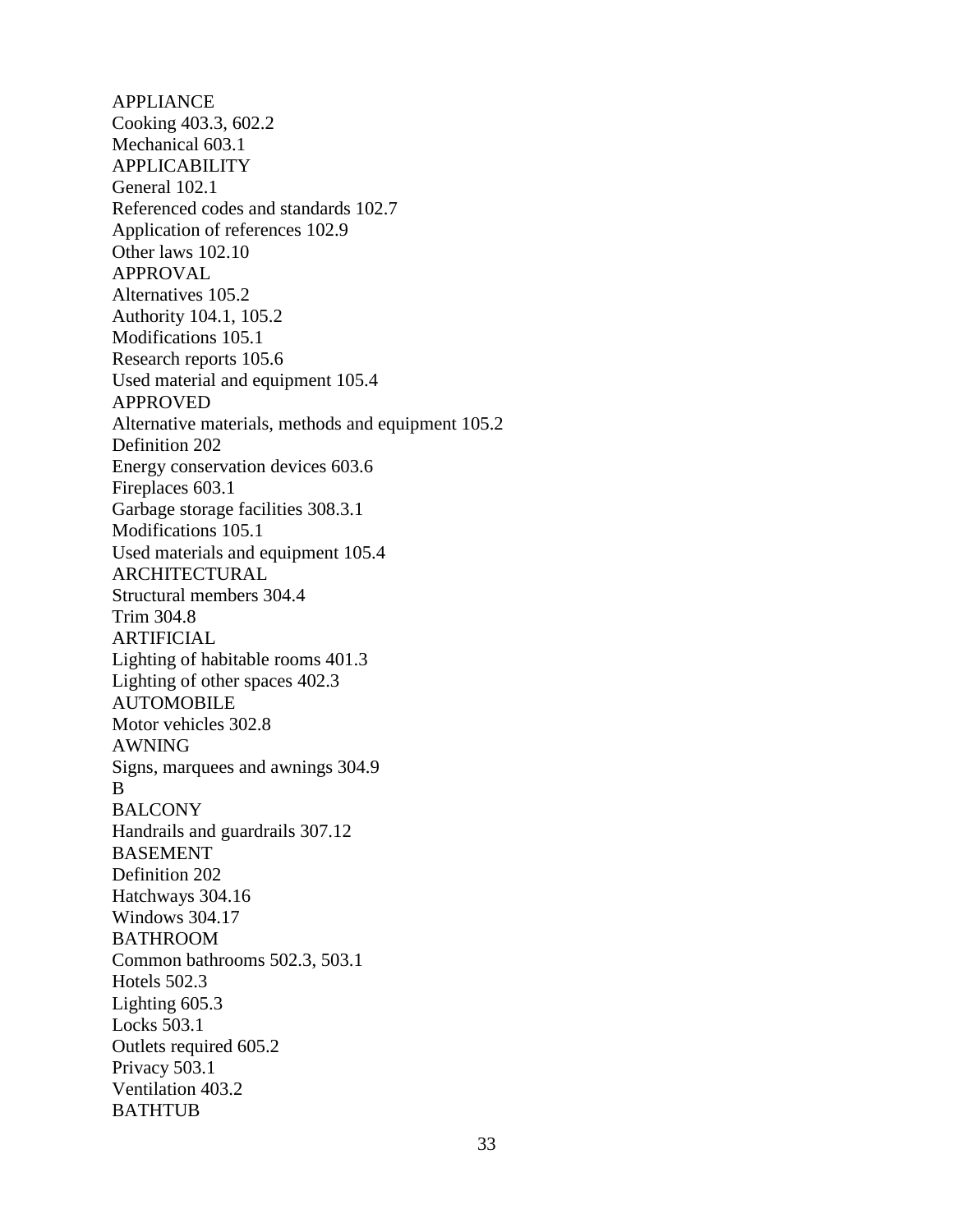APPLIANCE Cooking 403.3, 602.2 Mechanical 603.1 APPLICABILITY General 102.1 Referenced codes and standards 102.7 Application of references 102.9 Other laws 102.10 APPROVAL Alternatives 105.2 Authority 104.1, 105.2 Modifications 105.1 Research reports 105.6 Used material and equipment 105.4 APPROVED Alternative materials, methods and equipment 105.2 Definition 202 Energy conservation devices 603.6 Fireplaces 603.1 Garbage storage facilities 308.3.1 Modifications 105.1 Used materials and equipment 105.4 ARCHITECTURAL Structural members 304.4 Trim 304.8 ARTIFICIAL Lighting of habitable rooms 401.3 Lighting of other spaces 402.3 AUTOMOBILE Motor vehicles 302.8 AWNING Signs, marquees and awnings 304.9 B BALCONY Handrails and guardrails 307.12 BASEMENT Definition 202 Hatchways 304.16 Windows 304.17 BATHROOM Common bathrooms 502.3, 503.1 Hotels 502.3 Lighting 605.3 Locks 503.1 Outlets required 605.2 Privacy 503.1 Ventilation 403.2 BATHTUB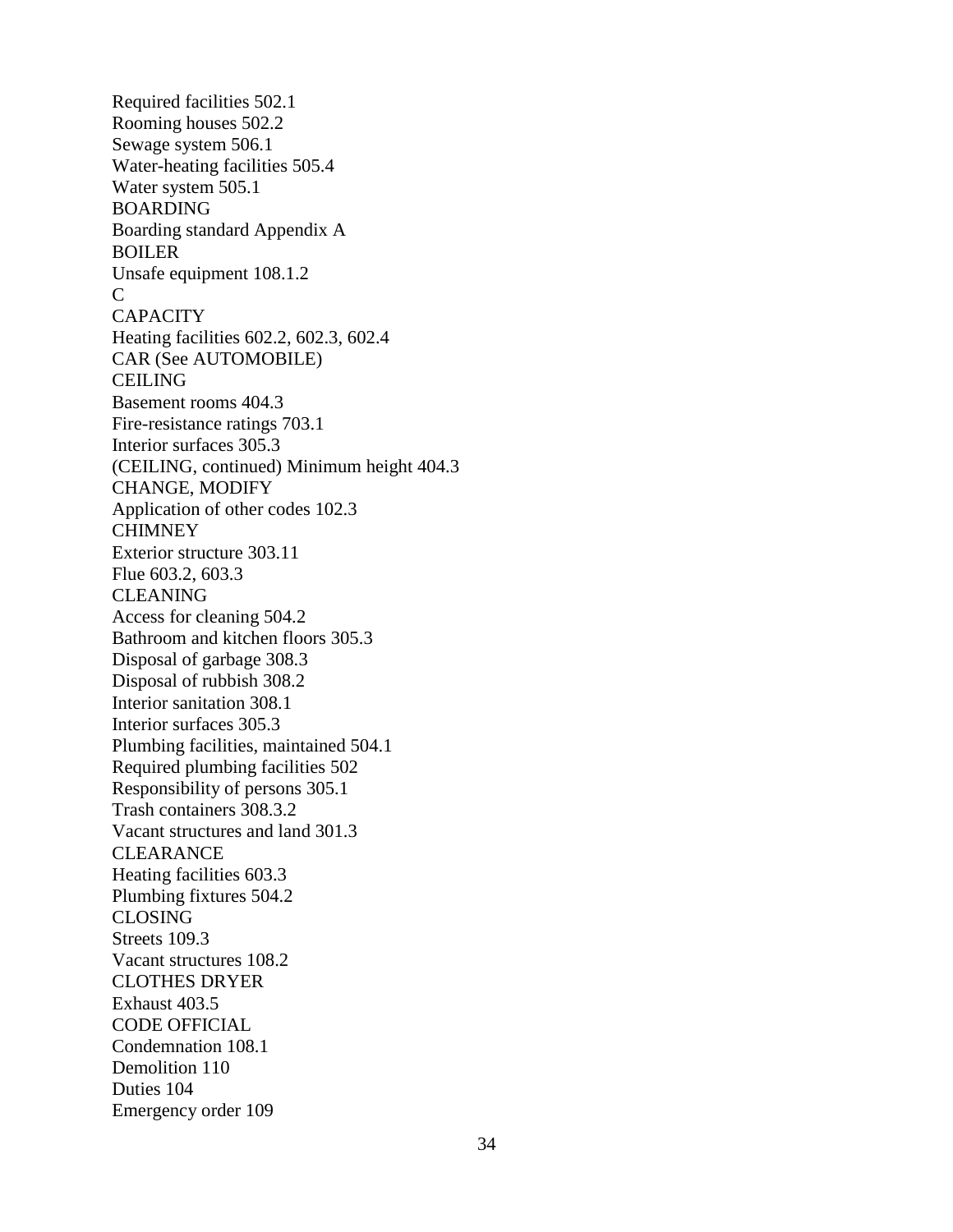Required facilities 502.1 Rooming houses 502.2 Sewage system 506.1 Water-heating facilities 505.4 Water system 505.1 BOARDING Boarding standard Appendix A BOILER Unsafe equipment 108.1.2  $\mathcal{C}$ **CAPACITY** Heating facilities 602.2, 602.3, 602.4 CAR (See AUTOMOBILE) **CEILING** Basement rooms 404.3 Fire-resistance ratings 703.1 Interior surfaces 305.3 (CEILING, continued) Minimum height 404.3 CHANGE, MODIFY Application of other codes 102.3 **CHIMNEY** Exterior structure 303.11 Flue 603.2, 603.3 CLEANING Access for cleaning 504.2 Bathroom and kitchen floors 305.3 Disposal of garbage 308.3 Disposal of rubbish 308.2 Interior sanitation 308.1 Interior surfaces 305.3 Plumbing facilities, maintained 504.1 Required plumbing facilities 502 Responsibility of persons 305.1 Trash containers 308.3.2 Vacant structures and land 301.3 **CLEARANCE** Heating facilities 603.3 Plumbing fixtures 504.2 CLOSING Streets 109.3 Vacant structures 108.2 CLOTHES DRYER Exhaust 403.5 CODE OFFICIAL Condemnation 108.1 Demolition 110 Duties 104 Emergency order 109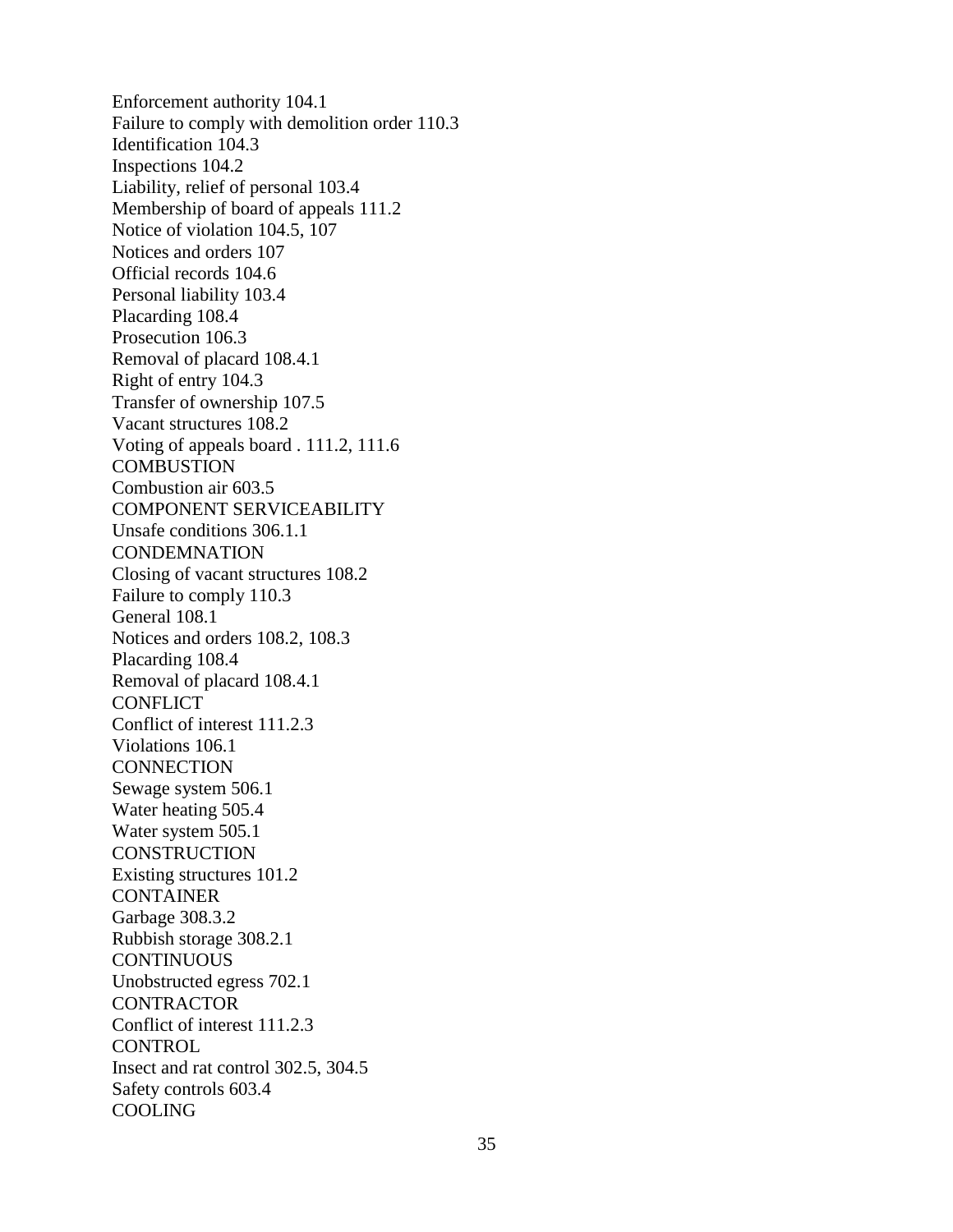Enforcement authority 104.1 Failure to comply with demolition order 110.3 Identification 104.3 Inspections 104.2 Liability, relief of personal 103.4 Membership of board of appeals 111.2 Notice of violation 104.5, 107 Notices and orders 107 Official records 104.6 Personal liability 103.4 Placarding 108.4 Prosecution 106.3 Removal of placard 108.4.1 Right of entry 104.3 Transfer of ownership 107.5 Vacant structures 108.2 Voting of appeals board . 111.2, 111.6 **COMBUSTION** Combustion air 603.5 COMPONENT SERVICEABILITY Unsafe conditions 306.1.1 **CONDEMNATION** Closing of vacant structures 108.2 Failure to comply 110.3 General 108.1 Notices and orders 108.2, 108.3 Placarding 108.4 Removal of placard 108.4.1 **CONFLICT** Conflict of interest 111.2.3 Violations 106.1 **CONNECTION** Sewage system 506.1 Water heating 505.4 Water system 505.1 **CONSTRUCTION** Existing structures 101.2 CONTAINER Garbage 308.3.2 Rubbish storage 308.2.1 **CONTINUOUS** Unobstructed egress 702.1 **CONTRACTOR** Conflict of interest 111.2.3 **CONTROL** Insect and rat control 302.5, 304.5 Safety controls 603.4 COOLING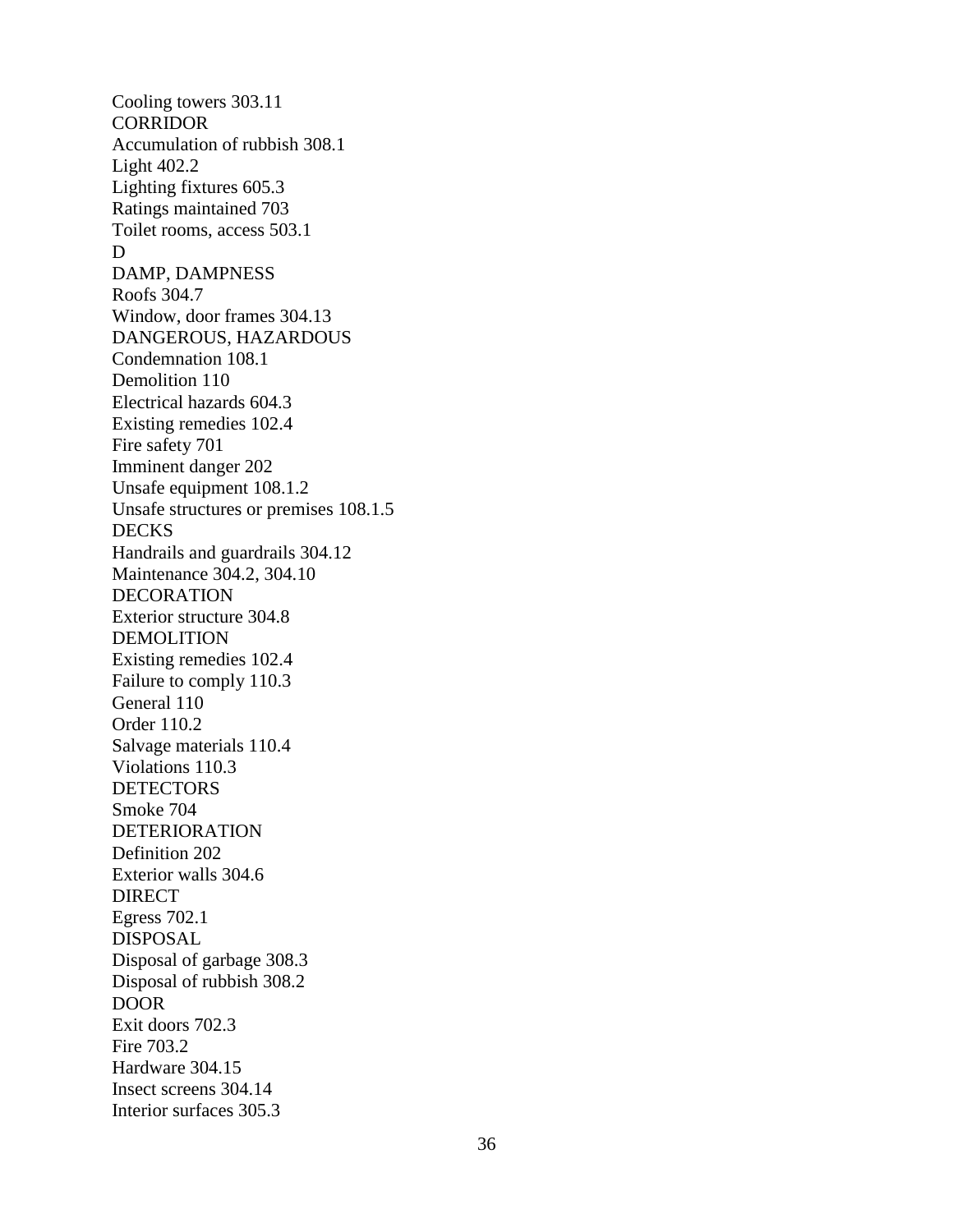Cooling towers 303.11 CORRIDOR Accumulation of rubbish 308.1 Light 402.2 Lighting fixtures 605.3 Ratings maintained 703 Toilet rooms, access 503.1 D DAMP, DAMPNESS Roofs 304.7 Window, door frames 304.13 DANGEROUS, HAZARDOUS Condemnation 108.1 Demolition 110 Electrical hazards 604.3 Existing remedies 102.4 Fire safety 701 Imminent danger 202 Unsafe equipment 108.1.2 Unsafe structures or premises 108.1.5 **DECKS** Handrails and guardrails 304.12 Maintenance 304.2, 304.10 DECORATION Exterior structure 304.8 DEMOLITION Existing remedies 102.4 Failure to comply 110.3 General 110 Order 110.2 Salvage materials 110.4 Violations 110.3 **DETECTORS** Smoke 704 DETERIORATION Definition 202 Exterior walls 304.6 DIRECT Egress 702.1 DISPOSAL Disposal of garbage 308.3 Disposal of rubbish 308.2 DOOR Exit doors 702.3 Fire 703.2 Hardware 304.15 Insect screens 304.14 Interior surfaces 305.3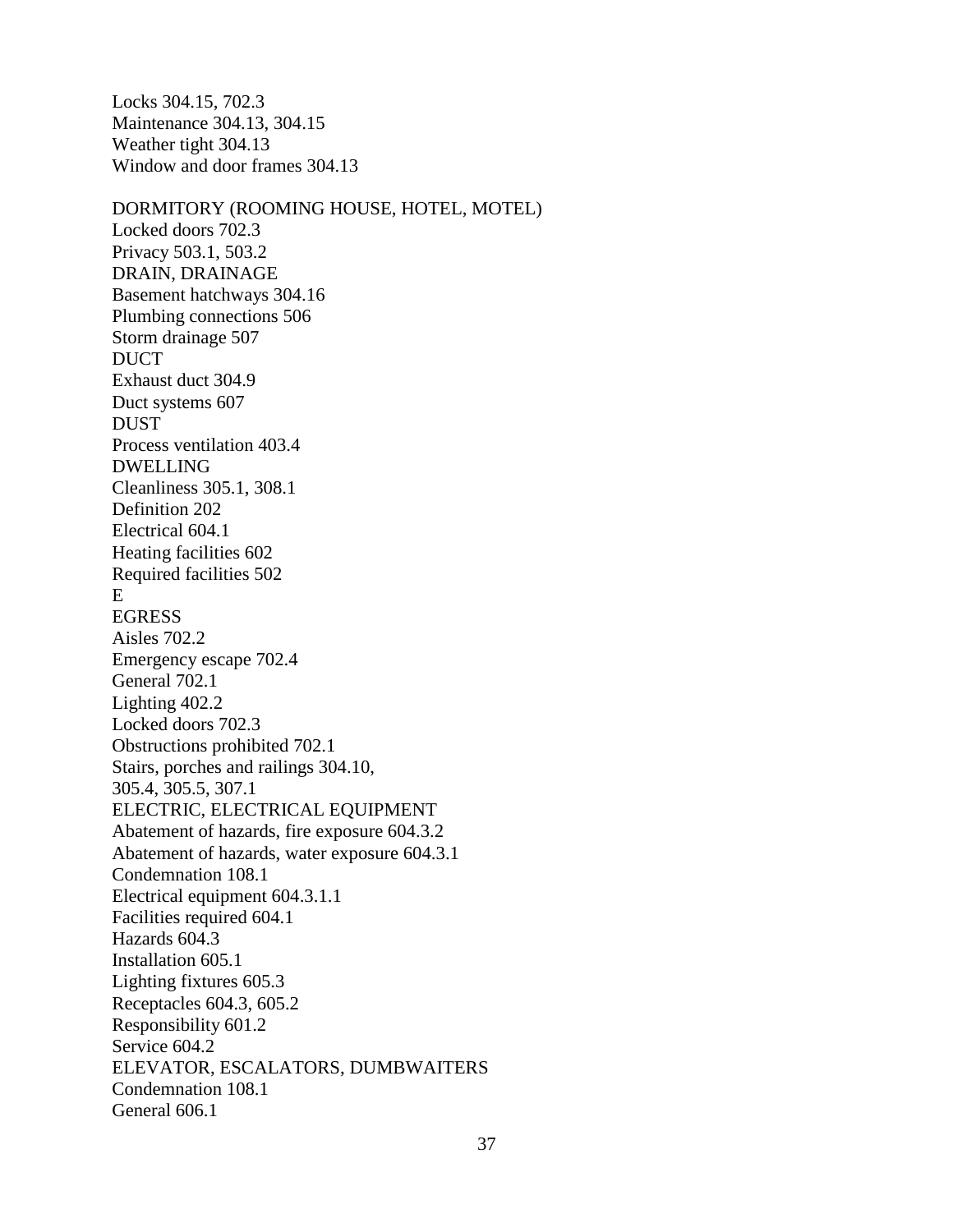Locks 304.15, 702.3 Maintenance 304.13, 304.15 Weather tight 304.13 Window and door frames 304.13 DORMITORY (ROOMING HOUSE, HOTEL, MOTEL) Locked doors 702.3 Privacy 503.1, 503.2 DRAIN, DRAINAGE Basement hatchways 304.16 Plumbing connections 506 Storm drainage 507 DUCT Exhaust duct 304.9 Duct systems 607 **DUST** Process ventilation 403.4 DWELLING Cleanliness 305.1, 308.1 Definition 202 Electrical 604.1 Heating facilities 602 Required facilities 502 E **EGRESS** Aisles 702.2 Emergency escape 702.4 General 702.1 Lighting 402.2 Locked doors 702.3 Obstructions prohibited 702.1 Stairs, porches and railings 304.10, 305.4, 305.5, 307.1 ELECTRIC, ELECTRICAL EQUIPMENT Abatement of hazards, fire exposure 604.3.2 Abatement of hazards, water exposure 604.3.1 Condemnation 108.1 Electrical equipment 604.3.1.1 Facilities required 604.1 Hazards 604.3 Installation 605.1 Lighting fixtures 605.3 Receptacles 604.3, 605.2 Responsibility 601.2 Service 604.2 ELEVATOR, ESCALATORS, DUMBWAITERS Condemnation 108.1 General 606.1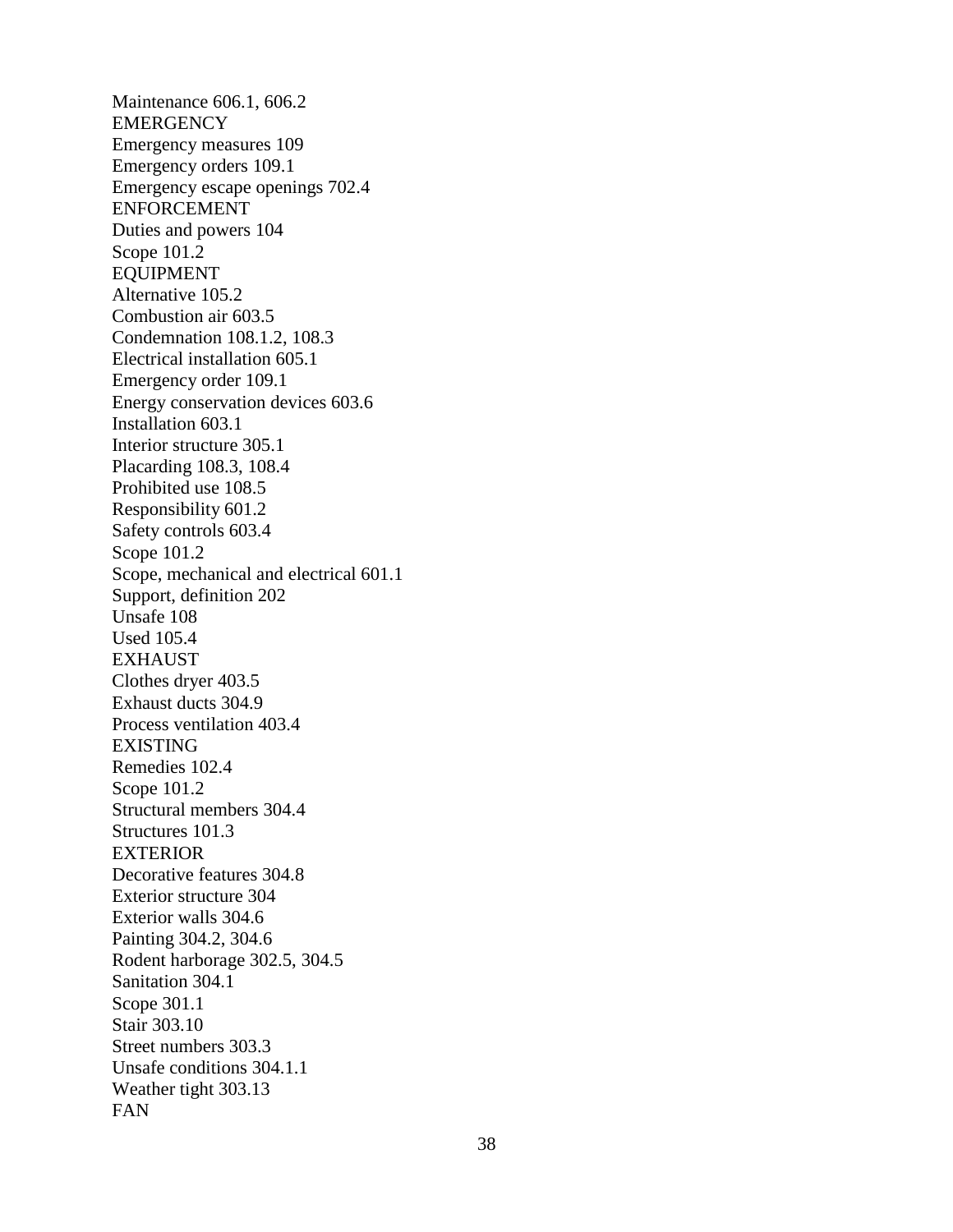Maintenance 606.1, 606.2 **EMERGENCY** Emergency measures 109 Emergency orders 109.1 Emergency escape openings 702.4 ENFORCEMENT Duties and powers 104 Scope 101.2 EQUIPMENT Alternative 105.2 Combustion air 603.5 Condemnation 108.1.2, 108.3 Electrical installation 605.1 Emergency order 109.1 Energy conservation devices 603.6 Installation 603.1 Interior structure 305.1 Placarding 108.3, 108.4 Prohibited use 108.5 Responsibility 601.2 Safety controls 603.4 Scope 101.2 Scope, mechanical and electrical 601.1 Support, definition 202 Unsafe 108 Used 105.4 EXHAUST Clothes dryer 403.5 Exhaust ducts 304.9 Process ventilation 403.4 EXISTING Remedies 102.4 Scope 101.2 Structural members 304.4 Structures 101.3 **EXTERIOR** Decorative features 304.8 Exterior structure 304 Exterior walls 304.6 Painting 304.2, 304.6 Rodent harborage 302.5, 304.5 Sanitation 304.1 Scope 301.1 Stair 303.10 Street numbers 303.3 Unsafe conditions 304.1.1 Weather tight 303.13 FAN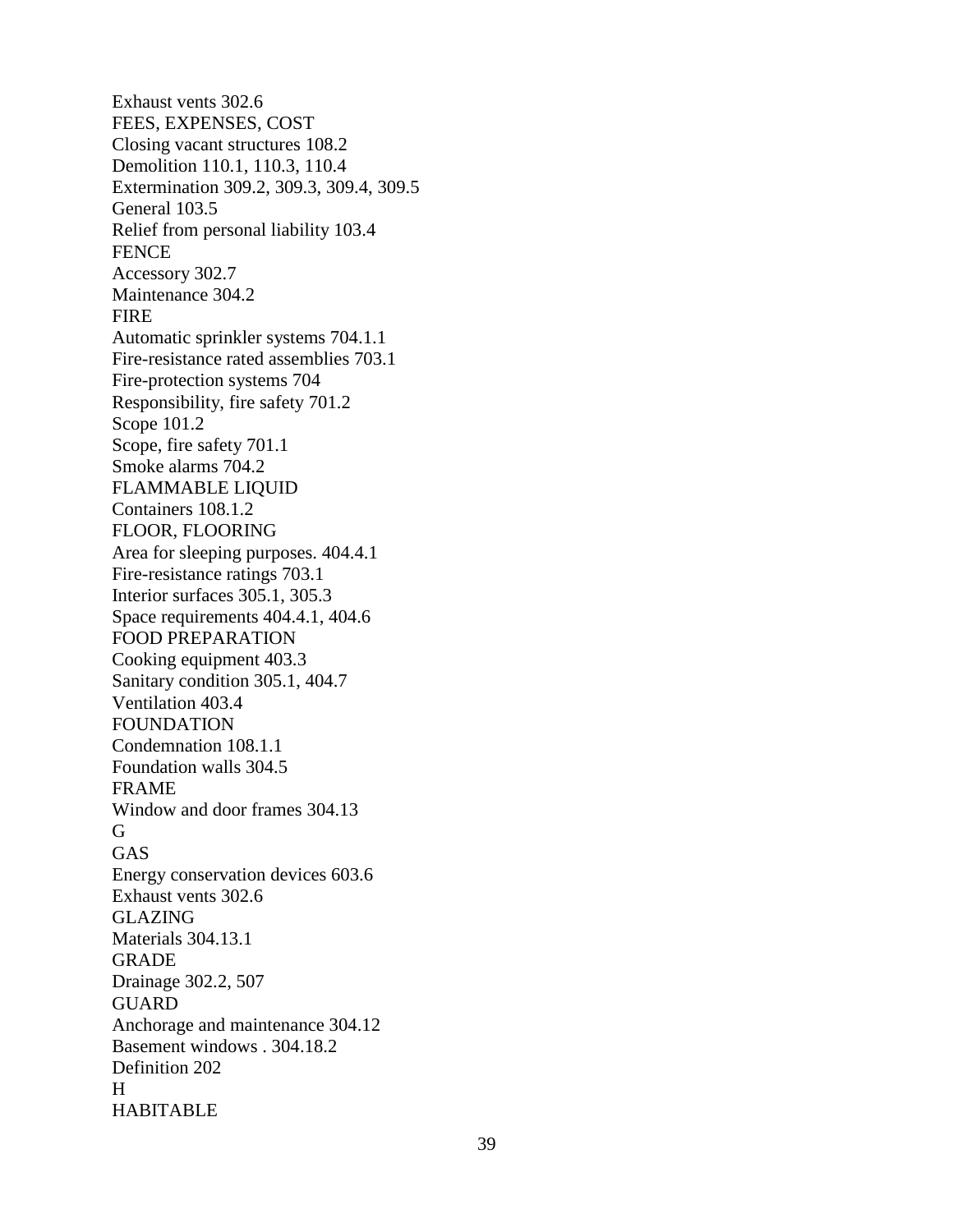Exhaust vents 302.6 FEES, EXPENSES, COST Closing vacant structures 108.2 Demolition 110.1, 110.3, 110.4 Extermination 309.2, 309.3, 309.4, 309.5 General 103.5 Relief from personal liability 103.4 **FENCE** Accessory 302.7 Maintenance 304.2 FIRE Automatic sprinkler systems 704.1.1 Fire-resistance rated assemblies 703.1 Fire-protection systems 704 Responsibility, fire safety 701.2 Scope 101.2 Scope, fire safety 701.1 Smoke alarms 704.2 FLAMMABLE LIQUID Containers 108.1.2 FLOOR, FLOORING Area for sleeping purposes. 404.4.1 Fire-resistance ratings 703.1 Interior surfaces 305.1, 305.3 Space requirements 404.4.1, 404.6 FOOD PREPARATION Cooking equipment 403.3 Sanitary condition 305.1, 404.7 Ventilation 403.4 FOUNDATION Condemnation 108.1.1 Foundation walls 304.5 FRAME Window and door frames 304.13 G GAS Energy conservation devices 603.6 Exhaust vents 302.6 GLAZING Materials 304.13.1 GRADE Drainage 302.2, 507 **GUARD** Anchorage and maintenance 304.12 Basement windows . 304.18.2 Definition 202 H HABITABLE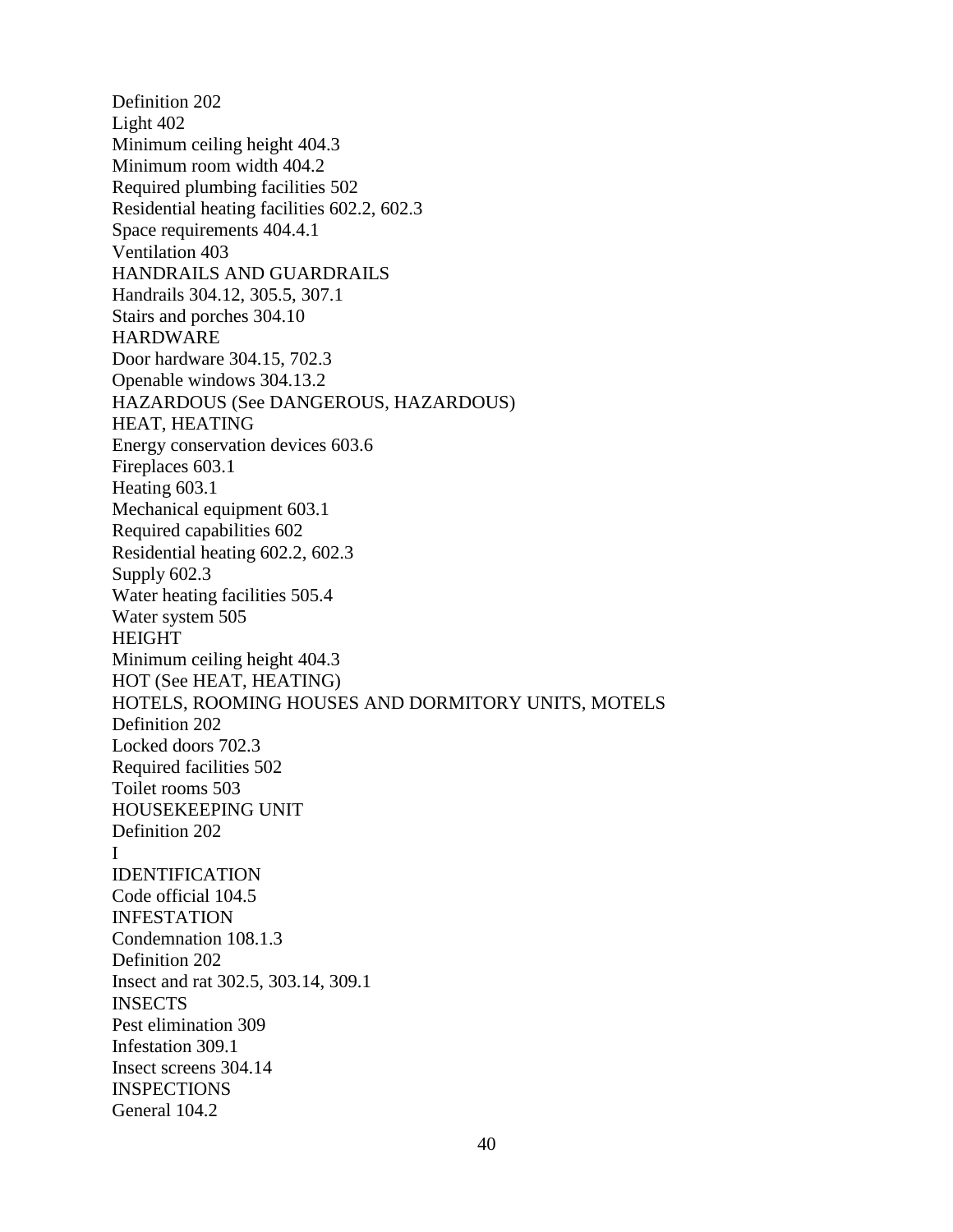Definition 202 Light 402 Minimum ceiling height 404.3 Minimum room width 404.2 Required plumbing facilities 502 Residential heating facilities 602.2, 602.3 Space requirements 404.4.1 Ventilation 403 HANDRAILS AND GUARDRAILS Handrails 304.12, 305.5, 307.1 Stairs and porches 304.10 HARDWARE Door hardware 304.15, 702.3 Openable windows 304.13.2 HAZARDOUS (See DANGEROUS, HAZARDOUS) HEAT, HEATING Energy conservation devices 603.6 Fireplaces 603.1 Heating 603.1 Mechanical equipment 603.1 Required capabilities 602 Residential heating 602.2, 602.3 Supply 602.3 Water heating facilities 505.4 Water system 505 HEIGHT Minimum ceiling height 404.3 HOT (See HEAT, HEATING) HOTELS, ROOMING HOUSES AND DORMITORY UNITS, MOTELS Definition 202 Locked doors 702.3 Required facilities 502 Toilet rooms 503 HOUSEKEEPING UNIT Definition 202 I IDENTIFICATION Code official 104.5 INFESTATION Condemnation 108.1.3 Definition 202 Insect and rat 302.5, 303.14, 309.1 INSECTS Pest elimination 309 Infestation 309.1 Insect screens 304.14 INSPECTIONS General 104.2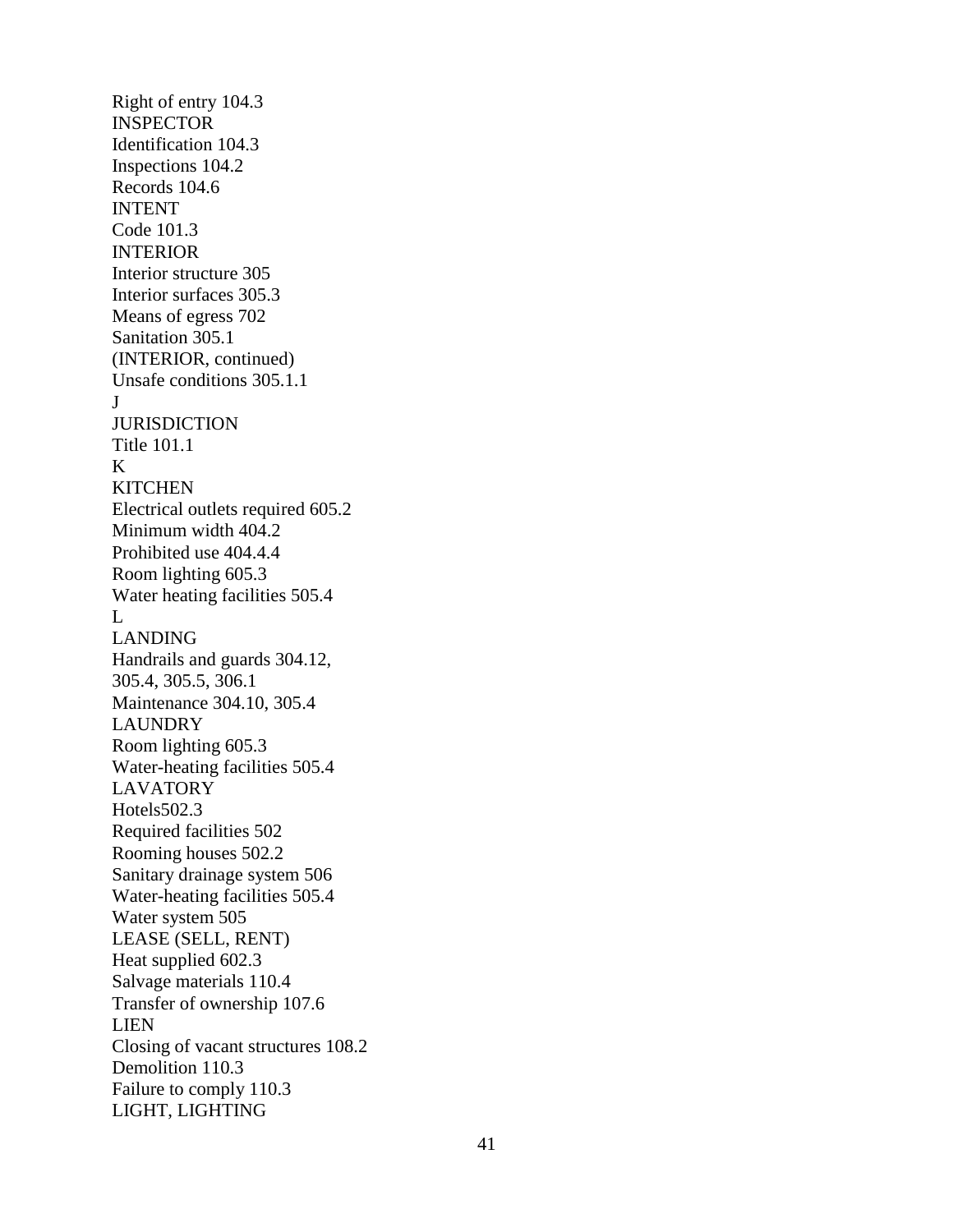Right of entry 104.3 **INSPECTOR** Identification 104.3 Inspections 104.2 Records 104.6 INTENT Code 101.3 **INTERIOR** Interior structure 305 Interior surfaces 305.3 Means of egress 702 Sanitation 305.1 (INTERIOR, continued) Unsafe conditions 305.1.1  $\mathbf{J}$ **JURISDICTION** Title 101.1 K **KITCHEN** Electrical outlets required 605.2 Minimum width 404.2 Prohibited use 404.4.4 Room lighting 605.3 Water heating facilities 505.4  $\mathbf{L}$ LANDING Handrails and guards 304.12, 305.4, 305.5, 306.1 Maintenance 304.10, 305.4 LAUNDRY Room lighting 605.3 Water-heating facilities 505.4 LAVATORY Hotels502.3 Required facilities 502 Rooming houses 502.2 Sanitary drainage system 506 Water-heating facilities 505.4 Water system 505 LEASE (SELL, RENT) Heat supplied 602.3 Salvage materials 110.4 Transfer of ownership 107.6 LIEN Closing of vacant structures 108.2 Demolition 110.3 Failure to comply 110.3 LIGHT, LIGHTING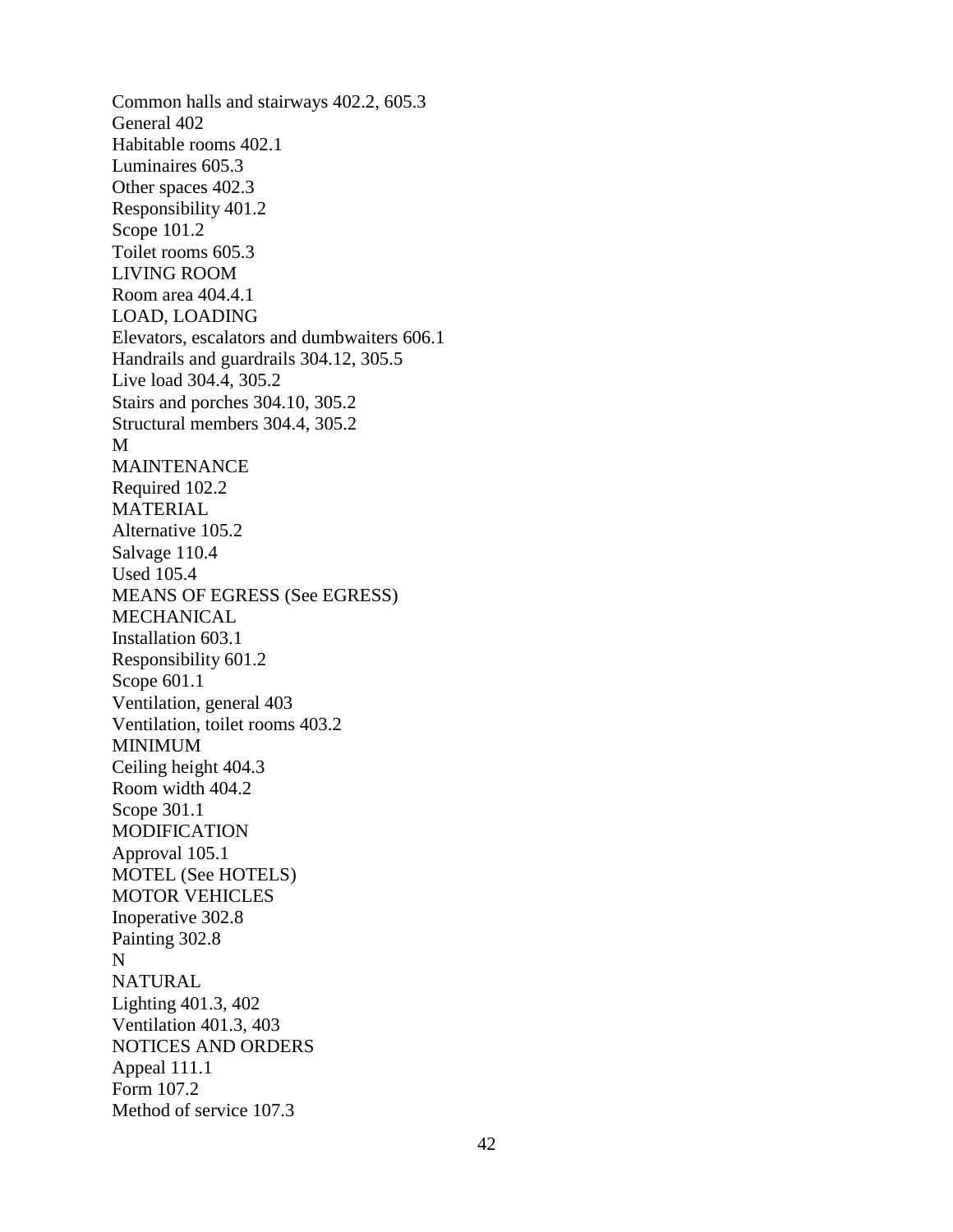Common halls and stairways 402.2, 605.3 General 402 Habitable rooms 402.1 Luminaires 605.3 Other spaces 402.3 Responsibility 401.2 Scope 101.2 Toilet rooms 605.3 LIVING ROOM Room area 404.4.1 LOAD, LOADING Elevators, escalators and dumbwaiters 606.1 Handrails and guardrails 304.12, 305.5 Live load 304.4, 305.2 Stairs and porches 304.10, 305.2 Structural members 304.4, 305.2 M **MAINTENANCE** Required 102.2 MATERIAL Alternative 105.2 Salvage 110.4 Used 105.4 MEANS OF EGRESS (See EGRESS) MECHANICAL Installation 603.1 Responsibility 601.2 Scope 601.1 Ventilation, general 403 Ventilation, toilet rooms 403.2 MINIMUM Ceiling height 404.3 Room width 404.2 Scope 301.1 MODIFICATION Approval 105.1 MOTEL (See HOTELS) MOTOR VEHICLES Inoperative 302.8 Painting 302.8 N NATURAL Lighting 401.3, 402 Ventilation 401.3, 403 NOTICES AND ORDERS Appeal 111.1 Form 107.2 Method of service 107.3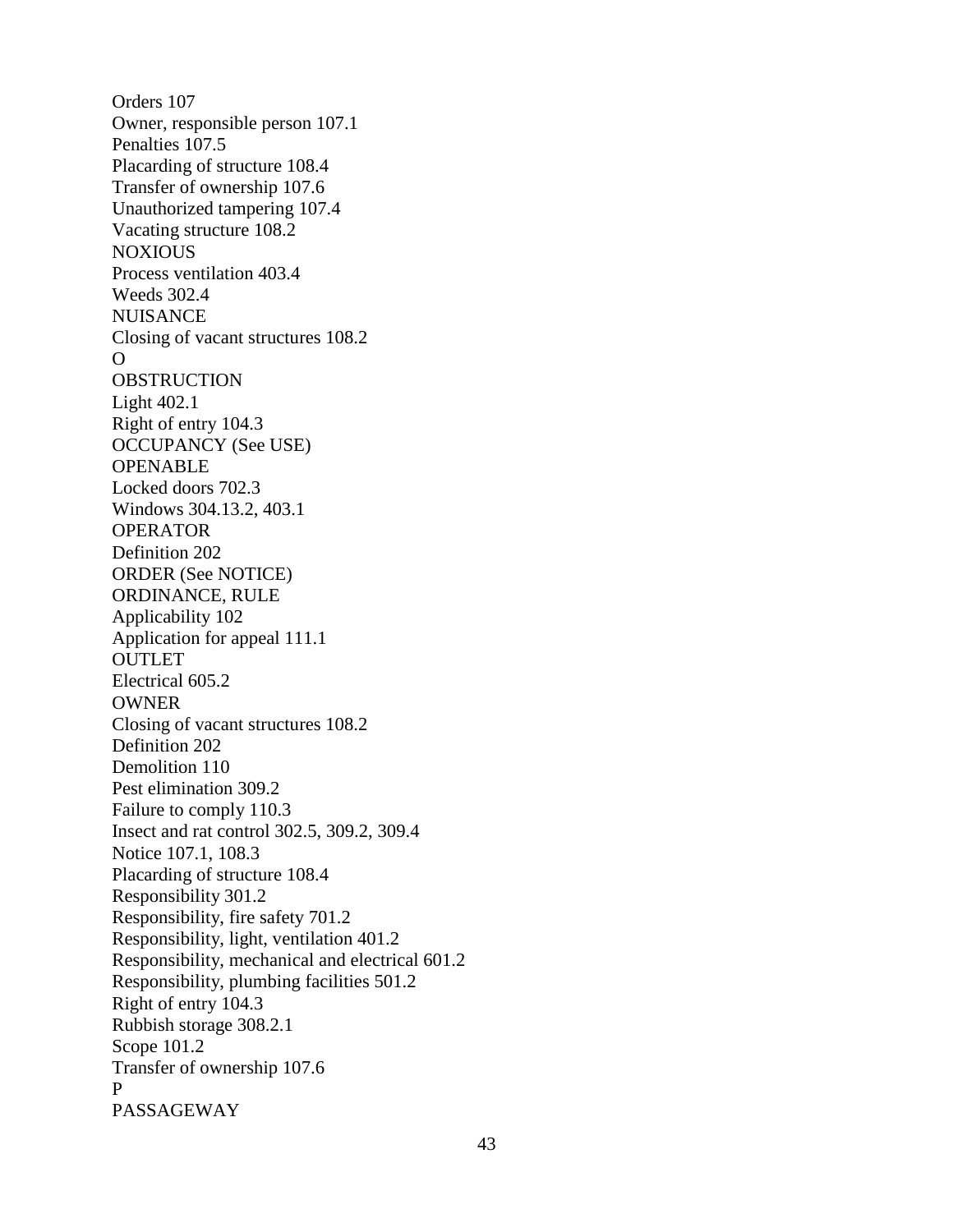Orders 107 Owner, responsible person 107.1 Penalties 107.5 Placarding of structure 108.4 Transfer of ownership 107.6 Unauthorized tampering 107.4 Vacating structure 108.2 NOXIOUS Process ventilation 403.4 Weeds 302.4 **NUISANCE** Closing of vacant structures 108.2  $\Omega$ **OBSTRUCTION** Light 402.1 Right of entry 104.3 OCCUPANCY (See USE) OPENABLE Locked doors 702.3 Windows 304.13.2, 403.1 OPERATOR Definition 202 ORDER (See NOTICE) ORDINANCE, RULE Applicability 102 Application for appeal 111.1 **OUTLET** Electrical 605.2 **OWNER** Closing of vacant structures 108.2 Definition 202 Demolition 110 Pest elimination 309.2 Failure to comply 110.3 Insect and rat control 302.5, 309.2, 309.4 Notice 107.1, 108.3 Placarding of structure 108.4 Responsibility 301.2 Responsibility, fire safety 701.2 Responsibility, light, ventilation 401.2 Responsibility, mechanical and electrical 601.2 Responsibility, plumbing facilities 501.2 Right of entry 104.3 Rubbish storage 308.2.1 Scope 101.2 Transfer of ownership 107.6 P PASSAGEWAY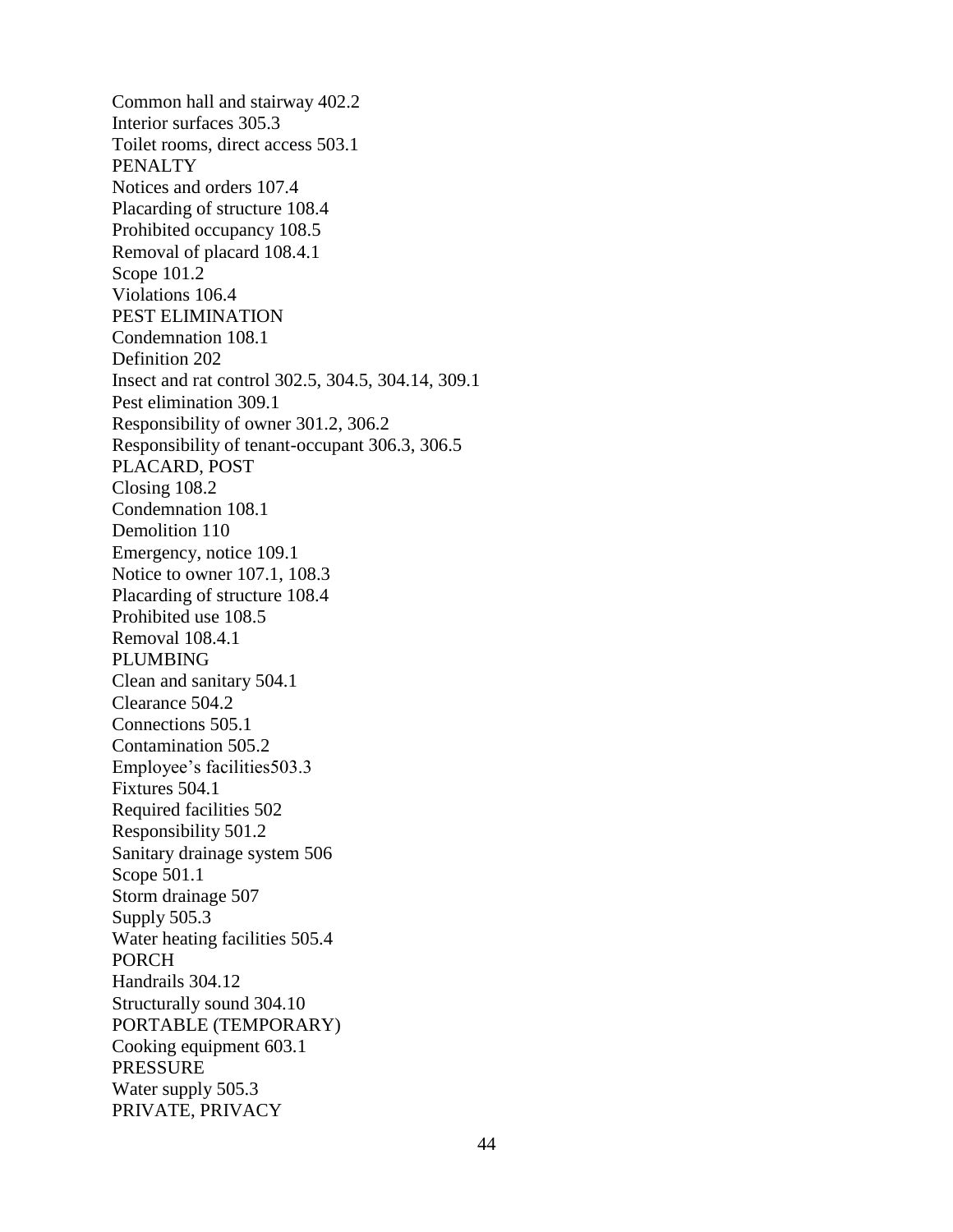Common hall and stairway 402.2 Interior surfaces 305.3 Toilet rooms, direct access 503.1 **PENALTY** Notices and orders 107.4 Placarding of structure 108.4 Prohibited occupancy 108.5 Removal of placard 108.4.1 Scope 101.2 Violations 106.4 PEST ELIMINATION Condemnation 108.1 Definition 202 Insect and rat control 302.5, 304.5, 304.14, 309.1 Pest elimination 309.1 Responsibility of owner 301.2, 306.2 Responsibility of tenant-occupant 306.3, 306.5 PLACARD, POST Closing 108.2 Condemnation 108.1 Demolition 110 Emergency, notice 109.1 Notice to owner 107.1, 108.3 Placarding of structure 108.4 Prohibited use 108.5 Removal 108.4.1 PLUMBING Clean and sanitary 504.1 Clearance 504.2 Connections 505.1 Contamination 505.2 Employee's facilities503.3 Fixtures 504.1 Required facilities 502 Responsibility 501.2 Sanitary drainage system 506 Scope 501.1 Storm drainage 507 Supply 505.3 Water heating facilities 505.4 PORCH Handrails 304.12 Structurally sound 304.10 PORTABLE (TEMPORARY) Cooking equipment 603.1 PRESSURE Water supply 505.3 PRIVATE, PRIVACY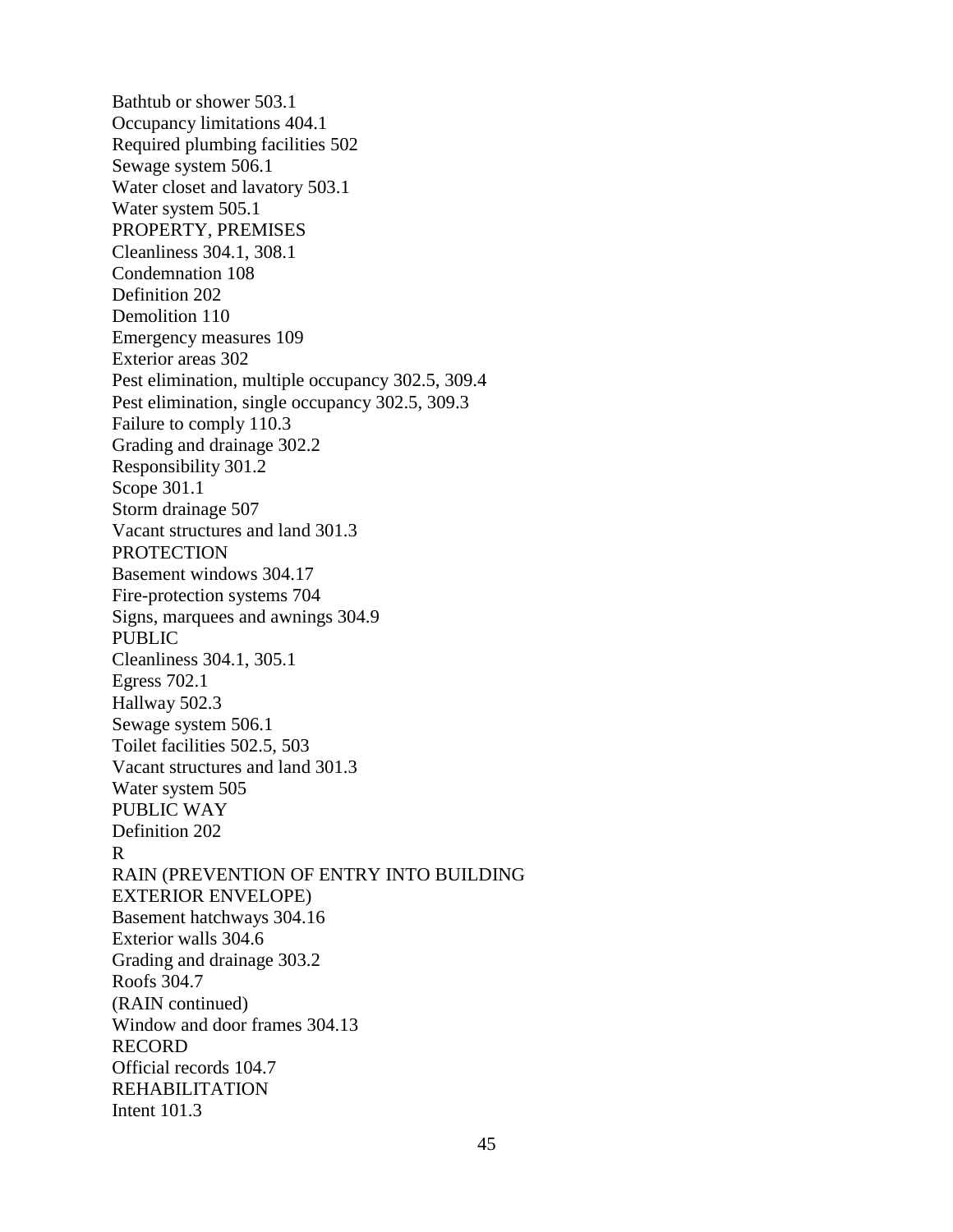Bathtub or shower 503.1 Occupancy limitations 404.1 Required plumbing facilities 502 Sewage system 506.1 Water closet and lavatory 503.1 Water system 505.1 PROPERTY, PREMISES Cleanliness 304.1, 308.1 Condemnation 108 Definition 202 Demolition 110 Emergency measures 109 Exterior areas 302 Pest elimination, multiple occupancy 302.5, 309.4 Pest elimination, single occupancy 302.5, 309.3 Failure to comply 110.3 Grading and drainage 302.2 Responsibility 301.2 Scope 301.1 Storm drainage 507 Vacant structures and land 301.3 **PROTECTION** Basement windows 304.17 Fire-protection systems 704 Signs, marquees and awnings 304.9 PUBLIC Cleanliness 304.1, 305.1 Egress 702.1 Hallway 502.3 Sewage system 506.1 Toilet facilities 502.5, 503 Vacant structures and land 301.3 Water system 505 PUBLIC WAY Definition 202 R RAIN (PREVENTION OF ENTRY INTO BUILDING EXTERIOR ENVELOPE) Basement hatchways 304.16 Exterior walls 304.6 Grading and drainage 303.2 Roofs 304.7 (RAIN continued) Window and door frames 304.13 RECORD Official records 104.7 REHABILITATION Intent 101.3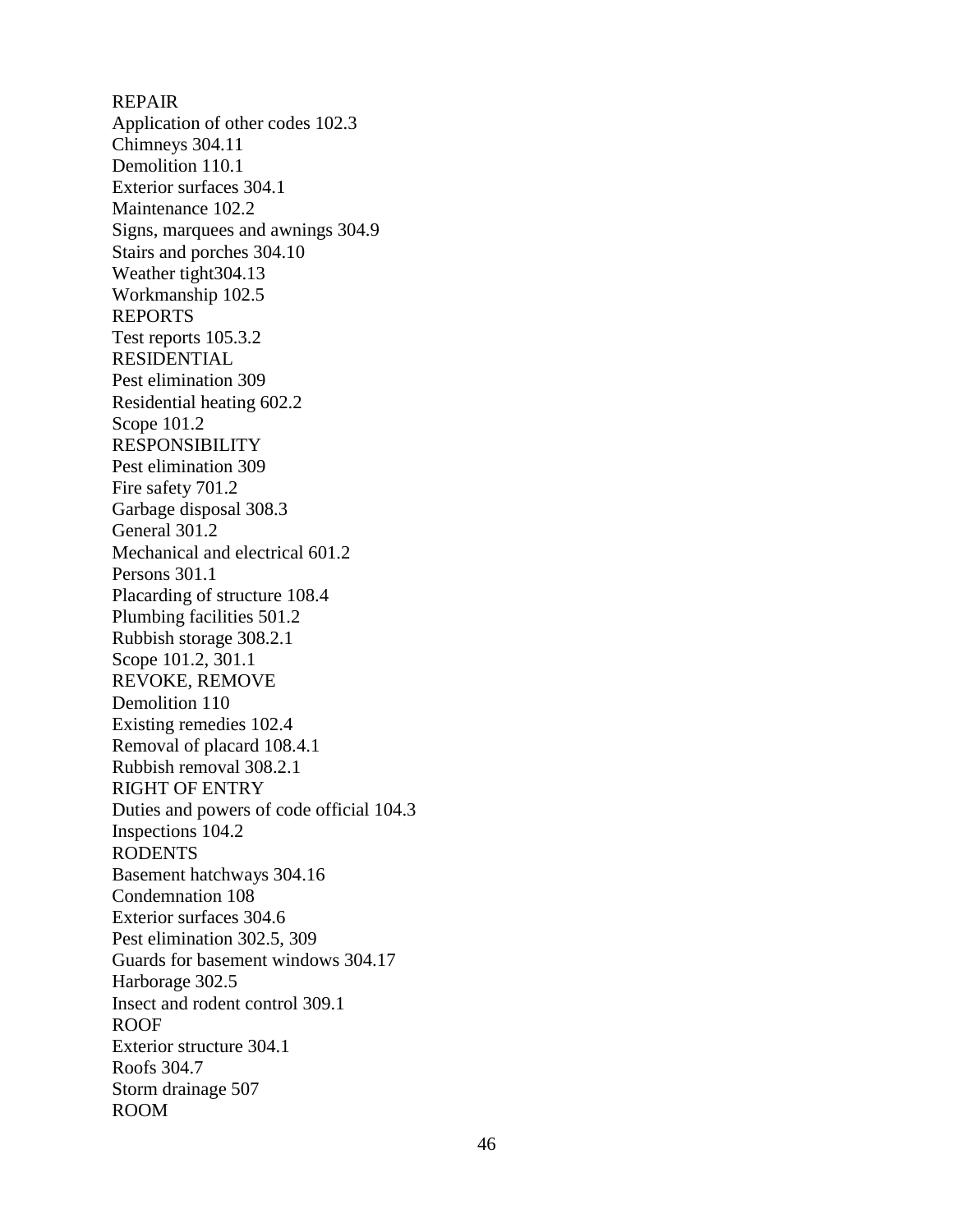REPAIR Application of other codes 102.3 Chimneys 304.11 Demolition 110.1 Exterior surfaces 304.1 Maintenance 102.2 Signs, marquees and awnings 304.9 Stairs and porches 304.10 Weather tight304.13 Workmanship 102.5 REPORTS Test reports 105.3.2 RESIDENTIAL Pest elimination 309 Residential heating 602.2 Scope 101.2 RESPONSIBILITY Pest elimination 309 Fire safety 701.2 Garbage disposal 308.3 General 301.2 Mechanical and electrical 601.2 Persons 301.1 Placarding of structure 108.4 Plumbing facilities 501.2 Rubbish storage 308.2.1 Scope 101.2, 301.1 REVOKE, REMOVE Demolition 110 Existing remedies 102.4 Removal of placard 108.4.1 Rubbish removal 308.2.1 RIGHT OF ENTRY Duties and powers of code official 104.3 Inspections 104.2 RODENTS Basement hatchways 304.16 Condemnation 108 Exterior surfaces 304.6 Pest elimination 302.5, 309 Guards for basement windows 304.17 Harborage 302.5 Insect and rodent control 309.1 ROOF Exterior structure 304.1 Roofs 304.7 Storm drainage 507 ROOM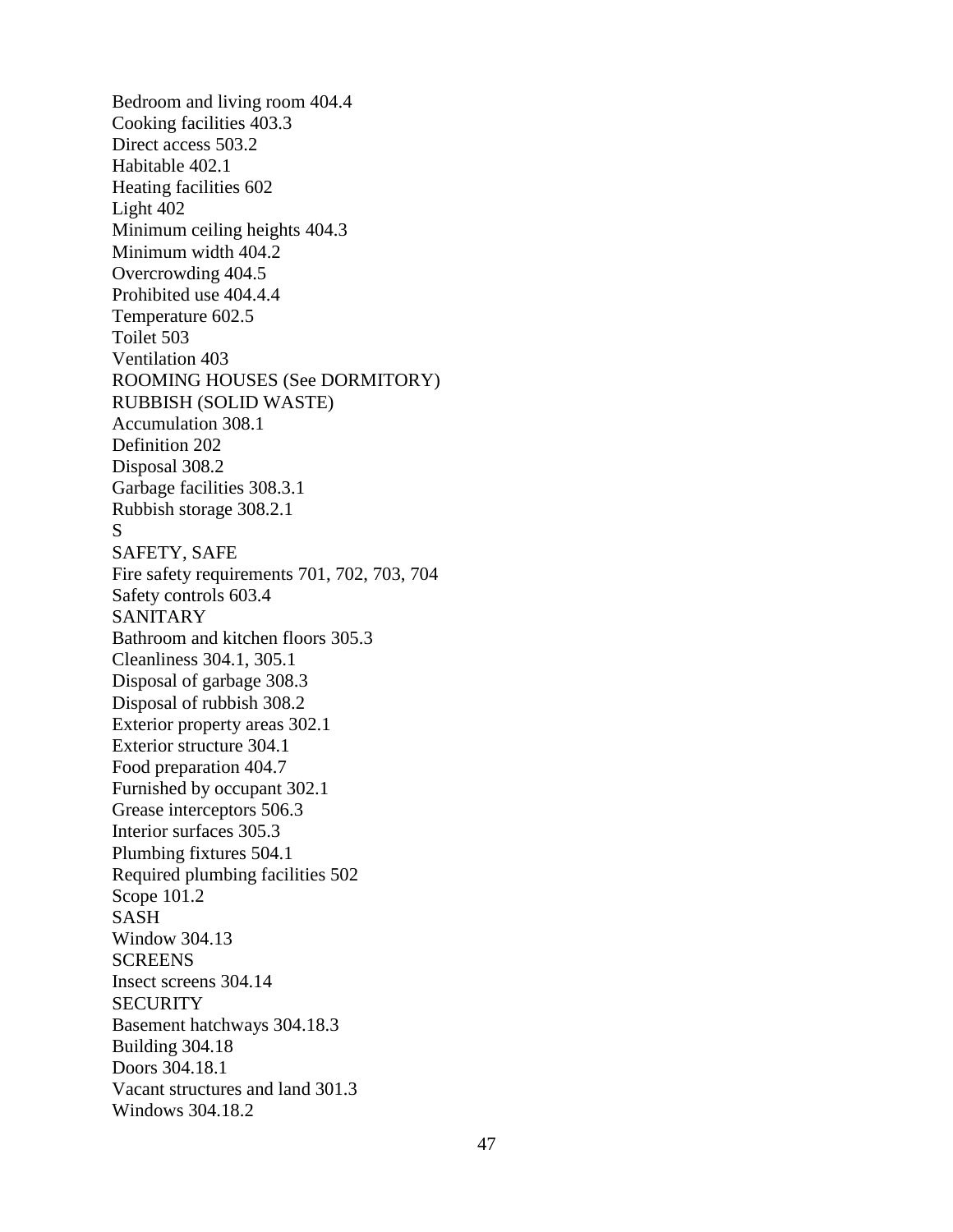Bedroom and living room 404.4 Cooking facilities 403.3 Direct access 503.2 Habitable 402.1 Heating facilities 602 Light 402 Minimum ceiling heights 404.3 Minimum width 404.2 Overcrowding 404.5 Prohibited use 404.4.4 Temperature 602.5 Toilet 503 Ventilation 403 ROOMING HOUSES (See DORMITORY) RUBBISH (SOLID WASTE) Accumulation 308.1 Definition 202 Disposal 308.2 Garbage facilities 308.3.1 Rubbish storage 308.2.1 S SAFETY, SAFE Fire safety requirements 701, 702, 703, 704 Safety controls 603.4 SANITARY Bathroom and kitchen floors 305.3 Cleanliness 304.1, 305.1 Disposal of garbage 308.3 Disposal of rubbish 308.2 Exterior property areas 302.1 Exterior structure 304.1 Food preparation 404.7 Furnished by occupant 302.1 Grease interceptors 506.3 Interior surfaces 305.3 Plumbing fixtures 504.1 Required plumbing facilities 502 Scope 101.2 SASH Window 304.13 **SCREENS** Insect screens 304.14 **SECURITY** Basement hatchways 304.18.3 Building 304.18 Doors 304.18.1 Vacant structures and land 301.3 Windows 304.18.2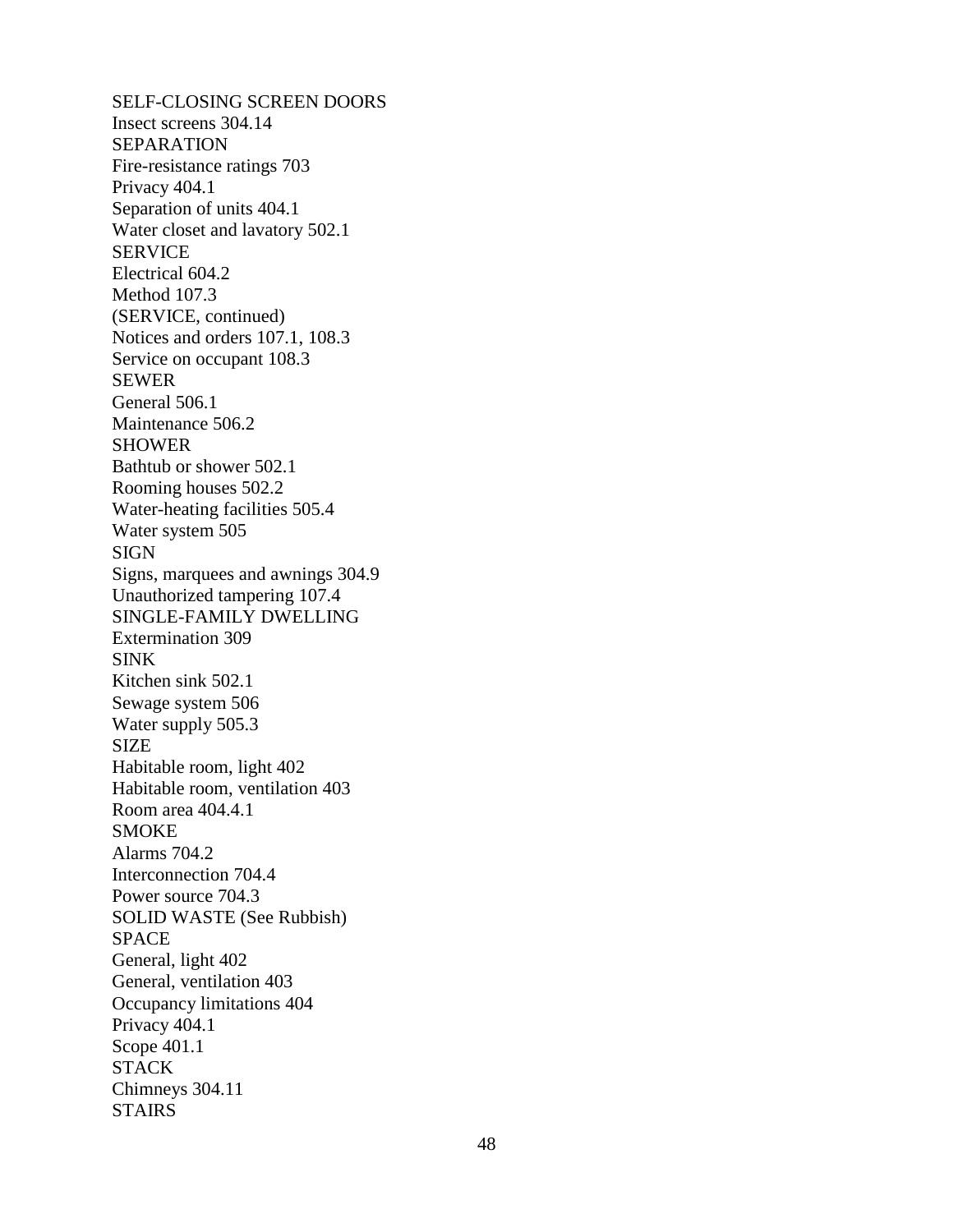SELF-CLOSING SCREEN DOORS Insect screens 304.14 SEPARATION Fire-resistance ratings 703 Privacy 404.1 Separation of units 404.1 Water closet and lavatory 502.1 SERVICE Electrical 604.2 Method 107.3 (SERVICE, continued) Notices and orders 107.1, 108.3 Service on occupant 108.3 SEWER General 506.1 Maintenance 506.2 SHOWER Bathtub or shower 502.1 Rooming houses 502.2 Water-heating facilities 505.4 Water system 505 SIGN Signs, marquees and awnings 304.9 Unauthorized tampering 107.4 SINGLE-FAMILY DWELLING Extermination 309 SINK Kitchen sink 502.1 Sewage system 506 Water supply 505.3 **SIZE** Habitable room, light 402 Habitable room, ventilation 403 Room area 404.4.1 SMOKE Alarms 704.2 Interconnection 704.4 Power source 704.3 SOLID WASTE (See Rubbish) SPACE General, light 402 General, ventilation 403 Occupancy limitations 404 Privacy 404.1 Scope 401.1 **STACK** Chimneys 304.11 STAIRS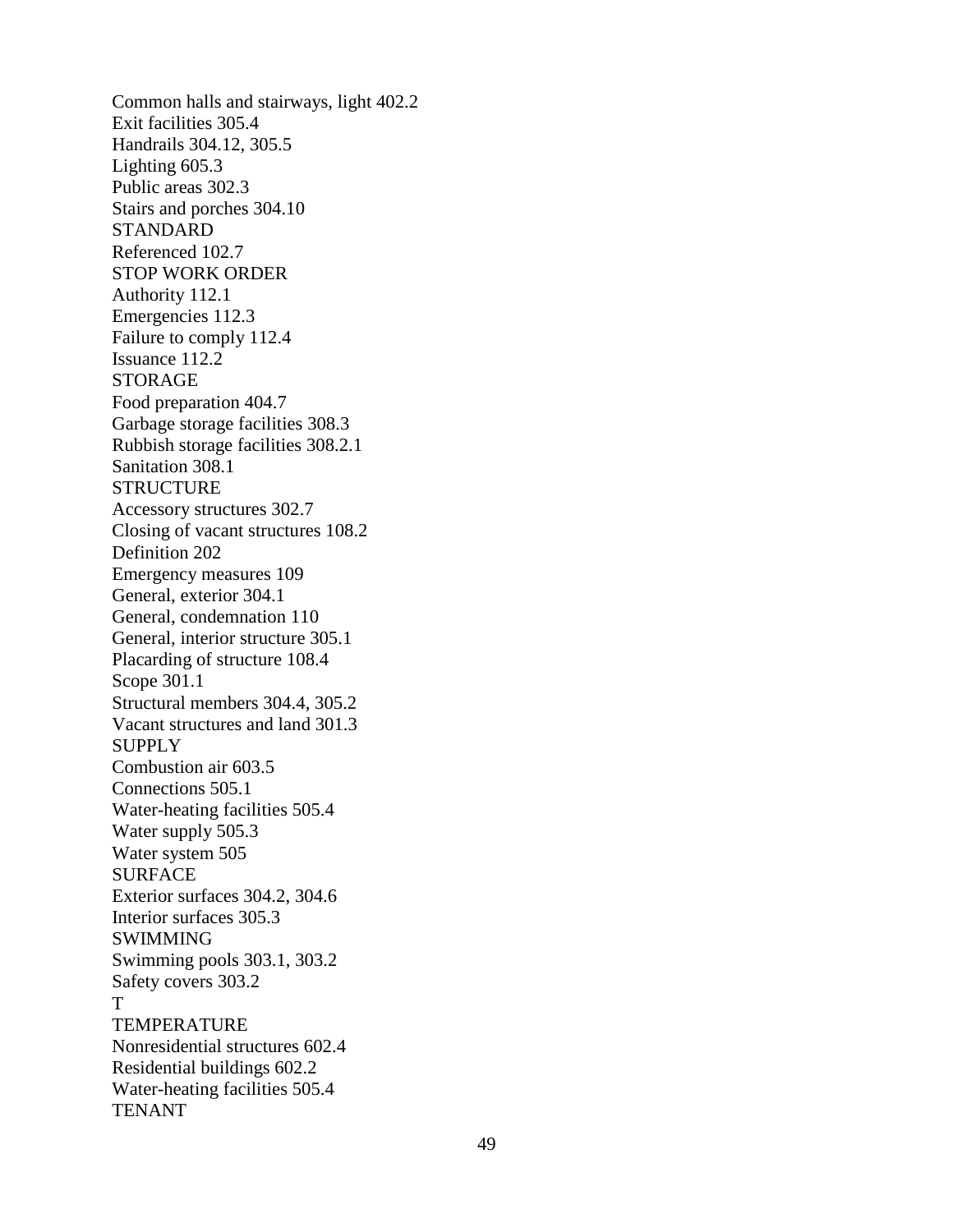Common halls and stairways, light 402.2 Exit facilities 305.4 Handrails 304.12, 305.5 Lighting 605.3 Public areas 302.3 Stairs and porches 304.10 STANDARD Referenced 102.7 STOP WORK ORDER Authority 112.1 Emergencies 112.3 Failure to comply 112.4 Issuance 112.2 STORAGE Food preparation 404.7 Garbage storage facilities 308.3 Rubbish storage facilities 308.2.1 Sanitation 308.1 **STRUCTURE** Accessory structures 302.7 Closing of vacant structures 108.2 Definition 202 Emergency measures 109 General, exterior 304.1 General, condemnation 110 General, interior structure 305.1 Placarding of structure 108.4 Scope 301.1 Structural members 304.4, 305.2 Vacant structures and land 301.3 **SUPPLY** Combustion air 603.5 Connections 505.1 Water-heating facilities 505.4 Water supply 505.3 Water system 505 **SURFACE** Exterior surfaces 304.2, 304.6 Interior surfaces 305.3 SWIMMING Swimming pools 303.1, 303.2 Safety covers 303.2 T TEMPERATURE Nonresidential structures 602.4 Residential buildings 602.2 Water-heating facilities 505.4 TENANT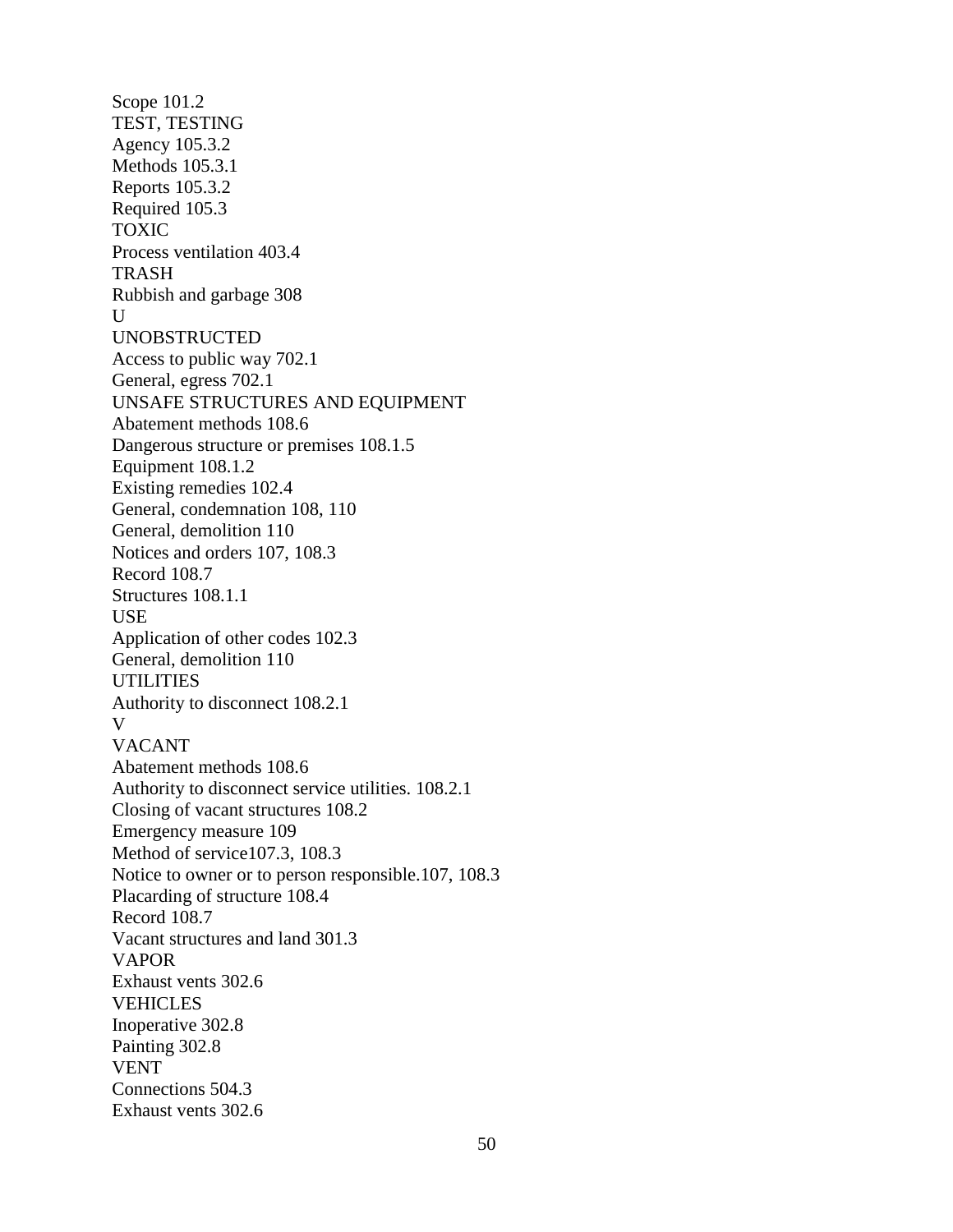Scope 101.2 TEST, TESTING Agency 105.3.2 Methods 105.3.1 Reports 105.3.2 Required 105.3 TOXIC Process ventilation 403.4 TRASH Rubbish and garbage 308 U UNOBSTRUCTED Access to public way 702.1 General, egress 702.1 UNSAFE STRUCTURES AND EQUIPMENT Abatement methods 108.6 Dangerous structure or premises 108.1.5 Equipment 108.1.2 Existing remedies 102.4 General, condemnation 108, 110 General, demolition 110 Notices and orders 107, 108.3 Record 108.7 Structures 108.1.1 USE Application of other codes 102.3 General, demolition 110 **UTILITIES** Authority to disconnect 108.2.1 V VACANT Abatement methods 108.6 Authority to disconnect service utilities. 108.2.1 Closing of vacant structures 108.2 Emergency measure 109 Method of service107.3, 108.3 Notice to owner or to person responsible.107, 108.3 Placarding of structure 108.4 Record 108.7 Vacant structures and land 301.3 VAPOR Exhaust vents 302.6 **VEHICLES** Inoperative 302.8 Painting 302.8 VENT Connections 504.3 Exhaust vents 302.6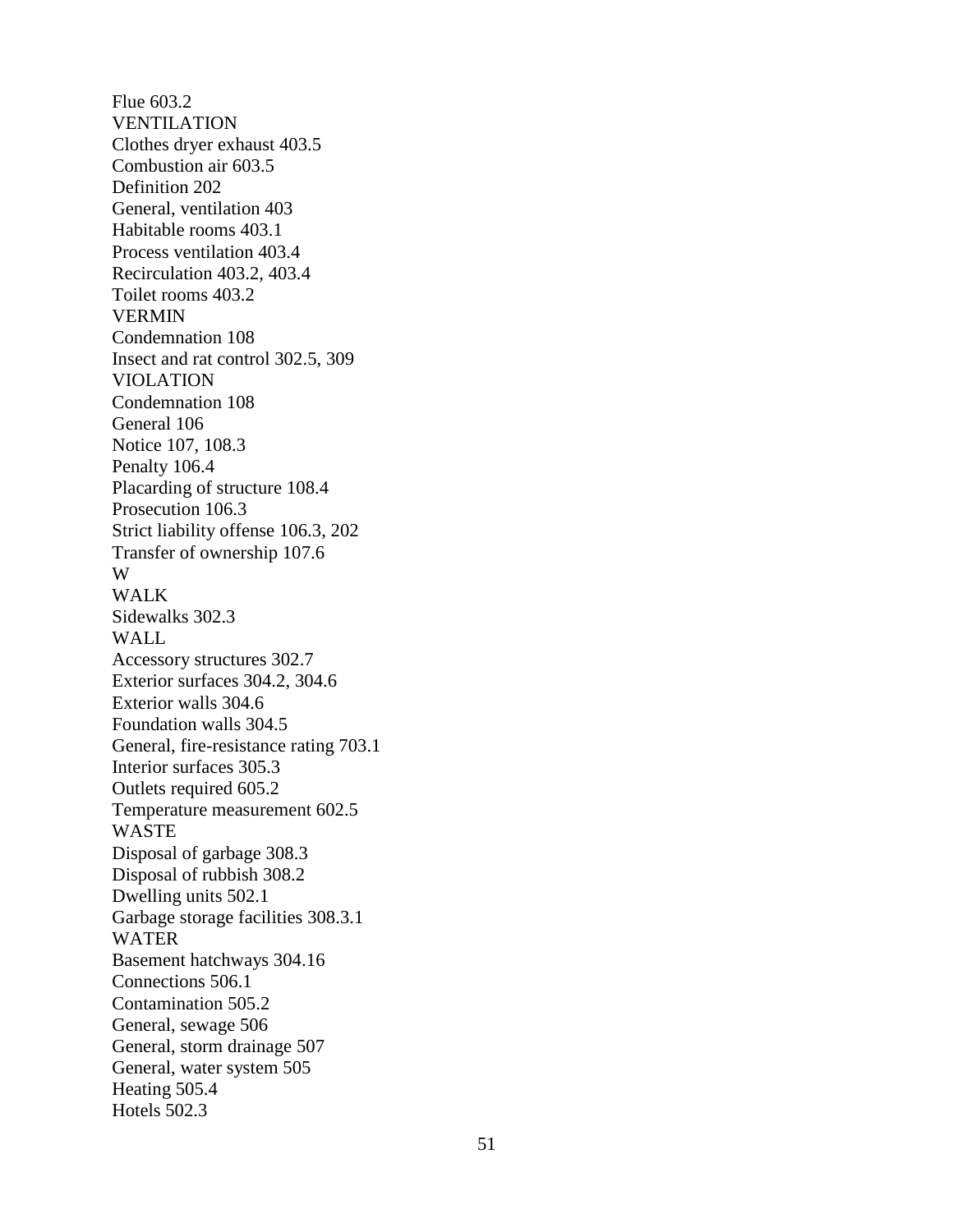Flue 603.2 VENTILATION Clothes dryer exhaust 403.5 Combustion air 603.5 Definition 202 General, ventilation 403 Habitable rooms 403.1 Process ventilation 403.4 Recirculation 403.2, 403.4 Toilet rooms 403.2 VERMIN Condemnation 108 Insect and rat control 302.5, 309 VIOLATION Condemnation 108 General 106 Notice 107, 108.3 Penalty 106.4 Placarding of structure 108.4 Prosecution 106.3 Strict liability offense 106.3, 202 Transfer of ownership 107.6 W WALK Sidewalks 302.3 WALL Accessory structures 302.7 Exterior surfaces 304.2, 304.6 Exterior walls 304.6 Foundation walls 304.5 General, fire-resistance rating 703.1 Interior surfaces 305.3 Outlets required 605.2 Temperature measurement 602.5 WASTE Disposal of garbage 308.3 Disposal of rubbish 308.2 Dwelling units 502.1 Garbage storage facilities 308.3.1 WATER Basement hatchways 304.16 Connections 506.1 Contamination 505.2 General, sewage 506 General, storm drainage 507 General, water system 505 Heating 505.4 Hotels 502.3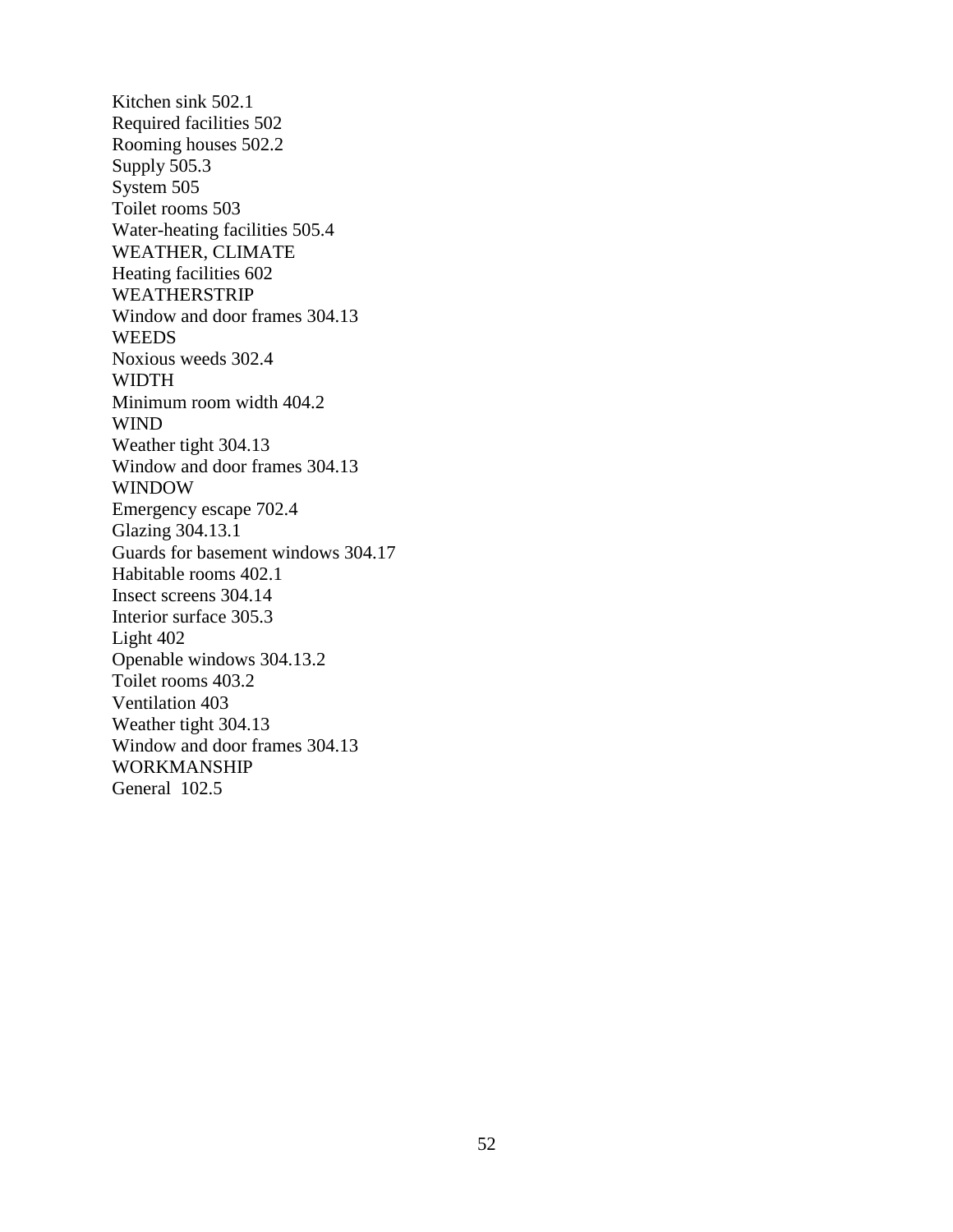Kitchen sink 502.1 Required facilities 502 Rooming houses 502.2 Supply 505.3 System 505 Toilet rooms 503 Water-heating facilities 505.4 WEATHER, CLIMATE Heating facilities 602 WEATHERSTRIP Window and door frames 304.13 **WEEDS** Noxious weeds 302.4 WIDTH Minimum room width 404.2 WIND Weather tight 304.13 Window and door frames 304.13 WINDOW Emergency escape 702.4 Glazing 304.13.1 Guards for basement windows 304.17 Habitable rooms 402.1 Insect screens 304.14 Interior surface 305.3 Light 402 Openable windows 304.13.2 Toilet rooms 403.2 Ventilation 403 Weather tight 304.13 Window and door frames 304.13 WORKMANSHIP General 102.5